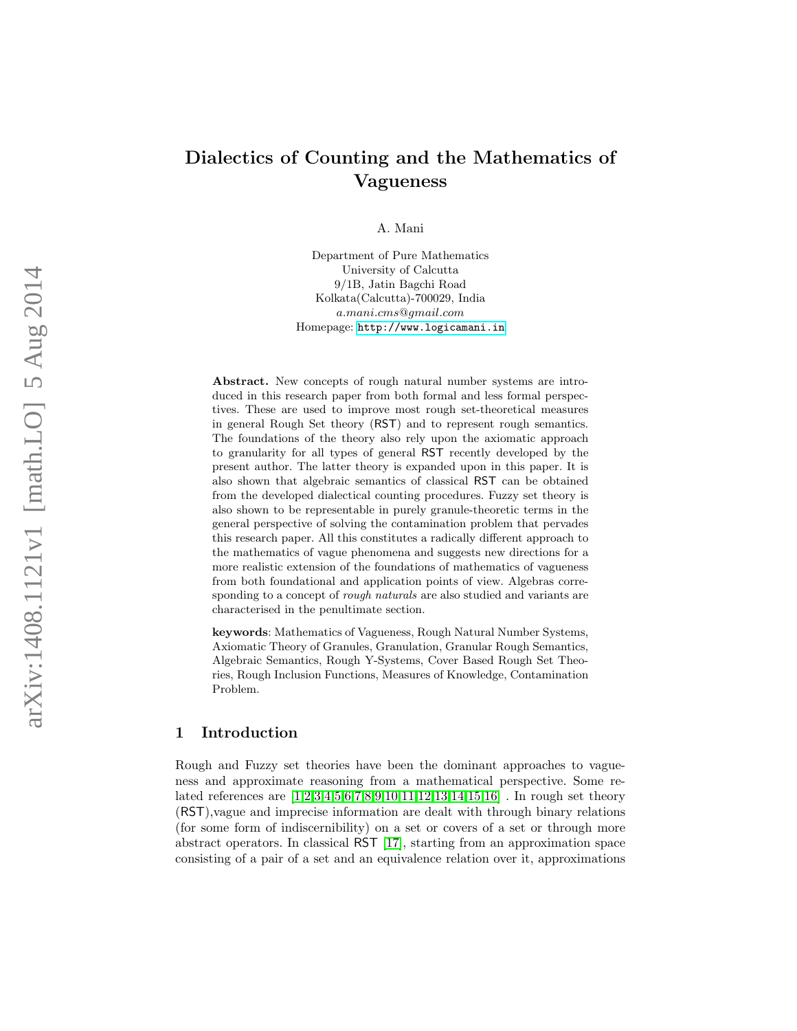# Dialectics of Counting and the Mathematics of Vagueness

A. Mani

Department of Pure Mathematics University of Calcutta 9/1B, Jatin Bagchi Road Kolkata(Calcutta)-700029, India a.mani.cms @gmail.com Homepage: <http://www.logicamani.in>

Abstract. New concepts of rough natural number systems are introduced in this research paper from both formal and less formal perspectives. These are used to improve most rough set-theoretical measures in general Rough Set theory (RST) and to represent rough semantics. The foundations of the theory also rely upon the axiomatic approach to granularity for all types of general RST recently developed by the present author. The latter theory is expanded upon in this paper. It is also shown that algebraic semantics of classical RST can be obtained from the developed dialectical counting procedures. Fuzzy set theory is also shown to be representable in purely granule-theoretic terms in the general perspective of solving the contamination problem that pervades this research paper. All this constitutes a radically different approach to the mathematics of vague phenomena and suggests new directions for a more realistic extension of the foundations of mathematics of vagueness from both foundational and application points of view. Algebras corresponding to a concept of *rough naturals* are also studied and variants are characterised in the penultimate section.

keywords: Mathematics of Vagueness, Rough Natural Number Systems, Axiomatic Theory of Granules, Granulation, Granular Rough Semantics, Algebraic Semantics, Rough Y-Systems, Cover Based Rough Set Theories, Rough Inclusion Functions, Measures of Knowledge, Contamination Problem.

## 1 Introduction

Rough and Fuzzy set theories have been the dominant approaches to vagueness and approximate reasoning from a mathematical perspective. Some related references are [\[1,](#page-53-0)[2,](#page-53-1)[3,](#page-54-0)[4](#page-54-1)[,5,](#page-54-2)[6,](#page-54-3)[7,](#page-54-4)[8](#page-54-5)[,9,](#page-54-6)[10,](#page-54-7)[11](#page-54-8)[,12,](#page-54-9)[13,](#page-54-10)[14,](#page-54-11)[15](#page-54-12)[,16\]](#page-54-13) . In rough set theory (RST),vague and imprecise information are dealt with through binary relations (for some form of indiscernibility) on a set or covers of a set or through more abstract operators. In classical RST [\[17\]](#page-54-14), starting from an approximation space consisting of a pair of a set and an equivalence relation over it, approximations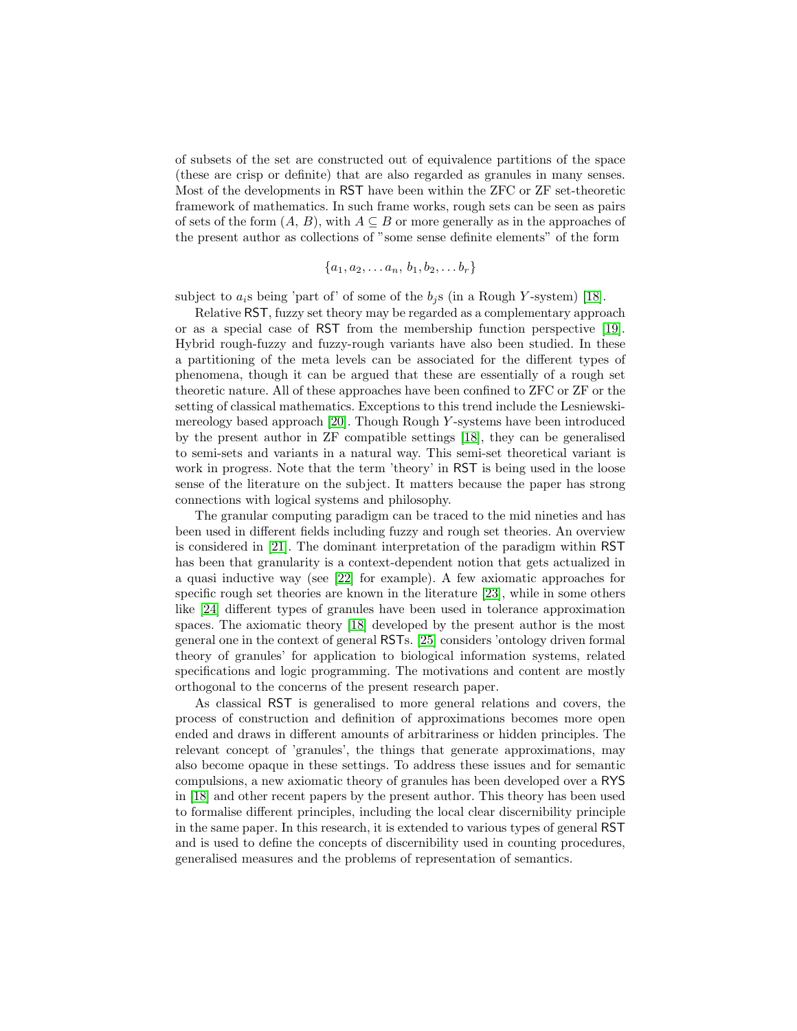of subsets of the set are constructed out of equivalence partitions of the space (these are crisp or definite) that are also regarded as granules in many senses. Most of the developments in RST have been within the ZFC or ZF set-theoretic framework of mathematics. In such frame works, rough sets can be seen as pairs of sets of the form  $(A, B)$ , with  $A \subseteq B$  or more generally as in the approaches of the present author as collections of "some sense definite elements" of the form

$$
\{a_1,a_2,\ldots a_n, b_1,b_2,\ldots b_r\}
$$

subject to  $a_i$ s being 'part of' of some of the  $b_i$ s (in a Rough Y-system) [\[18\]](#page-54-15).

Relative RST, fuzzy set theory may be regarded as a complementary approach or as a special case of RST from the membership function perspective [\[19\]](#page-54-16). Hybrid rough-fuzzy and fuzzy-rough variants have also been studied. In these a partitioning of the meta levels can be associated for the different types of phenomena, though it can be argued that these are essentially of a rough set theoretic nature. All of these approaches have been confined to ZFC or ZF or the setting of classical mathematics. Exceptions to this trend include the Lesniewskimereology based approach [\[20\]](#page-54-17). Though Rough Y -systems have been introduced by the present author in ZF compatible settings [\[18\]](#page-54-15), they can be generalised to semi-sets and variants in a natural way. This semi-set theoretical variant is work in progress. Note that the term 'theory' in RST is being used in the loose sense of the literature on the subject. It matters because the paper has strong connections with logical systems and philosophy.

The granular computing paradigm can be traced to the mid nineties and has been used in different fields including fuzzy and rough set theories. An overview is considered in [\[21\]](#page-54-18). The dominant interpretation of the paradigm within RST has been that granularity is a context-dependent notion that gets actualized in a quasi inductive way (see [\[22\]](#page-54-19) for example). A few axiomatic approaches for specific rough set theories are known in the literature [\[23\]](#page-54-20), while in some others like [\[24\]](#page-54-21) different types of granules have been used in tolerance approximation spaces. The axiomatic theory [\[18\]](#page-54-15) developed by the present author is the most general one in the context of general RSTs. [\[25\]](#page-54-22) considers 'ontology driven formal theory of granules' for application to biological information systems, related specifications and logic programming. The motivations and content are mostly orthogonal to the concerns of the present research paper.

As classical RST is generalised to more general relations and covers, the process of construction and definition of approximations becomes more open ended and draws in different amounts of arbitrariness or hidden principles. The relevant concept of 'granules', the things that generate approximations, may also become opaque in these settings. To address these issues and for semantic compulsions, a new axiomatic theory of granules has been developed over a RYS in [\[18\]](#page-54-15) and other recent papers by the present author. This theory has been used to formalise different principles, including the local clear discernibility principle in the same paper. In this research, it is extended to various types of general RST and is used to define the concepts of discernibility used in counting procedures, generalised measures and the problems of representation of semantics.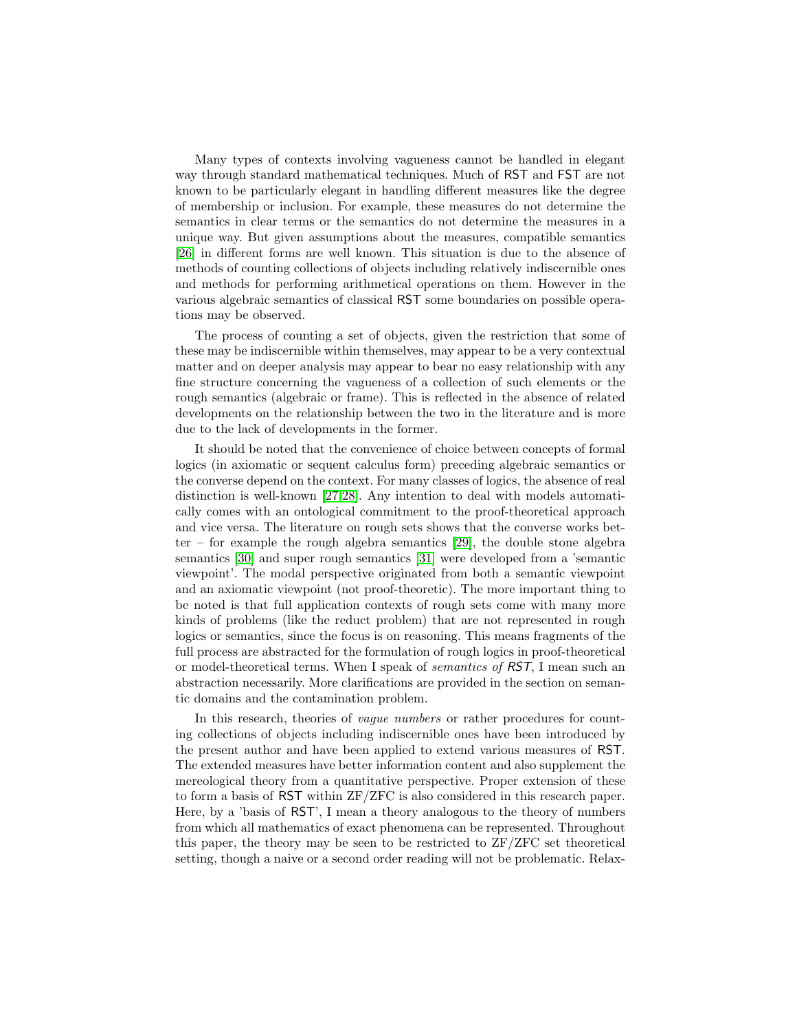Many types of contexts involving vagueness cannot be handled in elegant way through standard mathematical techniques. Much of RST and FST are not known to be particularly elegant in handling different measures like the degree of membership or inclusion. For example, these measures do not determine the semantics in clear terms or the semantics do not determine the measures in a unique way. But given assumptions about the measures, compatible semantics [\[26\]](#page-54-23) in different forms are well known. This situation is due to the absence of methods of counting collections of objects including relatively indiscernible ones and methods for performing arithmetical operations on them. However in the various algebraic semantics of classical RST some boundaries on possible operations may be observed.

The process of counting a set of objects, given the restriction that some of these may be indiscernible within themselves, may appear to be a very contextual matter and on deeper analysis may appear to bear no easy relationship with any fine structure concerning the vagueness of a collection of such elements or the rough semantics (algebraic or frame). This is reflected in the absence of related developments on the relationship between the two in the literature and is more due to the lack of developments in the former.

It should be noted that the convenience of choice between concepts of formal logics (in axiomatic or sequent calculus form) preceding algebraic semantics or the converse depend on the context. For many classes of logics, the absence of real distinction is well-known [\[27,](#page-54-24)[28\]](#page-55-0). Any intention to deal with models automatically comes with an ontological commitment to the proof-theoretical approach and vice versa. The literature on rough sets shows that the converse works better – for example the rough algebra semantics [\[29\]](#page-55-1), the double stone algebra semantics [\[30\]](#page-55-2) and super rough semantics [\[31\]](#page-55-3) were developed from a 'semantic viewpoint'. The modal perspective originated from both a semantic viewpoint and an axiomatic viewpoint (not proof-theoretic). The more important thing to be noted is that full application contexts of rough sets come with many more kinds of problems (like the reduct problem) that are not represented in rough logics or semantics, since the focus is on reasoning. This means fragments of the full process are abstracted for the formulation of rough logics in proof-theoretical or model-theoretical terms. When I speak of semantics of RST, I mean such an abstraction necessarily. More clarifications are provided in the section on semantic domains and the contamination problem.

In this research, theories of *vaque numbers* or rather procedures for counting collections of objects including indiscernible ones have been introduced by the present author and have been applied to extend various measures of RST. The extended measures have better information content and also supplement the mereological theory from a quantitative perspective. Proper extension of these to form a basis of RST within ZF/ZFC is also considered in this research paper. Here, by a 'basis of RST', I mean a theory analogous to the theory of numbers from which all mathematics of exact phenomena can be represented. Throughout this paper, the theory may be seen to be restricted to ZF/ZFC set theoretical setting, though a naive or a second order reading will not be problematic. Relax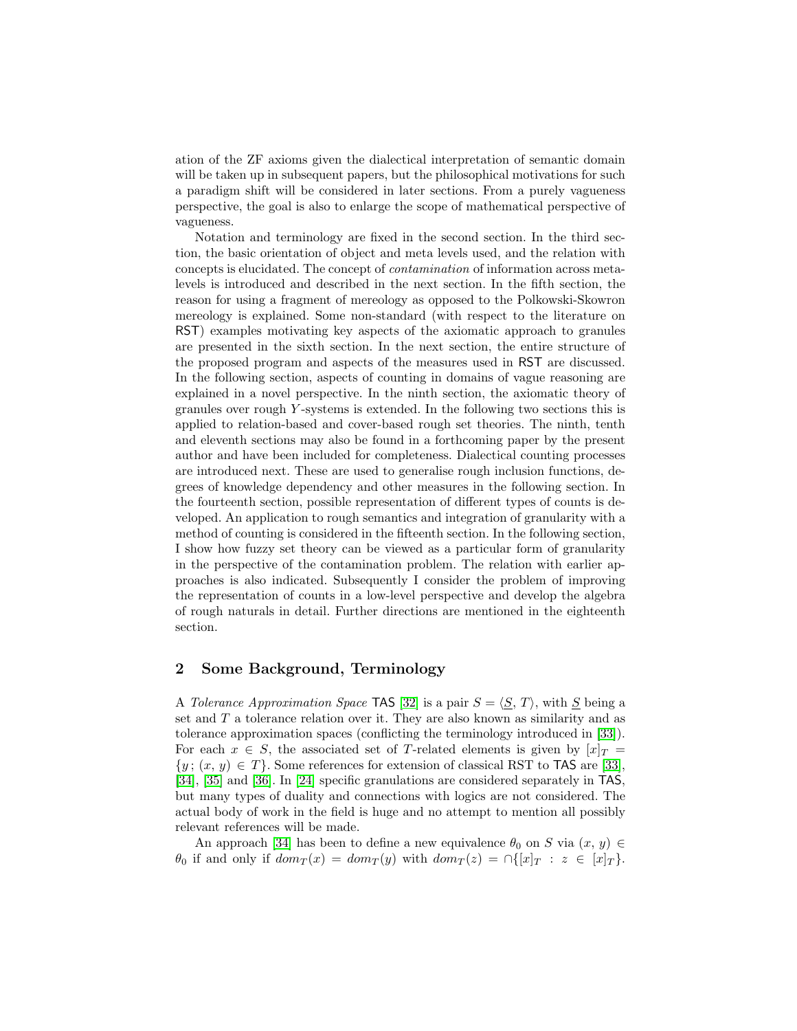ation of the ZF axioms given the dialectical interpretation of semantic domain will be taken up in subsequent papers, but the philosophical motivations for such a paradigm shift will be considered in later sections. From a purely vagueness perspective, the goal is also to enlarge the scope of mathematical perspective of vagueness.

Notation and terminology are fixed in the second section. In the third section, the basic orientation of object and meta levels used, and the relation with concepts is elucidated. The concept of contamination of information across metalevels is introduced and described in the next section. In the fifth section, the reason for using a fragment of mereology as opposed to the Polkowski-Skowron mereology is explained. Some non-standard (with respect to the literature on RST) examples motivating key aspects of the axiomatic approach to granules are presented in the sixth section. In the next section, the entire structure of the proposed program and aspects of the measures used in RST are discussed. In the following section, aspects of counting in domains of vague reasoning are explained in a novel perspective. In the ninth section, the axiomatic theory of granules over rough  $Y$ -systems is extended. In the following two sections this is applied to relation-based and cover-based rough set theories. The ninth, tenth and eleventh sections may also be found in a forthcoming paper by the present author and have been included for completeness. Dialectical counting processes are introduced next. These are used to generalise rough inclusion functions, degrees of knowledge dependency and other measures in the following section. In the fourteenth section, possible representation of different types of counts is developed. An application to rough semantics and integration of granularity with a method of counting is considered in the fifteenth section. In the following section, I show how fuzzy set theory can be viewed as a particular form of granularity in the perspective of the contamination problem. The relation with earlier approaches is also indicated. Subsequently I consider the problem of improving the representation of counts in a low-level perspective and develop the algebra of rough naturals in detail. Further directions are mentioned in the eighteenth section.

## 2 Some Background, Terminology

A Tolerance Approximation Space TAS [\[32\]](#page-55-4) is a pair  $S = \langle S, T \rangle$ , with S being a set and  $T$  a tolerance relation over it. They are also known as similarity and as tolerance approximation spaces (conflicting the terminology introduced in [\[33\]](#page-55-5)). For each  $x \in S$ , the associated set of T-related elements is given by  $[x]_T =$  $\{y, (x, y) \in T\}$ . Some references for extension of classical RST to TAS are [\[33\]](#page-55-5), [\[34\]](#page-55-6), [\[35\]](#page-55-7) and [\[36\]](#page-55-8). In [\[24\]](#page-54-21) specific granulations are considered separately in TAS, but many types of duality and connections with logics are not considered. The actual body of work in the field is huge and no attempt to mention all possibly relevant references will be made.

An approach [\[34\]](#page-55-6) has been to define a new equivalence  $\theta_0$  on S via  $(x, y) \in$  $\theta_0$  if and only if  $dom_T(x) = dom_T(y)$  with  $dom_T(z) = \bigcap \{[x]_T : z \in [x]_T\}.$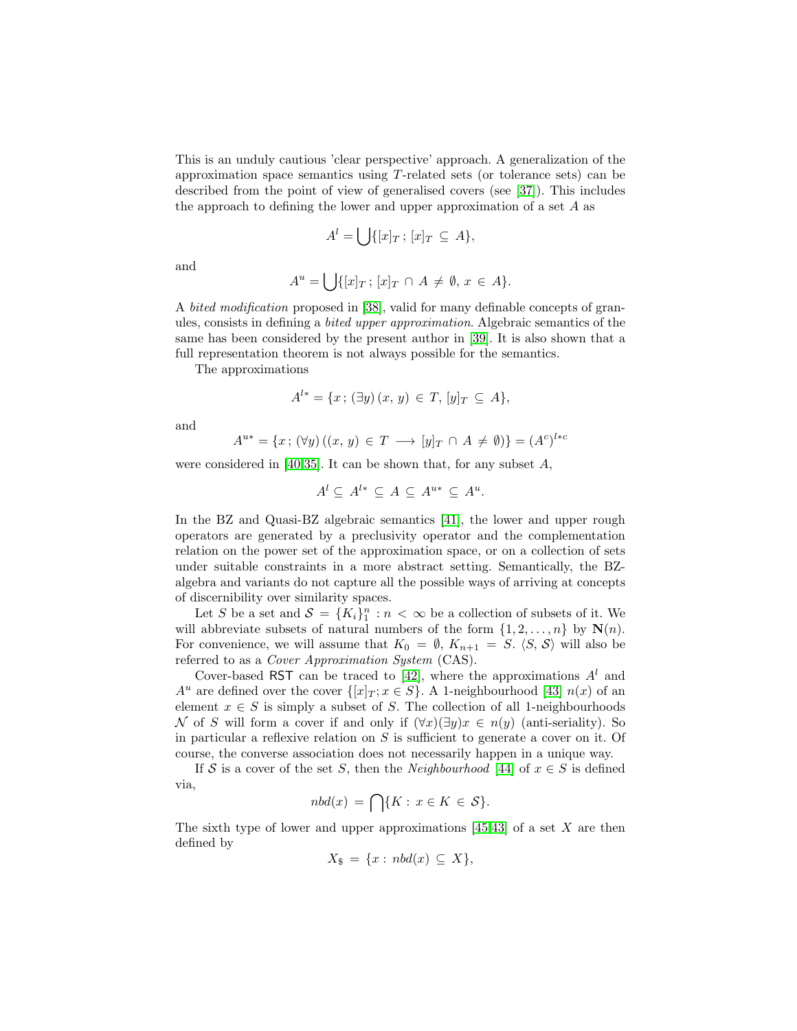This is an unduly cautious 'clear perspective' approach. A generalization of the approximation space semantics using T-related sets (or tolerance sets) can be described from the point of view of generalised covers (see [\[37\]](#page-55-9)). This includes the approach to defining the lower and upper approximation of a set  $A$  as

$$
A^l = \bigcup \{ [x]_T \, ; \, [x]_T \, \subseteq \, A \},
$$

and

$$
A^u = \bigcup \{ [x]_T ; [x]_T \cap A \neq \emptyset, x \in A \}.
$$

A bited modification proposed in [\[38\]](#page-55-10), valid for many definable concepts of granules, consists in defining a bited upper approximation. Algebraic semantics of the same has been considered by the present author in [\[39\]](#page-55-11). It is also shown that a full representation theorem is not always possible for the semantics.

The approximations

$$
A^{l*} = \{x \, ; \, (\exists y)(x, y) \in T, \, [y]_T \subseteq A\},
$$

and

$$
A^{u*} = \{x \,;\, (\forall y) \,((x, y) \in T \longrightarrow [y]_T \cap A \neq \emptyset) \} = (A^c)^{l*c}
$$

were considered in [\[40,](#page-55-12)[35\]](#page-55-7). It can be shown that, for any subset  $A$ ,

$$
A^l \subseteq A^{l*} \subseteq A \subseteq A^{u*} \subseteq A^u.
$$

In the BZ and Quasi-BZ algebraic semantics [\[41\]](#page-55-13), the lower and upper rough operators are generated by a preclusivity operator and the complementation relation on the power set of the approximation space, or on a collection of sets under suitable constraints in a more abstract setting. Semantically, the BZalgebra and variants do not capture all the possible ways of arriving at concepts of discernibility over similarity spaces.

Let S be a set and  $S = \{K_i\}_1^n : n < \infty$  be a collection of subsets of it. We will abbreviate subsets of natural numbers of the form  $\{1, 2, \ldots, n\}$  by  $\mathbf{N}(n)$ . For convenience, we will assume that  $K_0 = \emptyset$ ,  $K_{n+1} = S$ .  $\langle S, S \rangle$  will also be referred to as a Cover Approximation System (CAS).

Cover-based RST can be traced to [\[42\]](#page-55-14), where the approximations  $A<sup>l</sup>$  and  $A^u$  are defined over the cover  $\{[x]_T : x \in S\}$ . A 1-neighbourhood [\[43\]](#page-55-15)  $n(x)$  of an element  $x \in S$  is simply a subset of S. The collection of all 1-neighbourhoods N of S will form a cover if and only if  $(\forall x)(\exists y)x \in n(y)$  (anti-seriality). So in particular a reflexive relation on  $S$  is sufficient to generate a cover on it. Of course, the converse association does not necessarily happen in a unique way.

If S is a cover of the set S, then the Neighbourhood [\[44\]](#page-55-16) of  $x \in S$  is defined via,

$$
nbd(x) = \bigcap \{ K : x \in K \in \mathcal{S} \}.
$$

The sixth type of lower and upper approximations  $[45,43]$  $[45,43]$  of a set X are then defined by

$$
X_{\$} = \{x : nbd(x) \subseteq X\},\
$$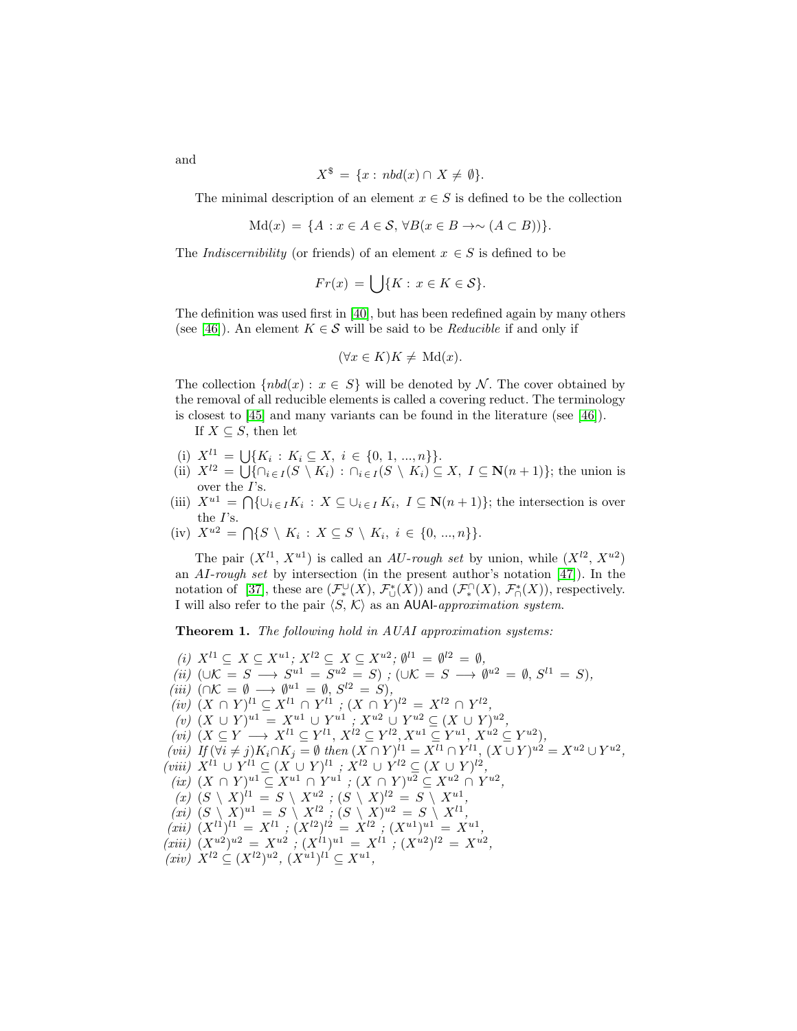$$
X^{\$} = \{x : \text{nbd}(x) \cap X \neq \emptyset\}.
$$

The minimal description of an element  $x \in S$  is defined to be the collection

$$
Md(x) = \{A : x \in A \in S, \forall B(x \in B \to \sim (A \subset B))\}.
$$

The Indiscernibility (or friends) of an element  $x \in S$  is defined to be

$$
Fr(x) = \bigcup \{ K : x \in K \in \mathcal{S} \}.
$$

The definition was used first in [\[40\]](#page-55-12), but has been redefined again by many others (see [\[46\]](#page-55-18)). An element  $K \in \mathcal{S}$  will be said to be *Reducible* if and only if

$$
(\forall x \in K) K \neq \mathrm{Md}(x).
$$

The collection  $\{nbd(x): x \in S\}$  will be denoted by N. The cover obtained by the removal of all reducible elements is called a covering reduct. The terminology is closest to [\[45\]](#page-55-17) and many variants can be found in the literature (see [\[46\]](#page-55-18)).

- If  $X \subseteq S$ , then let
- (i)  $X^{l1} = \bigcup \{ K_i : K_i \subseteq X, i \in \{0, 1, ..., n\} \}.$
- (ii)  $X^{l2} = \bigcup \{ \cap_{i \in I} (S \setminus K_i) : \cap_{i \in I} (S \setminus K_i) \subseteq X, I \subseteq \mathbf{N}(n+1) \};$  the union is over the  $I$  s.
- (iii)  $X^{u1} = \bigcap \{ \cup_{i \in I} K_i : X \subseteq \cup_{i \in I} K_i, I \subseteq \mathbf{N}(n+1) \};\$ the intersection is over the  $I$ 's.
- (iv)  $X^{u2} = \bigcap \{ S \setminus K_i : X \subseteq S \setminus K_i, i \in \{0, ..., n\} \}.$

The pair  $(X^{l1}, X^{u1})$  is called an AU-rough set by union, while  $(X^{l2}, X^{u2})$ an AI-rough set by intersection (in the present author's notation [\[47\]](#page-55-19)). In the notation of [\[37\]](#page-55-9), these are  $(\mathcal{F}_*^{\cup}(X), \mathcal{F}_*^*(X))$  and  $(\mathcal{F}_*^{\cap}(X), \mathcal{F}_\cap^*(X))$ , respectively. I will also refer to the pair  $\langle S, \mathcal{K} \rangle$  as an AUAI-approximation system.

Theorem 1. The following hold in AUAI approximation systems:

 $(i)$   $X^{l1} \subseteq X \subseteq X^{u1}$ ;  $X^{l2} \subseteq X \subseteq X^{u2}$ ;  $\emptyset^{l1} = \emptyset^{l2} = \emptyset$ , (ii)  $(\cup \mathcal{K} = S \longrightarrow S^{u1} = S^{u2} = S)$ ;  $(\cup \mathcal{K} = S \longrightarrow \emptyset^{u2} = \emptyset, S^{l1} = S)$ , (iii)  $(\cap \mathcal{K} = \emptyset \longrightarrow \emptyset^{u1} = \emptyset, S^{l2} = S),$  $(iv)$   $(X ∩ Y)^{l_1} ⊆ X^{l_1} ∩ Y^{l_1}$ ;  $(X ∩ Y)^{l_2} = X^{l_2} ∩ Y^{l_2}$ , (v)  $(X \cup Y)^{u1} = X^{u1} \cup Y^{u1}$ ;  $X^{u2} \cup Y^{u2} \subseteq (X \cup Y)^{u2}$ ,  $(vi)$   $(X \subseteq Y \longrightarrow X^{l1} \subseteq Y^{l1}, X^{l2} \subseteq Y^{l2}, X^{u1} \subseteq Y^{u1}, X^{u2} \subseteq Y^{u2}),$ (vii) If  $(\forall i \neq j) K_i \cap K_j = \emptyset$  then  $(X \cap Y)^{l} = X^{l} \cap Y^{l}$ ,  $(X \cup Y)^{u^2} = X^{u^2} \cup Y^{u^2}$ , (viii)  $X^{l1}$  ∪  $Y^{l1}$  ⊆  $(X' \cup Y)^{l1}$ ;  $X^{l2} \cup Y^{l2}$  ⊆  $(X \cup Y)^{l2}$ ,  $(ix)$   $(X \cap Y)^{u_1} \subseteq X^{u_1} \cap Y^{u_1}$ ;  $(X \cap Y)^{u_2} \subseteq X^{u_2} \cap Y^{u_2}$ ,  $(x)$   $(S \setminus X)^{l_1} = S \setminus X^{u_2}$ ;  $(S \setminus X)^{l_2} = S \setminus X^{u_1}$ , (xi)  $(S \setminus X)^{u1} = S \setminus X^{l2}$ ;  $(S \setminus X)^{u2} = S \setminus X^{l1}$ , (xii)  $(X^{l1})^{l1} = X^{l1}$ ;  $(X^{l2})^{l2} = X^{l2}$ ;  $(X^{u1})^{u1} = X^{u1}$ ,  $(xiii) (X^{u2})^{u2} = X^{u2}$ ;  $(X^{l1})^{u1} = X^{l1}$ ;  $(X^{u2})^{l2} = X^{u2}$ ,  $(xiv)$   $X^{l2} \subseteq (X^{l2})^{u2}$ ,  $(X^{u1})^{l1} \subseteq X^{u1}$ ,

and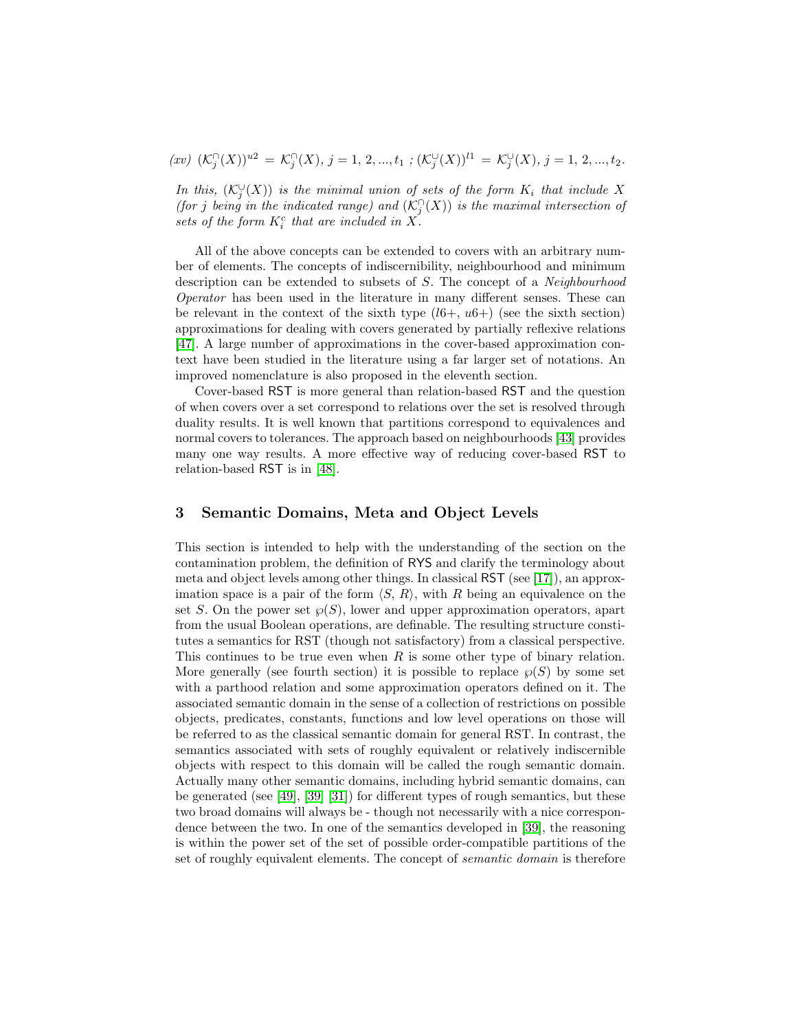$$
(xv)\ (\mathcal{K}_j^{\cap}(X))^{u_2} = \mathcal{K}_j^{\cap}(X),\,j = 1,\,2,...,t_1\ ;\,(\mathcal{K}_j^{\cup}(X))^{l_1} = \mathcal{K}_j^{\cup}(X),\,j = 1,\,2,...,t_2.
$$

In this,  $(\mathcal{K}^{\cup}_{j}(X))$  is the minimal union of sets of the form  $K_i$  that include X (for j being in the indicated range) and  $(\mathcal{K}^{\cap}_j(X))$  is the maximal intersection of sets of the form  $K_i^c$  that are included in  $X$ .

All of the above concepts can be extended to covers with an arbitrary number of elements. The concepts of indiscernibility, neighbourhood and minimum description can be extended to subsets of S. The concept of a *Neighbourhood* Operator has been used in the literature in many different senses. These can be relevant in the context of the sixth type  $(l6+, u6+)$  (see the sixth section) approximations for dealing with covers generated by partially reflexive relations [\[47\]](#page-55-19). A large number of approximations in the cover-based approximation context have been studied in the literature using a far larger set of notations. An improved nomenclature is also proposed in the eleventh section.

Cover-based RST is more general than relation-based RST and the question of when covers over a set correspond to relations over the set is resolved through duality results. It is well known that partitions correspond to equivalences and normal covers to tolerances. The approach based on neighbourhoods [\[43\]](#page-55-15) provides many one way results. A more effective way of reducing cover-based RST to relation-based RST is in [\[48\]](#page-55-20).

## 3 Semantic Domains, Meta and Object Levels

This section is intended to help with the understanding of the section on the contamination problem, the definition of RYS and clarify the terminology about meta and object levels among other things. In classical RST (see [\[17\]](#page-54-14)), an approximation space is a pair of the form  $\langle S, R \rangle$ , with R being an equivalence on the set S. On the power set  $\mathcal{O}(S)$ , lower and upper approximation operators, apart from the usual Boolean operations, are definable. The resulting structure constitutes a semantics for RST (though not satisfactory) from a classical perspective. This continues to be true even when  $R$  is some other type of binary relation. More generally (see fourth section) it is possible to replace  $\wp(S)$  by some set with a parthood relation and some approximation operators defined on it. The associated semantic domain in the sense of a collection of restrictions on possible objects, predicates, constants, functions and low level operations on those will be referred to as the classical semantic domain for general RST. In contrast, the semantics associated with sets of roughly equivalent or relatively indiscernible objects with respect to this domain will be called the rough semantic domain. Actually many other semantic domains, including hybrid semantic domains, can be generated (see [\[49\]](#page-56-0), [\[39\]](#page-55-11) [\[31\]](#page-55-3)) for different types of rough semantics, but these two broad domains will always be - though not necessarily with a nice correspondence between the two. In one of the semantics developed in [\[39\]](#page-55-11), the reasoning is within the power set of the set of possible order-compatible partitions of the set of roughly equivalent elements. The concept of semantic domain is therefore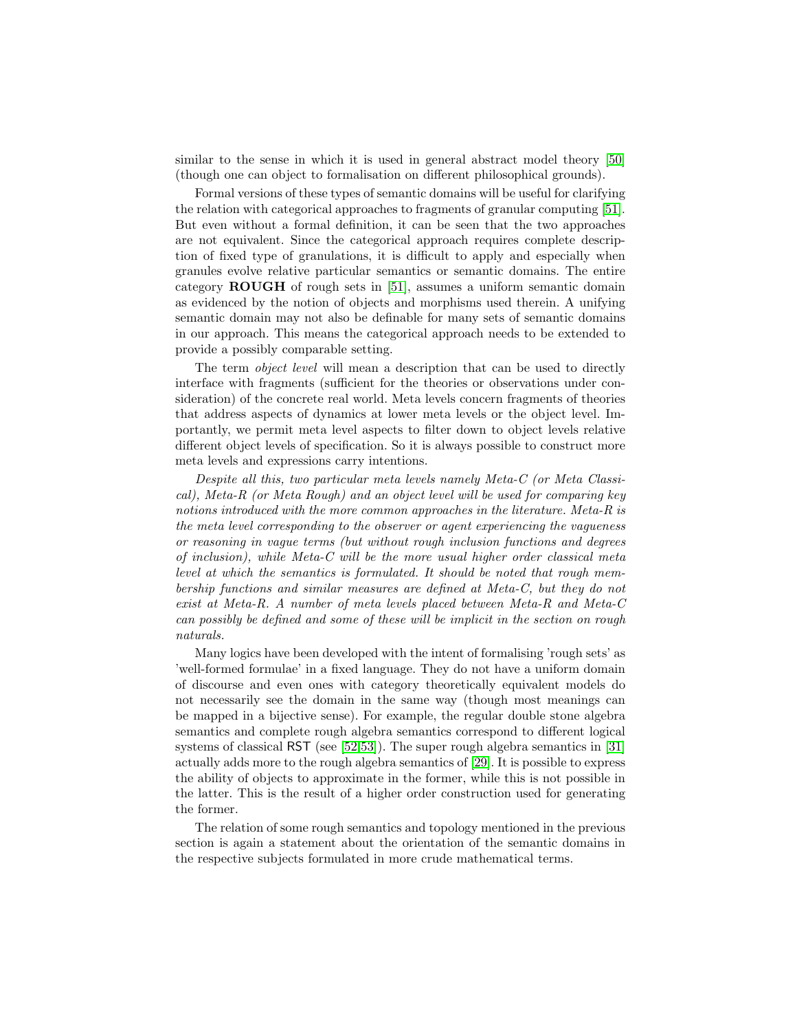similar to the sense in which it is used in general abstract model theory [\[50\]](#page-56-1) (though one can object to formalisation on different philosophical grounds).

Formal versions of these types of semantic domains will be useful for clarifying the relation with categorical approaches to fragments of granular computing [\[51\]](#page-56-2). But even without a formal definition, it can be seen that the two approaches are not equivalent. Since the categorical approach requires complete description of fixed type of granulations, it is difficult to apply and especially when granules evolve relative particular semantics or semantic domains. The entire category ROUGH of rough sets in [\[51\]](#page-56-2), assumes a uniform semantic domain as evidenced by the notion of objects and morphisms used therein. A unifying semantic domain may not also be definable for many sets of semantic domains in our approach. This means the categorical approach needs to be extended to provide a possibly comparable setting.

The term object level will mean a description that can be used to directly interface with fragments (sufficient for the theories or observations under consideration) of the concrete real world. Meta levels concern fragments of theories that address aspects of dynamics at lower meta levels or the object level. Importantly, we permit meta level aspects to filter down to object levels relative different object levels of specification. So it is always possible to construct more meta levels and expressions carry intentions.

Despite all this, two particular meta levels namely Meta-C (or Meta Classical), Meta-R (or Meta Rough) and an object level will be used for comparing key notions introduced with the more common approaches in the literature. Meta-R is the meta level corresponding to the observer or agent experiencing the vagueness or reasoning in vague terms (but without rough inclusion functions and degrees of inclusion), while Meta-C will be the more usual higher order classical meta level at which the semantics is formulated. It should be noted that rough membership functions and similar measures are defined at Meta-C, but they do not exist at Meta-R. A number of meta levels placed between Meta-R and Meta-C can possibly be defined and some of these will be implicit in the section on rough naturals.

Many logics have been developed with the intent of formalising 'rough sets' as 'well-formed formulae' in a fixed language. They do not have a uniform domain of discourse and even ones with category theoretically equivalent models do not necessarily see the domain in the same way (though most meanings can be mapped in a bijective sense). For example, the regular double stone algebra semantics and complete rough algebra semantics correspond to different logical systems of classical RST (see [\[52,](#page-56-3)[53\]](#page-56-4)). The super rough algebra semantics in [\[31\]](#page-55-3) actually adds more to the rough algebra semantics of [\[29\]](#page-55-1). It is possible to express the ability of objects to approximate in the former, while this is not possible in the latter. This is the result of a higher order construction used for generating the former.

The relation of some rough semantics and topology mentioned in the previous section is again a statement about the orientation of the semantic domains in the respective subjects formulated in more crude mathematical terms.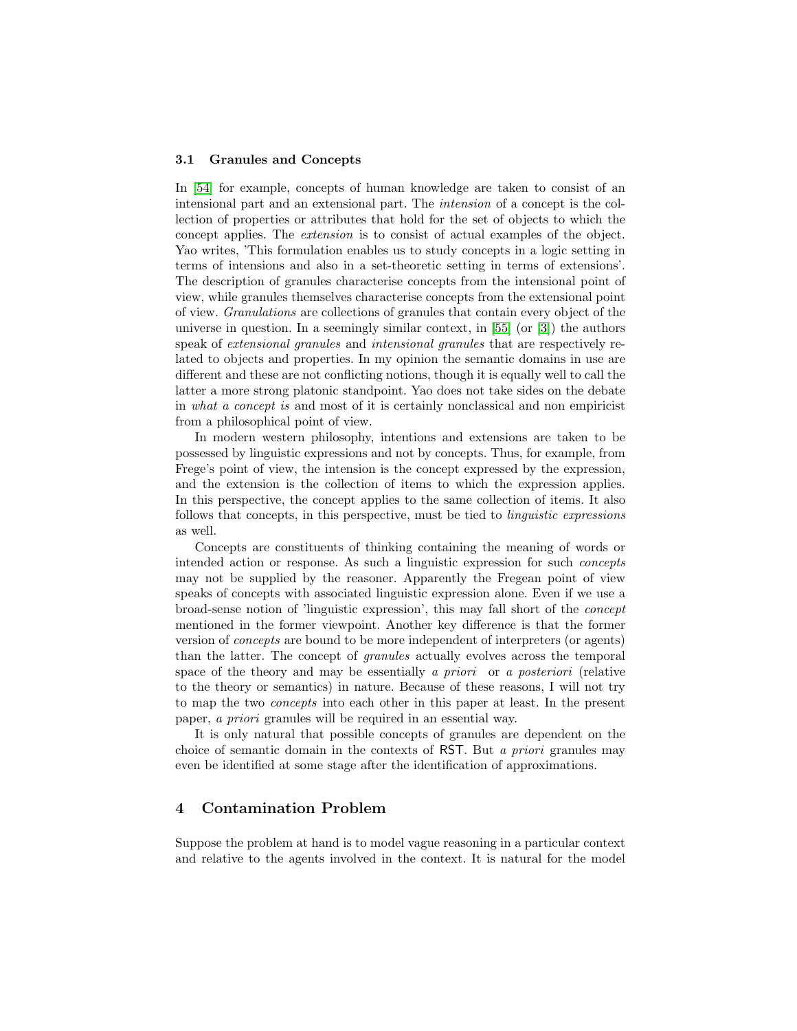#### 3.1 Granules and Concepts

In [\[54\]](#page-56-5) for example, concepts of human knowledge are taken to consist of an intensional part and an extensional part. The intension of a concept is the collection of properties or attributes that hold for the set of objects to which the concept applies. The extension is to consist of actual examples of the object. Yao writes, 'This formulation enables us to study concepts in a logic setting in terms of intensions and also in a set-theoretic setting in terms of extensions'. The description of granules characterise concepts from the intensional point of view, while granules themselves characterise concepts from the extensional point of view. Granulations are collections of granules that contain every object of the universe in question. In a seemingly similar context, in [\[55\]](#page-56-6) (or [\[3\]](#page-54-0)) the authors speak of extensional granules and intensional granules that are respectively related to objects and properties. In my opinion the semantic domains in use are different and these are not conflicting notions, though it is equally well to call the latter a more strong platonic standpoint. Yao does not take sides on the debate in what a concept is and most of it is certainly nonclassical and non empiricist from a philosophical point of view.

In modern western philosophy, intentions and extensions are taken to be possessed by linguistic expressions and not by concepts. Thus, for example, from Frege's point of view, the intension is the concept expressed by the expression, and the extension is the collection of items to which the expression applies. In this perspective, the concept applies to the same collection of items. It also follows that concepts, in this perspective, must be tied to linguistic expressions as well.

Concepts are constituents of thinking containing the meaning of words or intended action or response. As such a linguistic expression for such concepts may not be supplied by the reasoner. Apparently the Fregean point of view speaks of concepts with associated linguistic expression alone. Even if we use a broad-sense notion of 'linguistic expression', this may fall short of the concept mentioned in the former viewpoint. Another key difference is that the former version of concepts are bound to be more independent of interpreters (or agents) than the latter. The concept of granules actually evolves across the temporal space of the theory and may be essentially a priori or a posteriori (relative to the theory or semantics) in nature. Because of these reasons, I will not try to map the two concepts into each other in this paper at least. In the present paper, a priori granules will be required in an essential way.

It is only natural that possible concepts of granules are dependent on the choice of semantic domain in the contexts of RST. But a priori granules may even be identified at some stage after the identification of approximations.

## 4 Contamination Problem

Suppose the problem at hand is to model vague reasoning in a particular context and relative to the agents involved in the context. It is natural for the model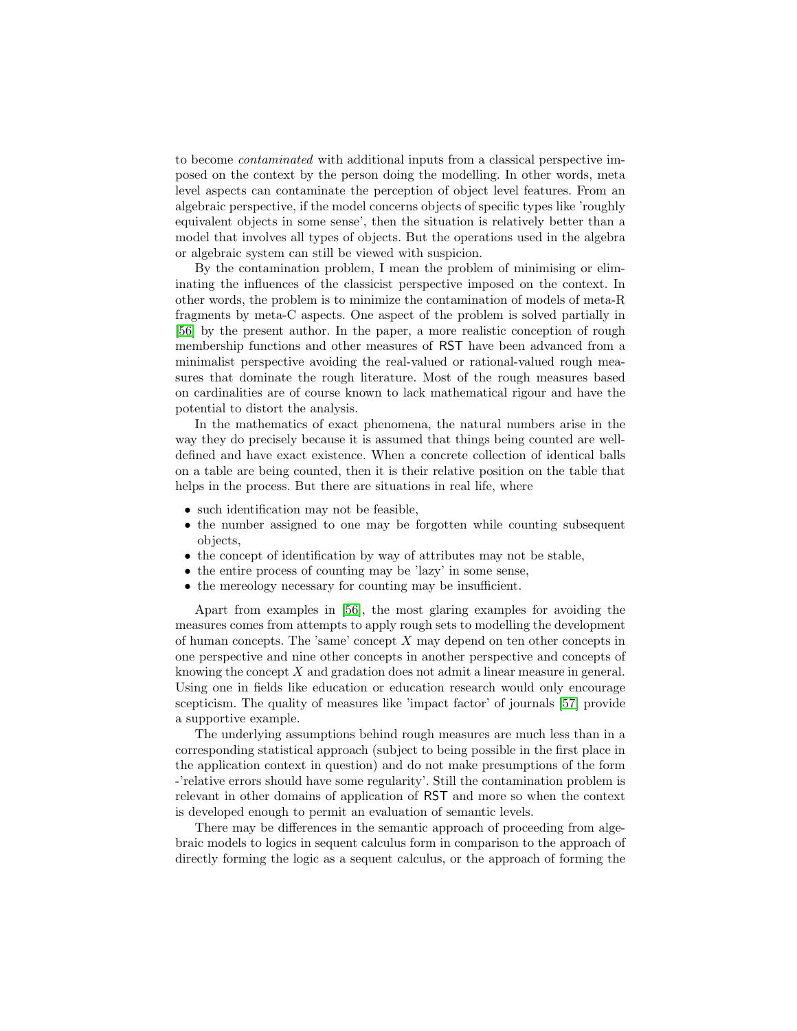to become contaminated with additional inputs from a classical perspective imposed on the context by the person doing the modelling. In other words, meta level aspects can contaminate the perception of object level features. From an algebraic perspective, if the model concerns objects of specific types like 'roughly equivalent objects in some sense', then the situation is relatively better than a model that involves all types of objects. But the operations used in the algebra or algebraic system can still be viewed with suspicion.

By the contamination problem, I mean the problem of minimising or eliminating the influences of the classicist perspective imposed on the context. In other words, the problem is to minimize the contamination of models of meta-R fragments by meta-C aspects. One aspect of the problem is solved partially in [\[56\]](#page-56-7) by the present author. In the paper, a more realistic conception of rough membership functions and other measures of RST have been advanced from a minimalist perspective avoiding the real-valued or rational-valued rough measures that dominate the rough literature. Most of the rough measures based on cardinalities are of course known to lack mathematical rigour and have the potential to distort the analysis.

In the mathematics of exact phenomena, the natural numbers arise in the way they do precisely because it is assumed that things being counted are welldefined and have exact existence. When a concrete collection of identical balls on a table are being counted, then it is their relative position on the table that helps in the process. But there are situations in real life, where

- such identification may not be feasible,
- the number assigned to one may be forgotten while counting subsequent objects,
- the concept of identification by way of attributes may not be stable,
- the entire process of counting may be 'lazy' in some sense,
- the mereology necessary for counting may be insufficient.

Apart from examples in [\[56\]](#page-56-7), the most glaring examples for avoiding the measures comes from attempts to apply rough sets to modelling the development of human concepts. The 'same' concept  $X$  may depend on ten other concepts in one perspective and nine other concepts in another perspective and concepts of knowing the concept X and gradation does not admit a linear measure in general. Using one in fields like education or education research would only encourage scepticism. The quality of measures like 'impact factor' of journals [\[57\]](#page-56-8) provide a supportive example.

The underlying assumptions behind rough measures are much less than in a corresponding statistical approach (subject to being possible in the first place in the application context in question) and do not make presumptions of the form -'relative errors should have some regularity'. Still the contamination problem is relevant in other domains of application of RST and more so when the context is developed enough to permit an evaluation of semantic levels.

There may be differences in the semantic approach of proceeding from algebraic models to logics in sequent calculus form in comparison to the approach of directly forming the logic as a sequent calculus, or the approach of forming the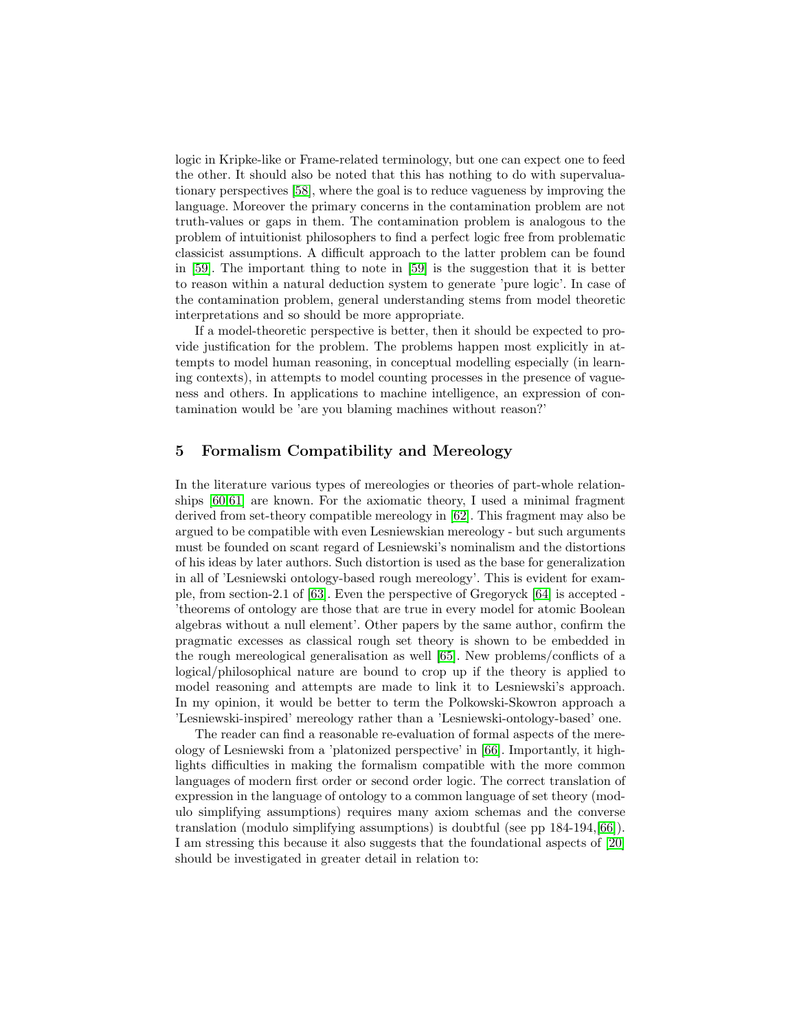logic in Kripke-like or Frame-related terminology, but one can expect one to feed the other. It should also be noted that this has nothing to do with supervaluationary perspectives [\[58\]](#page-56-9), where the goal is to reduce vagueness by improving the language. Moreover the primary concerns in the contamination problem are not truth-values or gaps in them. The contamination problem is analogous to the problem of intuitionist philosophers to find a perfect logic free from problematic classicist assumptions. A difficult approach to the latter problem can be found in [\[59\]](#page-56-10). The important thing to note in [\[59\]](#page-56-10) is the suggestion that it is better to reason within a natural deduction system to generate 'pure logic'. In case of the contamination problem, general understanding stems from model theoretic interpretations and so should be more appropriate.

If a model-theoretic perspective is better, then it should be expected to provide justification for the problem. The problems happen most explicitly in attempts to model human reasoning, in conceptual modelling especially (in learning contexts), in attempts to model counting processes in the presence of vagueness and others. In applications to machine intelligence, an expression of contamination would be 'are you blaming machines without reason?'

## 5 Formalism Compatibility and Mereology

In the literature various types of mereologies or theories of part-whole relationships [\[60](#page-56-11)[,61\]](#page-56-12) are known. For the axiomatic theory, I used a minimal fragment derived from set-theory compatible mereology in [\[62\]](#page-56-13). This fragment may also be argued to be compatible with even Lesniewskian mereology - but such arguments must be founded on scant regard of Lesniewski's nominalism and the distortions of his ideas by later authors. Such distortion is used as the base for generalization in all of 'Lesniewski ontology-based rough mereology'. This is evident for example, from section-2.1 of [\[63\]](#page-56-14). Even the perspective of Gregoryck [\[64\]](#page-56-15) is accepted - 'theorems of ontology are those that are true in every model for atomic Boolean algebras without a null element'. Other papers by the same author, confirm the pragmatic excesses as classical rough set theory is shown to be embedded in the rough mereological generalisation as well [\[65\]](#page-56-16). New problems/conflicts of a logical/philosophical nature are bound to crop up if the theory is applied to model reasoning and attempts are made to link it to Lesniewski's approach. In my opinion, it would be better to term the Polkowski-Skowron approach a 'Lesniewski-inspired' mereology rather than a 'Lesniewski-ontology-based' one.

The reader can find a reasonable re-evaluation of formal aspects of the mereology of Lesniewski from a 'platonized perspective' in [\[66\]](#page-56-17). Importantly, it highlights difficulties in making the formalism compatible with the more common languages of modern first order or second order logic. The correct translation of expression in the language of ontology to a common language of set theory (modulo simplifying assumptions) requires many axiom schemas and the converse translation (modulo simplifying assumptions) is doubtful (see pp 184-194,[\[66\]](#page-56-17)). I am stressing this because it also suggests that the foundational aspects of [\[20\]](#page-54-17) should be investigated in greater detail in relation to: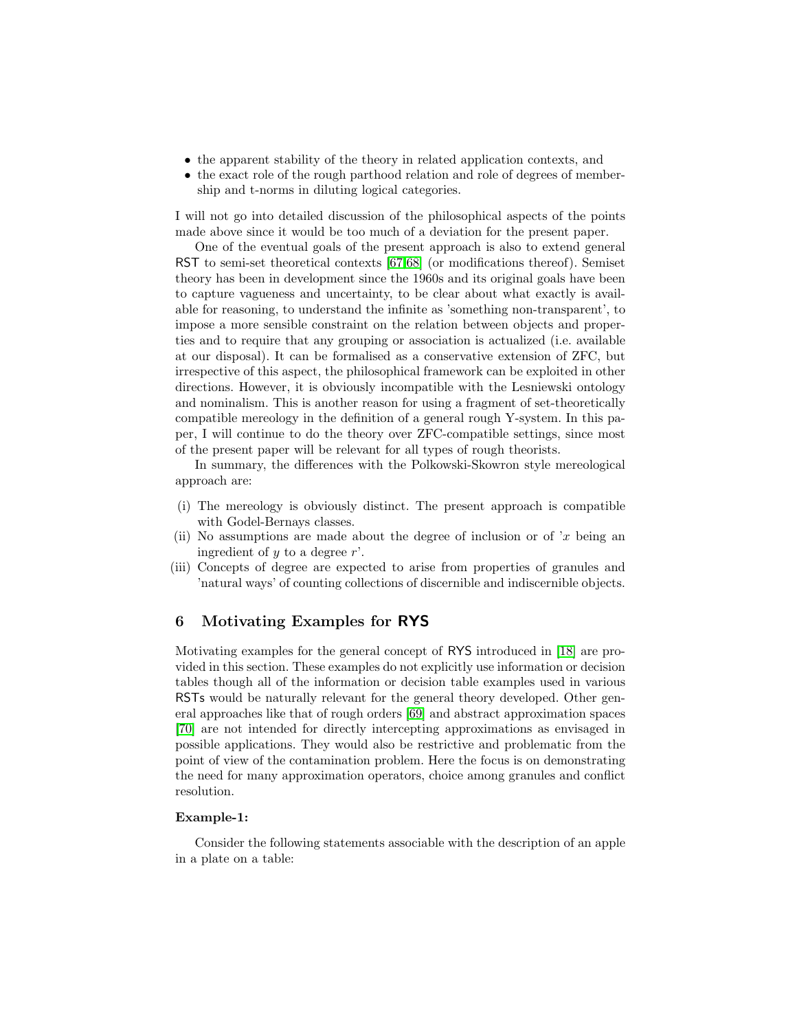- the apparent stability of the theory in related application contexts, and
- the exact role of the rough parthood relation and role of degrees of membership and t-norms in diluting logical categories.

I will not go into detailed discussion of the philosophical aspects of the points made above since it would be too much of a deviation for the present paper.

One of the eventual goals of the present approach is also to extend general RST to semi-set theoretical contexts [\[67,](#page-56-18)[68\]](#page-56-19) (or modifications thereof). Semiset theory has been in development since the 1960s and its original goals have been to capture vagueness and uncertainty, to be clear about what exactly is available for reasoning, to understand the infinite as 'something non-transparent', to impose a more sensible constraint on the relation between objects and properties and to require that any grouping or association is actualized (i.e. available at our disposal). It can be formalised as a conservative extension of ZFC, but irrespective of this aspect, the philosophical framework can be exploited in other directions. However, it is obviously incompatible with the Lesniewski ontology and nominalism. This is another reason for using a fragment of set-theoretically compatible mereology in the definition of a general rough Y-system. In this paper, I will continue to do the theory over ZFC-compatible settings, since most of the present paper will be relevant for all types of rough theorists.

In summary, the differences with the Polkowski-Skowron style mereological approach are:

- (i) The mereology is obviously distinct. The present approach is compatible with Godel-Bernays classes.
- (ii) No assumptions are made about the degree of inclusion or of  $x$  being an ingredient of  $y$  to a degree  $r'$ .
- (iii) Concepts of degree are expected to arise from properties of granules and 'natural ways' of counting collections of discernible and indiscernible objects.

## 6 Motivating Examples for RYS

Motivating examples for the general concept of RYS introduced in [\[18\]](#page-54-15) are provided in this section. These examples do not explicitly use information or decision tables though all of the information or decision table examples used in various RSTs would be naturally relevant for the general theory developed. Other general approaches like that of rough orders [\[69\]](#page-56-20) and abstract approximation spaces [\[70\]](#page-56-21) are not intended for directly intercepting approximations as envisaged in possible applications. They would also be restrictive and problematic from the point of view of the contamination problem. Here the focus is on demonstrating the need for many approximation operators, choice among granules and conflict resolution.

#### Example-1:

Consider the following statements associable with the description of an apple in a plate on a table: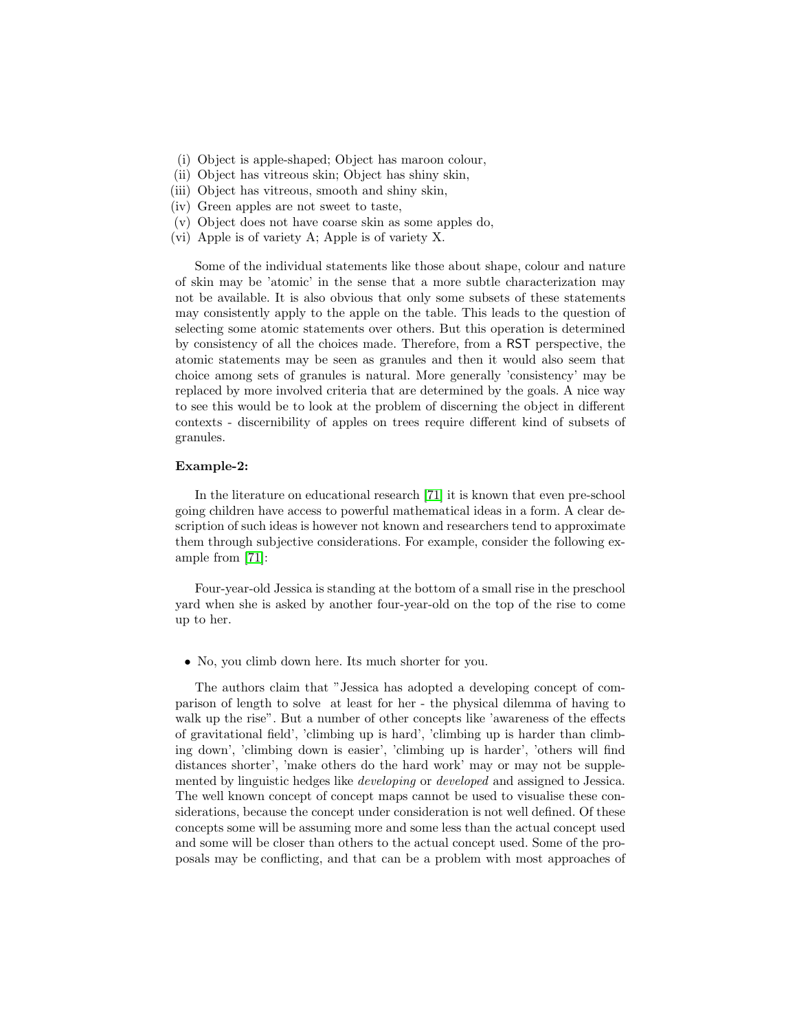- (i) Object is apple-shaped; Object has maroon colour,
- (ii) Object has vitreous skin; Object has shiny skin,
- (iii) Object has vitreous, smooth and shiny skin,
- (iv) Green apples are not sweet to taste,
- (v) Object does not have coarse skin as some apples do,
- (vi) Apple is of variety A; Apple is of variety X.

Some of the individual statements like those about shape, colour and nature of skin may be 'atomic' in the sense that a more subtle characterization may not be available. It is also obvious that only some subsets of these statements may consistently apply to the apple on the table. This leads to the question of selecting some atomic statements over others. But this operation is determined by consistency of all the choices made. Therefore, from a RST perspective, the atomic statements may be seen as granules and then it would also seem that choice among sets of granules is natural. More generally 'consistency' may be replaced by more involved criteria that are determined by the goals. A nice way to see this would be to look at the problem of discerning the object in different contexts - discernibility of apples on trees require different kind of subsets of granules.

#### Example-2:

In the literature on educational research [\[71\]](#page-56-22) it is known that even pre-school going children have access to powerful mathematical ideas in a form. A clear description of such ideas is however not known and researchers tend to approximate them through subjective considerations. For example, consider the following example from [\[71\]](#page-56-22):

Four-year-old Jessica is standing at the bottom of a small rise in the preschool yard when she is asked by another four-year-old on the top of the rise to come up to her.

• No, you climb down here. Its much shorter for you.

The authors claim that "Jessica has adopted a developing concept of comparison of length to solve at least for her - the physical dilemma of having to walk up the rise". But a number of other concepts like 'awareness of the effects of gravitational field', 'climbing up is hard', 'climbing up is harder than climbing down', 'climbing down is easier', 'climbing up is harder', 'others will find distances shorter', 'make others do the hard work' may or may not be supplemented by linguistic hedges like developing or developed and assigned to Jessica. The well known concept of concept maps cannot be used to visualise these considerations, because the concept under consideration is not well defined. Of these concepts some will be assuming more and some less than the actual concept used and some will be closer than others to the actual concept used. Some of the proposals may be conflicting, and that can be a problem with most approaches of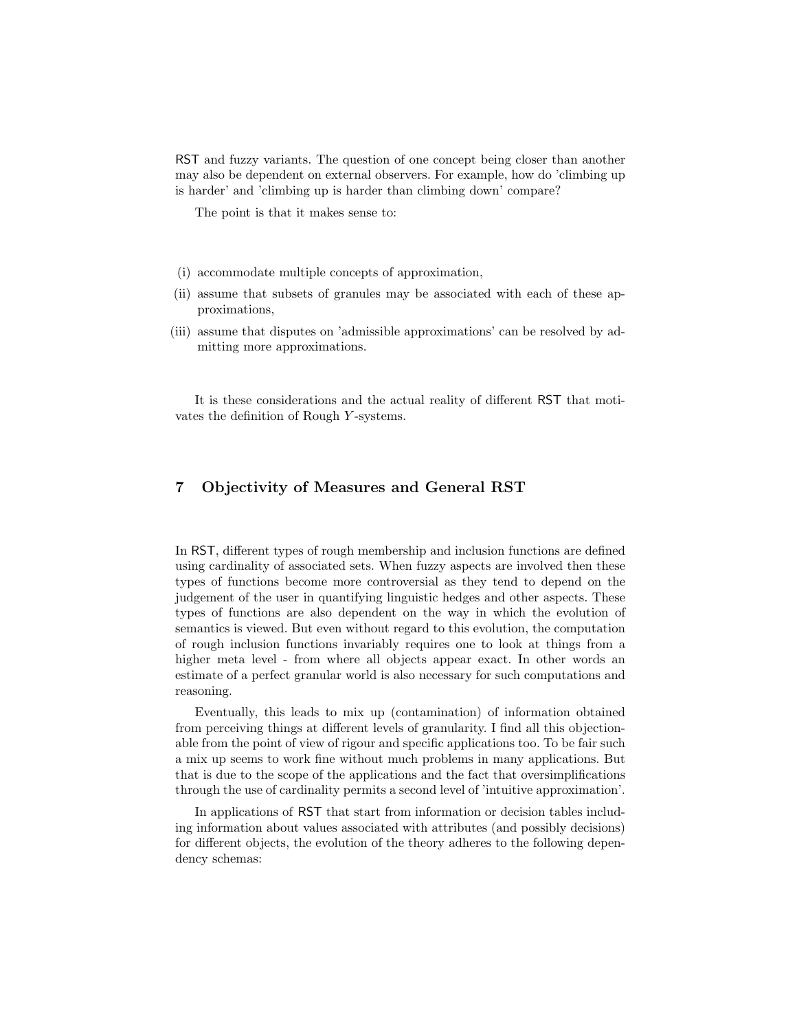RST and fuzzy variants. The question of one concept being closer than another may also be dependent on external observers. For example, how do 'climbing up is harder' and 'climbing up is harder than climbing down' compare?

The point is that it makes sense to:

- (i) accommodate multiple concepts of approximation,
- (ii) assume that subsets of granules may be associated with each of these approximations,
- (iii) assume that disputes on 'admissible approximations' can be resolved by admitting more approximations.

It is these considerations and the actual reality of different RST that motivates the definition of Rough Y -systems.

## 7 Objectivity of Measures and General RST

In RST, different types of rough membership and inclusion functions are defined using cardinality of associated sets. When fuzzy aspects are involved then these types of functions become more controversial as they tend to depend on the judgement of the user in quantifying linguistic hedges and other aspects. These types of functions are also dependent on the way in which the evolution of semantics is viewed. But even without regard to this evolution, the computation of rough inclusion functions invariably requires one to look at things from a higher meta level - from where all objects appear exact. In other words an estimate of a perfect granular world is also necessary for such computations and reasoning.

Eventually, this leads to mix up (contamination) of information obtained from perceiving things at different levels of granularity. I find all this objectionable from the point of view of rigour and specific applications too. To be fair such a mix up seems to work fine without much problems in many applications. But that is due to the scope of the applications and the fact that oversimplifications through the use of cardinality permits a second level of 'intuitive approximation'.

In applications of RST that start from information or decision tables including information about values associated with attributes (and possibly decisions) for different objects, the evolution of the theory adheres to the following dependency schemas: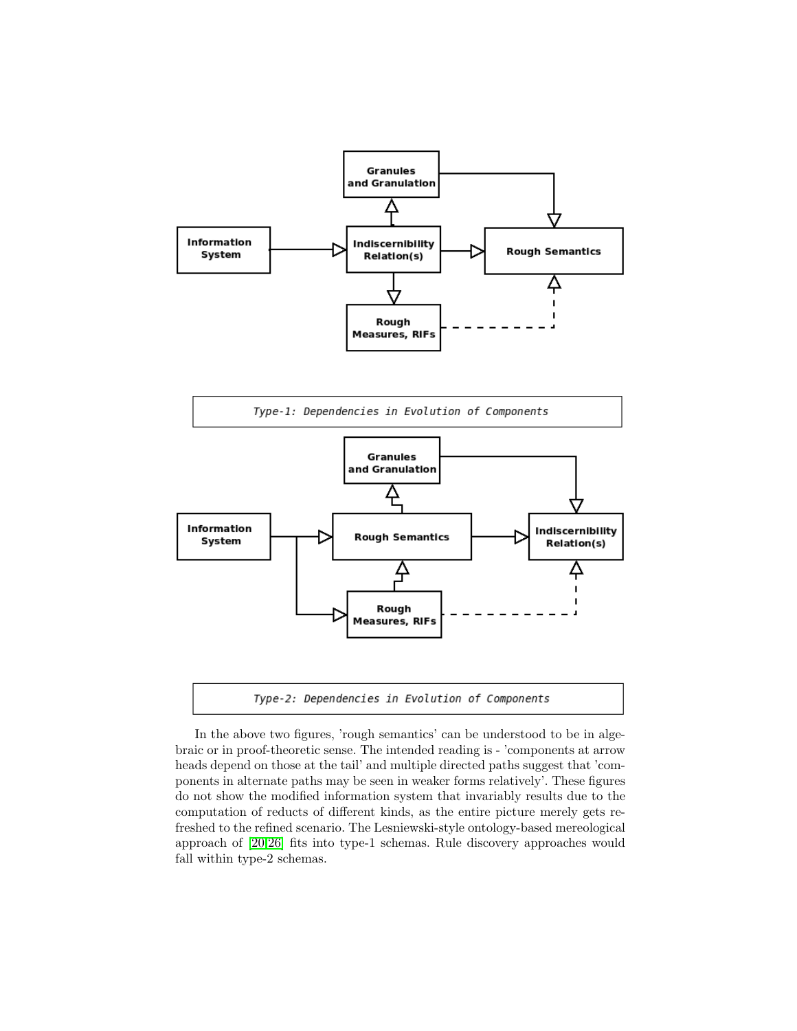



Type-2: Dependencies in Evolution of Components

In the above two figures, 'rough semantics' can be understood to be in algebraic or in proof-theoretic sense. The intended reading is - 'components at arrow heads depend on those at the tail' and multiple directed paths suggest that 'components in alternate paths may be seen in weaker forms relatively'. These figures do not show the modified information system that invariably results due to the computation of reducts of different kinds, as the entire picture merely gets refreshed to the refined scenario. The Lesniewski-style ontology-based mereological approach of [\[20](#page-54-17)[,26\]](#page-54-23) fits into type-1 schemas. Rule discovery approaches would fall within type-2 schemas.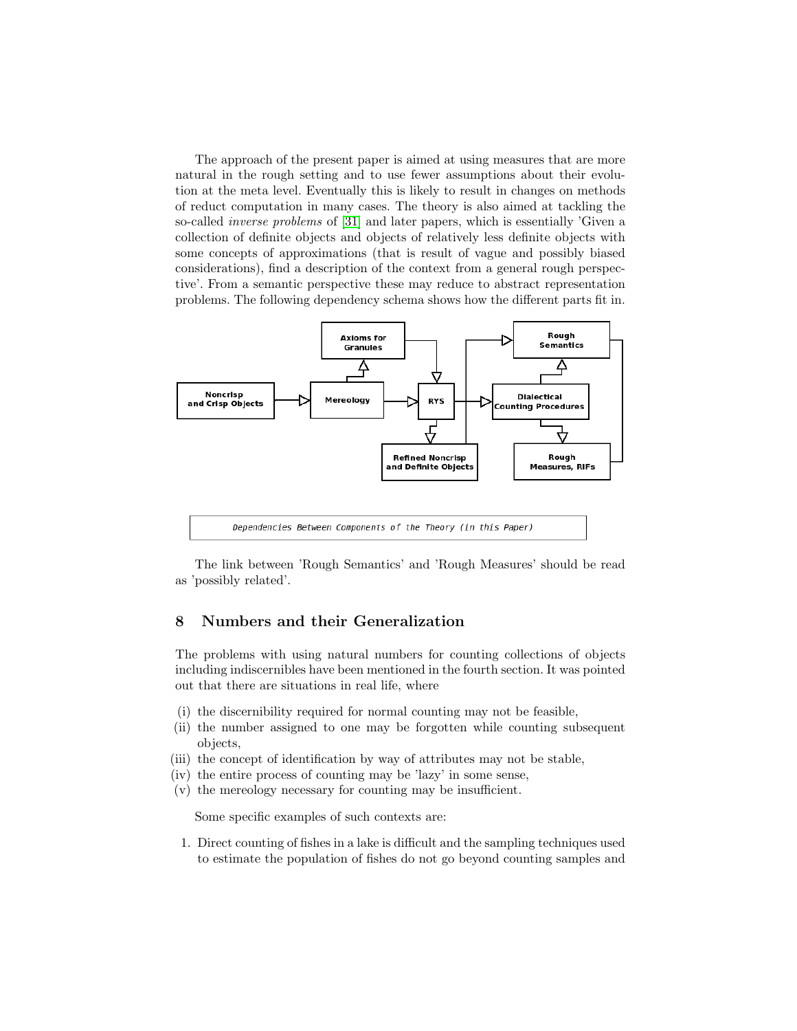The approach of the present paper is aimed at using measures that are more natural in the rough setting and to use fewer assumptions about their evolution at the meta level. Eventually this is likely to result in changes on methods of reduct computation in many cases. The theory is also aimed at tackling the so-called inverse problems of [\[31\]](#page-55-3) and later papers, which is essentially 'Given a collection of definite objects and objects of relatively less definite objects with some concepts of approximations (that is result of vague and possibly biased considerations), find a description of the context from a general rough perspective'. From a semantic perspective these may reduce to abstract representation problems. The following dependency schema shows how the different parts fit in.



The link between 'Rough Semantics' and 'Rough Measures' should be read as 'possibly related'.

## 8 Numbers and their Generalization

The problems with using natural numbers for counting collections of objects including indiscernibles have been mentioned in the fourth section. It was pointed out that there are situations in real life, where

- (i) the discernibility required for normal counting may not be feasible,
- (ii) the number assigned to one may be forgotten while counting subsequent objects,
- (iii) the concept of identification by way of attributes may not be stable,
- (iv) the entire process of counting may be 'lazy' in some sense,
- (v) the mereology necessary for counting may be insufficient.

Some specific examples of such contexts are:

1. Direct counting of fishes in a lake is difficult and the sampling techniques used to estimate the population of fishes do not go beyond counting samples and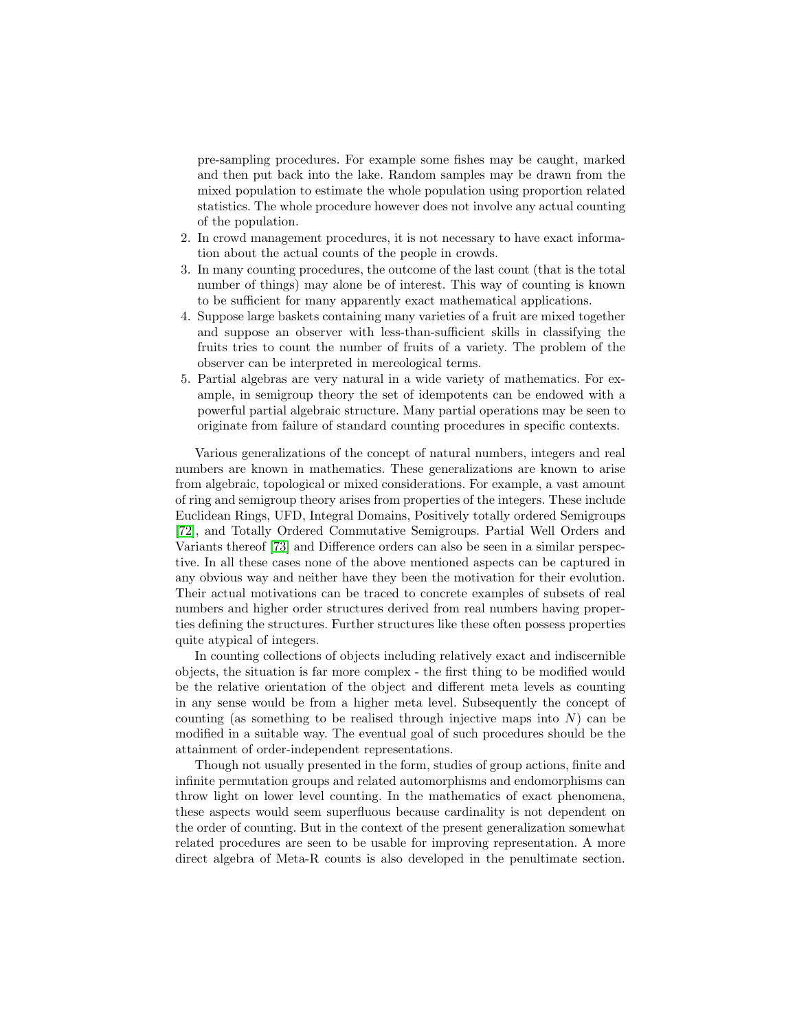pre-sampling procedures. For example some fishes may be caught, marked and then put back into the lake. Random samples may be drawn from the mixed population to estimate the whole population using proportion related statistics. The whole procedure however does not involve any actual counting of the population.

- 2. In crowd management procedures, it is not necessary to have exact information about the actual counts of the people in crowds.
- 3. In many counting procedures, the outcome of the last count (that is the total number of things) may alone be of interest. This way of counting is known to be sufficient for many apparently exact mathematical applications.
- 4. Suppose large baskets containing many varieties of a fruit are mixed together and suppose an observer with less-than-sufficient skills in classifying the fruits tries to count the number of fruits of a variety. The problem of the observer can be interpreted in mereological terms.
- 5. Partial algebras are very natural in a wide variety of mathematics. For example, in semigroup theory the set of idempotents can be endowed with a powerful partial algebraic structure. Many partial operations may be seen to originate from failure of standard counting procedures in specific contexts.

Various generalizations of the concept of natural numbers, integers and real numbers are known in mathematics. These generalizations are known to arise from algebraic, topological or mixed considerations. For example, a vast amount of ring and semigroup theory arises from properties of the integers. These include Euclidean Rings, UFD, Integral Domains, Positively totally ordered Semigroups [\[72\]](#page-56-23), and Totally Ordered Commutative Semigroups. Partial Well Orders and Variants thereof [\[73\]](#page-56-24) and Difference orders can also be seen in a similar perspective. In all these cases none of the above mentioned aspects can be captured in any obvious way and neither have they been the motivation for their evolution. Their actual motivations can be traced to concrete examples of subsets of real numbers and higher order structures derived from real numbers having properties defining the structures. Further structures like these often possess properties quite atypical of integers.

In counting collections of objects including relatively exact and indiscernible objects, the situation is far more complex - the first thing to be modified would be the relative orientation of the object and different meta levels as counting in any sense would be from a higher meta level. Subsequently the concept of counting (as something to be realised through injective maps into  $N$ ) can be modified in a suitable way. The eventual goal of such procedures should be the attainment of order-independent representations.

Though not usually presented in the form, studies of group actions, finite and infinite permutation groups and related automorphisms and endomorphisms can throw light on lower level counting. In the mathematics of exact phenomena, these aspects would seem superfluous because cardinality is not dependent on the order of counting. But in the context of the present generalization somewhat related procedures are seen to be usable for improving representation. A more direct algebra of Meta-R counts is also developed in the penultimate section.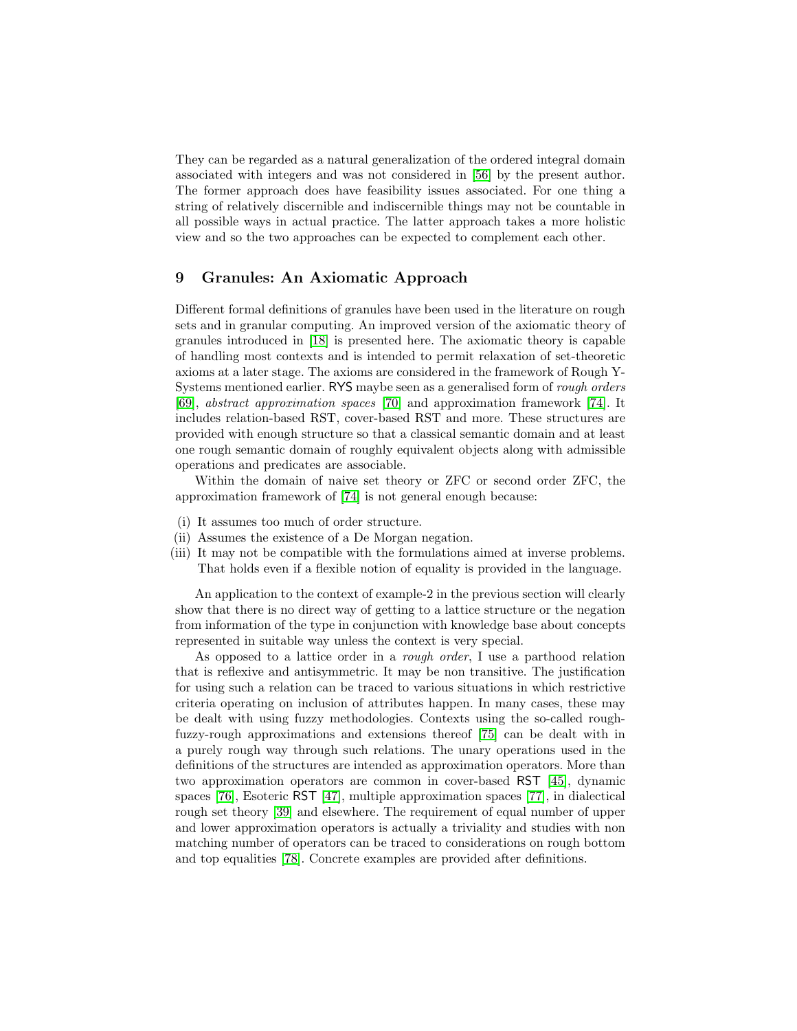They can be regarded as a natural generalization of the ordered integral domain associated with integers and was not considered in [\[56\]](#page-56-7) by the present author. The former approach does have feasibility issues associated. For one thing a string of relatively discernible and indiscernible things may not be countable in all possible ways in actual practice. The latter approach takes a more holistic view and so the two approaches can be expected to complement each other.

## 9 Granules: An Axiomatic Approach

Different formal definitions of granules have been used in the literature on rough sets and in granular computing. An improved version of the axiomatic theory of granules introduced in [\[18\]](#page-54-15) is presented here. The axiomatic theory is capable of handling most contexts and is intended to permit relaxation of set-theoretic axioms at a later stage. The axioms are considered in the framework of Rough Y-Systems mentioned earlier. RYS maybe seen as a generalised form of rough orders [\[69\]](#page-56-20), abstract approximation spaces [\[70\]](#page-56-21) and approximation framework [\[74\]](#page-56-25). It includes relation-based RST, cover-based RST and more. These structures are provided with enough structure so that a classical semantic domain and at least one rough semantic domain of roughly equivalent objects along with admissible operations and predicates are associable.

Within the domain of naive set theory or ZFC or second order ZFC, the approximation framework of [\[74\]](#page-56-25) is not general enough because:

- (i) It assumes too much of order structure.
- (ii) Assumes the existence of a De Morgan negation.
- (iii) It may not be compatible with the formulations aimed at inverse problems. That holds even if a flexible notion of equality is provided in the language.

An application to the context of example-2 in the previous section will clearly show that there is no direct way of getting to a lattice structure or the negation from information of the type in conjunction with knowledge base about concepts represented in suitable way unless the context is very special.

As opposed to a lattice order in a rough order, I use a parthood relation that is reflexive and antisymmetric. It may be non transitive. The justification for using such a relation can be traced to various situations in which restrictive criteria operating on inclusion of attributes happen. In many cases, these may be dealt with using fuzzy methodologies. Contexts using the so-called roughfuzzy-rough approximations and extensions thereof [\[75\]](#page-56-26) can be dealt with in a purely rough way through such relations. The unary operations used in the definitions of the structures are intended as approximation operators. More than two approximation operators are common in cover-based RST [\[45\]](#page-55-17), dynamic spaces [\[76\]](#page-57-0), Esoteric RST [\[47\]](#page-55-19), multiple approximation spaces [\[77\]](#page-57-1), in dialectical rough set theory [\[39\]](#page-55-11) and elsewhere. The requirement of equal number of upper and lower approximation operators is actually a triviality and studies with non matching number of operators can be traced to considerations on rough bottom and top equalities [\[78\]](#page-57-2). Concrete examples are provided after definitions.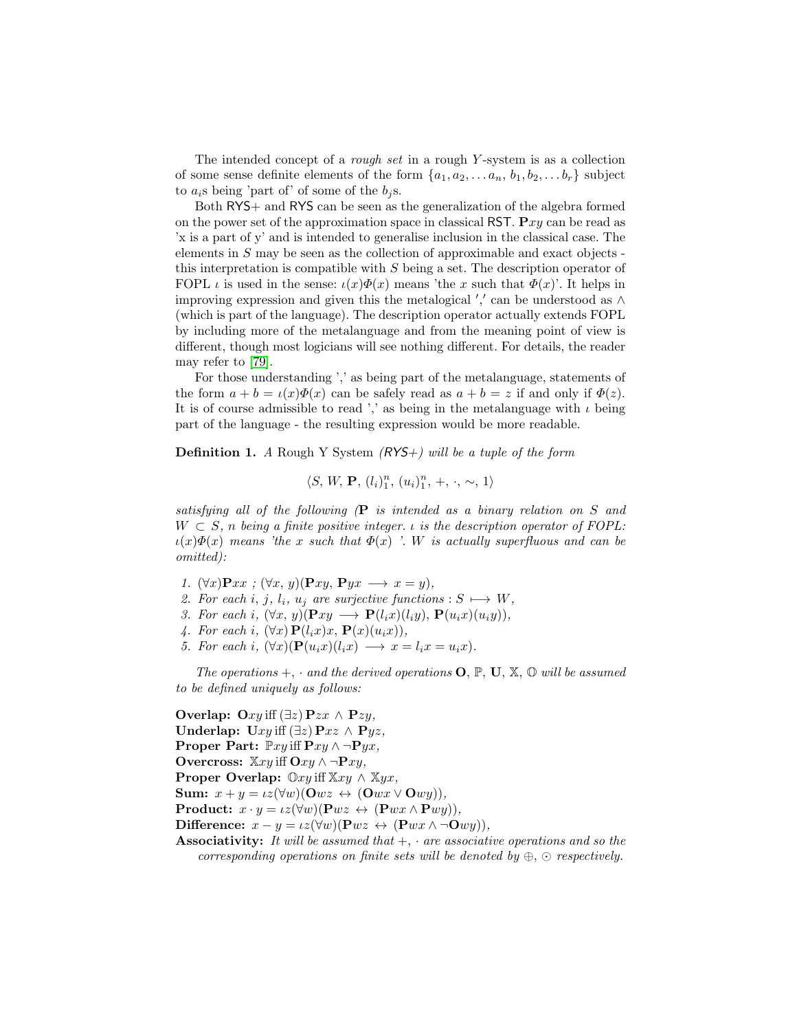The intended concept of a *rough set* in a rough Y-system is as a collection of some sense definite elements of the form  $\{a_1, a_2, \ldots a_n, b_1, b_2, \ldots b_r\}$  subject to  $a_i$ s being 'part of' of some of the  $b_i$ s.

Both RYS+ and RYS can be seen as the generalization of the algebra formed on the power set of the approximation space in classical RST.  $Pxy$  can be read as 'x is a part of y' and is intended to generalise inclusion in the classical case. The elements in S may be seen as the collection of approximable and exact objects this interpretation is compatible with S being a set. The description operator of FOPL  $\iota$  is used in the sense:  $\iota(x)\Phi(x)$  means 'the x such that  $\Phi(x)$ '. It helps in improving expression and given this the metalogical ',' can be understood as  $\wedge$ (which is part of the language). The description operator actually extends FOPL by including more of the metalanguage and from the meaning point of view is different, though most logicians will see nothing different. For details, the reader may refer to [\[79\]](#page-57-3).

For those understanding ',' as being part of the metalanguage, statements of the form  $a + b = \iota(x)\Phi(x)$  can be safely read as  $a + b = z$  if and only if  $\Phi(z)$ . It is of course admissible to read ',' as being in the metal anguage with  $\iota$  being part of the language - the resulting expression would be more readable.

**Definition 1.** A Rough Y System  $(RYS+)$  will be a tuple of the form

 $\langle S, W, \mathbf{P}, (l_i)_1^n, (u_i)_1^n, +, \cdot, \sim, 1 \rangle$ 

satisfying all of the following  $(P \text{ is intended as a binary relation on } S \text{ and } S \text{)}$  $W \subset S$ , n being a finite positive integer. *ι* is the description operator of FOPL:  $\iota(x)\Phi(x)$  means 'the x such that  $\Phi(x)$ '. W is actually superfluous and can be omitted):

- 1.  $(\forall x)\mathbf{P} xx$ ;  $(\forall x, y)(\mathbf{P} xy, \mathbf{P} yx \rightarrow x = y),$
- 2. For each i, j,  $l_i$ ,  $u_j$  are surjective functions :  $S \mapsto W$ ,
- 3. For each i,  $(\forall x, y)(\mathbf{P} xy \rightarrow \mathbf{P}(l_ix)(l_iy), \mathbf{P}(u_ix)(u_iy)),$
- 4. For each i,  $(\forall x) P(l_i x) x, P(x)(u_i x)$ ,
- 5. For each i,  $(\forall x)(\mathbf{P}(u_i x)(l_i x) \longrightarrow x = l_i x = u_i x)$ .

The operations  $+$ ,  $\cdot$  and the derived operations **O**,  $\mathbb{P}$ , **U**,  $\mathbb{X}$ ,  $\mathbb{O}$  will be assumed to be defined uniquely as follows:

Overlap: Oxy iff  $(\exists z)$  Pzx  $\wedge$  Pzy, Underlap: Uxy iff  $(\exists z)$  Pxz ∧ Pyz, **Proper Part:**  $\mathbb{P}xy$  iff  $\mathbf{P}xy \wedge \neg \mathbf{P}yx$ , Overcross:  $\mathbb{X}xy$  iff Oxy  $\wedge \neg \mathbf{P}xy$ , **Proper Overlap:**  $\mathbb{O}xy$  iff  $\mathbb{X}xy \wedge \mathbb{X}yx$ , **Sum:**  $x + y = \iota z(\forall w)(\mathbf{O} wz \leftrightarrow (\mathbf{O} wx \vee \mathbf{O} wy)),$ **Product:**  $x \cdot y = \iota z(\forall w)(\mathbf{P} wz \leftrightarrow (\mathbf{P} wx \land \mathbf{P} wy)),$ Difference:  $x - y = \iota z(\forall w)(Pwz \leftrightarrow (Pwx \land \neg Owy)),$ **Associativity:** It will be assumed that  $+$ ,  $\cdot$  are associative operations and so the corresponding operations on finite sets will be denoted by  $\oplus$ ,  $\odot$  respectively.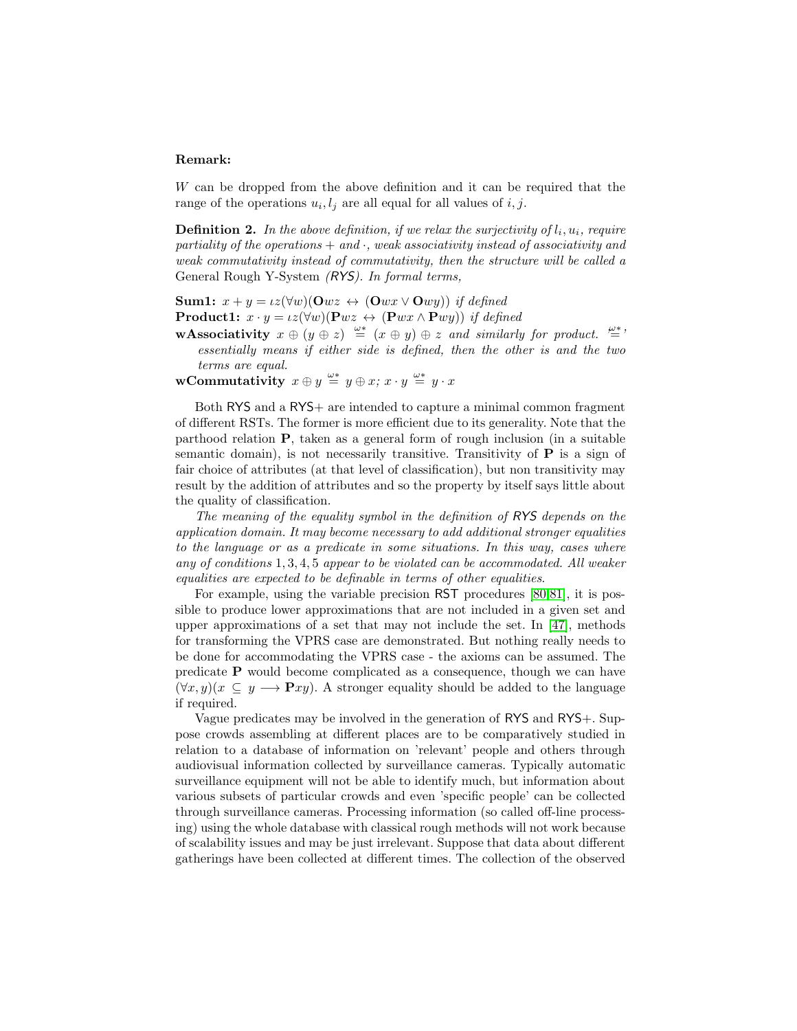#### Remark:

W can be dropped from the above definition and it can be required that the range of the operations  $u_i, l_j$  are all equal for all values of  $i, j$ .

**Definition 2.** In the above definition, if we relax the surjectivity of  $l_i, u_i$ , require partiality of the operations  $+$  and  $\cdot$ , weak associativity instead of associativity and weak commutativity instead of commutativity, then the structure will be called a General Rough Y-System (RYS). In formal terms,

**Sum1:**  $x + y = \iota z(\forall w)(\mathbf{O} wz \leftrightarrow (\mathbf{O} wx \vee \mathbf{O} wy))$  if defined

- **Product1:**  $x \cdot y = \iota z(\forall w)(\mathbf{P} wz \leftrightarrow (\mathbf{P} wx \land \mathbf{P} wy))$  if defined
- wAssociativity  $x \oplus (y \oplus z) \stackrel{\omega^*}{=} (x \oplus y) \oplus z$  and similarly for product.  $\stackrel{\omega^*}{=} \stackrel{\omega^*}{=}$ essentially means if either side is defined, then the other is and the two terms are equal.

wCommutativity  $x \oplus y \stackrel{\omega^*}{=} y \oplus x; x \cdot y \stackrel{\omega^*}{=} y \cdot x$ 

Both RYS and a RYS+ are intended to capture a minimal common fragment of different RSTs. The former is more efficient due to its generality. Note that the parthood relation P, taken as a general form of rough inclusion (in a suitable semantic domain), is not necessarily transitive. Transitivity of  $P$  is a sign of fair choice of attributes (at that level of classification), but non transitivity may result by the addition of attributes and so the property by itself says little about the quality of classification.

The meaning of the equality symbol in the definition of RYS depends on the application domain. It may become necessary to add additional stronger equalities to the language or as a predicate in some situations. In this way, cases where any of conditions 1, 3, 4, 5 appear to be violated can be accommodated. All weaker equalities are expected to be definable in terms of other equalities.

For example, using the variable precision RST procedures [\[80,](#page-57-4)[81\]](#page-57-5), it is possible to produce lower approximations that are not included in a given set and upper approximations of a set that may not include the set. In [\[47\]](#page-55-19), methods for transforming the VPRS case are demonstrated. But nothing really needs to be done for accommodating the VPRS case - the axioms can be assumed. The predicate P would become complicated as a consequence, though we can have  $(\forall x, y)(x \subseteq y \longrightarrow \mathbf{P}xy)$ . A stronger equality should be added to the language if required.

Vague predicates may be involved in the generation of RYS and RYS+. Suppose crowds assembling at different places are to be comparatively studied in relation to a database of information on 'relevant' people and others through audiovisual information collected by surveillance cameras. Typically automatic surveillance equipment will not be able to identify much, but information about various subsets of particular crowds and even 'specific people' can be collected through surveillance cameras. Processing information (so called off-line processing) using the whole database with classical rough methods will not work because of scalability issues and may be just irrelevant. Suppose that data about different gatherings have been collected at different times. The collection of the observed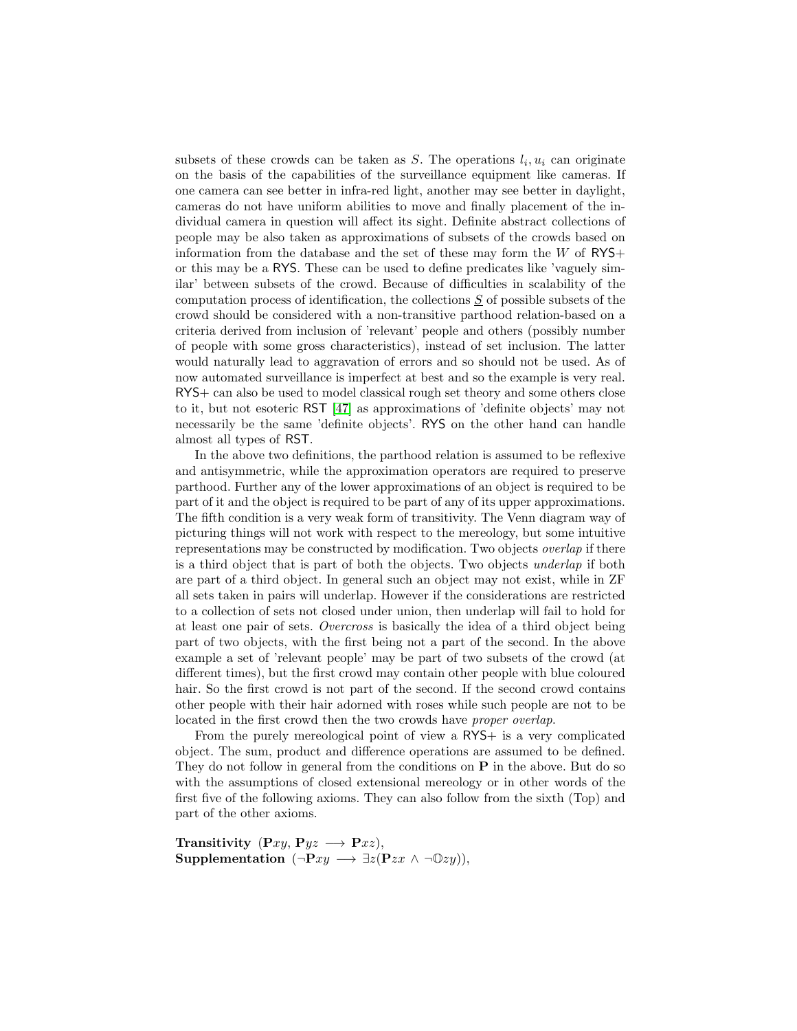subsets of these crowds can be taken as  $S$ . The operations  $l_i, u_i$  can originate on the basis of the capabilities of the surveillance equipment like cameras. If one camera can see better in infra-red light, another may see better in daylight, cameras do not have uniform abilities to move and finally placement of the individual camera in question will affect its sight. Definite abstract collections of people may be also taken as approximations of subsets of the crowds based on information from the database and the set of these may form the  $W$  of  $\mathsf{R} \mathsf{Y} \mathsf{S} +$ or this may be a RYS. These can be used to define predicates like 'vaguely similar' between subsets of the crowd. Because of difficulties in scalability of the computation process of identification, the collections  $S$  of possible subsets of the crowd should be considered with a non-transitive parthood relation-based on a criteria derived from inclusion of 'relevant' people and others (possibly number of people with some gross characteristics), instead of set inclusion. The latter would naturally lead to aggravation of errors and so should not be used. As of now automated surveillance is imperfect at best and so the example is very real. RYS+ can also be used to model classical rough set theory and some others close to it, but not esoteric RST [\[47\]](#page-55-19) as approximations of 'definite objects' may not necessarily be the same 'definite objects'. RYS on the other hand can handle almost all types of RST.

In the above two definitions, the parthood relation is assumed to be reflexive and antisymmetric, while the approximation operators are required to preserve parthood. Further any of the lower approximations of an object is required to be part of it and the object is required to be part of any of its upper approximations. The fifth condition is a very weak form of transitivity. The Venn diagram way of picturing things will not work with respect to the mereology, but some intuitive representations may be constructed by modification. Two objects overlap if there is a third object that is part of both the objects. Two objects underlap if both are part of a third object. In general such an object may not exist, while in ZF all sets taken in pairs will underlap. However if the considerations are restricted to a collection of sets not closed under union, then underlap will fail to hold for at least one pair of sets. Overcross is basically the idea of a third object being part of two objects, with the first being not a part of the second. In the above example a set of 'relevant people' may be part of two subsets of the crowd (at different times), but the first crowd may contain other people with blue coloured hair. So the first crowd is not part of the second. If the second crowd contains other people with their hair adorned with roses while such people are not to be located in the first crowd then the two crowds have proper overlap.

From the purely mereological point of view a RYS+ is a very complicated object. The sum, product and difference operations are assumed to be defined. They do not follow in general from the conditions on  $P$  in the above. But do so with the assumptions of closed extensional mereology or in other words of the first five of the following axioms. They can also follow from the sixth (Top) and part of the other axioms.

Transitivity  $(Py, Pyz \rightarrow Pxz)$ , Supplementation  $(\neg \mathbf{P} xy \rightarrow \exists z (\mathbf{P} zx \land \neg \mathbb{O} z y)),$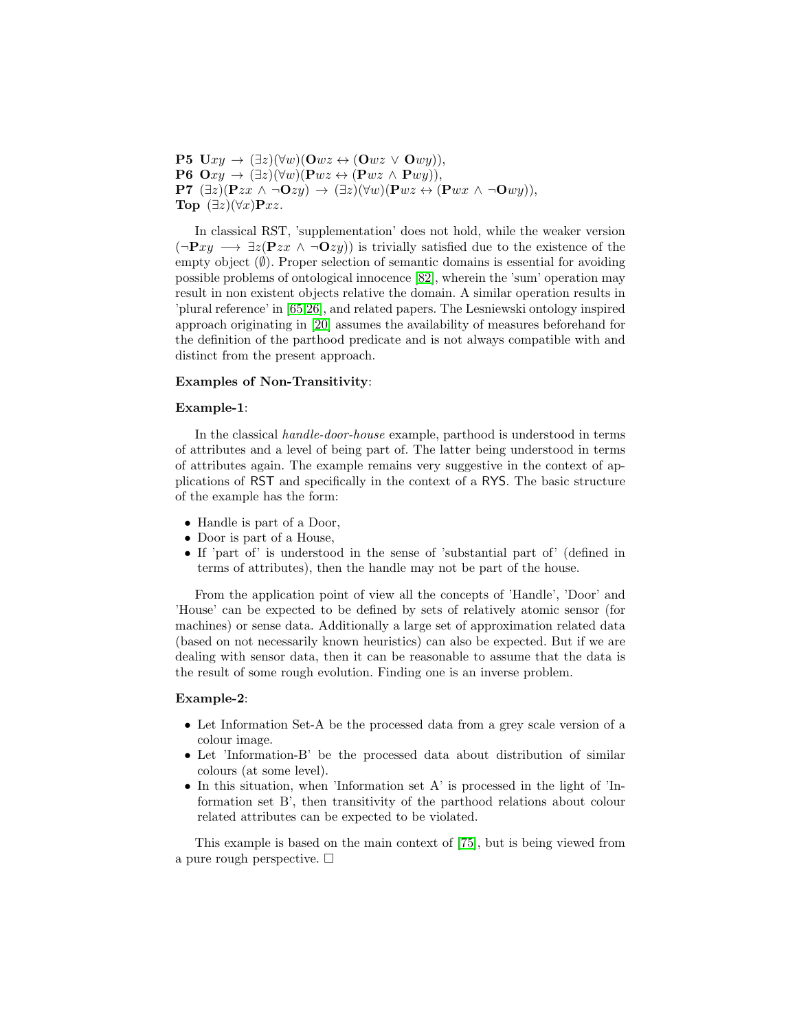**P5**  $Uxy \rightarrow (\exists z)(\forall w)(\mathbf{O} wz \leftrightarrow (\mathbf{O} wz \vee \mathbf{O} wy)),$ **P6**  $\mathbf{O}xy \rightarrow (\exists z)(\forall w)(\mathbf{P}wz \leftrightarrow (\mathbf{P}wz \land \mathbf{P}wy)),$ P7  $(\exists z)(Pzx \land \neg Ozy)$  →  $(\exists z)(\forall w)(Pwz \leftrightarrow (Pwx \land \neg Owy)),$ Top  $(\exists z)(\forall x)\mathbf{P}xz$ .

In classical RST, 'supplementation' does not hold, while the weaker version  $(\neg \mathbf{P} xy \longrightarrow \exists z (\mathbf{P} zx \land \neg \mathbf{O} z y))$  is trivially satisfied due to the existence of the empty object  $(\emptyset)$ . Proper selection of semantic domains is essential for avoiding possible problems of ontological innocence [\[82\]](#page-57-6), wherein the 'sum' operation may result in non existent objects relative the domain. A similar operation results in 'plural reference' in [\[65,](#page-56-16)[26\]](#page-54-23), and related papers. The Lesniewski ontology inspired approach originating in [\[20\]](#page-54-17) assumes the availability of measures beforehand for the definition of the parthood predicate and is not always compatible with and distinct from the present approach.

#### Examples of Non-Transitivity:

#### Example-1:

In the classical handle-door-house example, parthood is understood in terms of attributes and a level of being part of. The latter being understood in terms of attributes again. The example remains very suggestive in the context of applications of RST and specifically in the context of a RYS. The basic structure of the example has the form:

- Handle is part of a Door,
- Door is part of a House,
- If 'part of' is understood in the sense of 'substantial part of' (defined in terms of attributes), then the handle may not be part of the house.

From the application point of view all the concepts of 'Handle', 'Door' and 'House' can be expected to be defined by sets of relatively atomic sensor (for machines) or sense data. Additionally a large set of approximation related data (based on not necessarily known heuristics) can also be expected. But if we are dealing with sensor data, then it can be reasonable to assume that the data is the result of some rough evolution. Finding one is an inverse problem.

#### Example-2:

- Let Information Set-A be the processed data from a grey scale version of a colour image.
- Let 'Information-B' be the processed data about distribution of similar colours (at some level).
- In this situation, when 'Information set A' is processed in the light of 'Information set B', then transitivity of the parthood relations about colour related attributes can be expected to be violated.

This example is based on the main context of [\[75\]](#page-56-26), but is being viewed from a pure rough perspective.  $\square$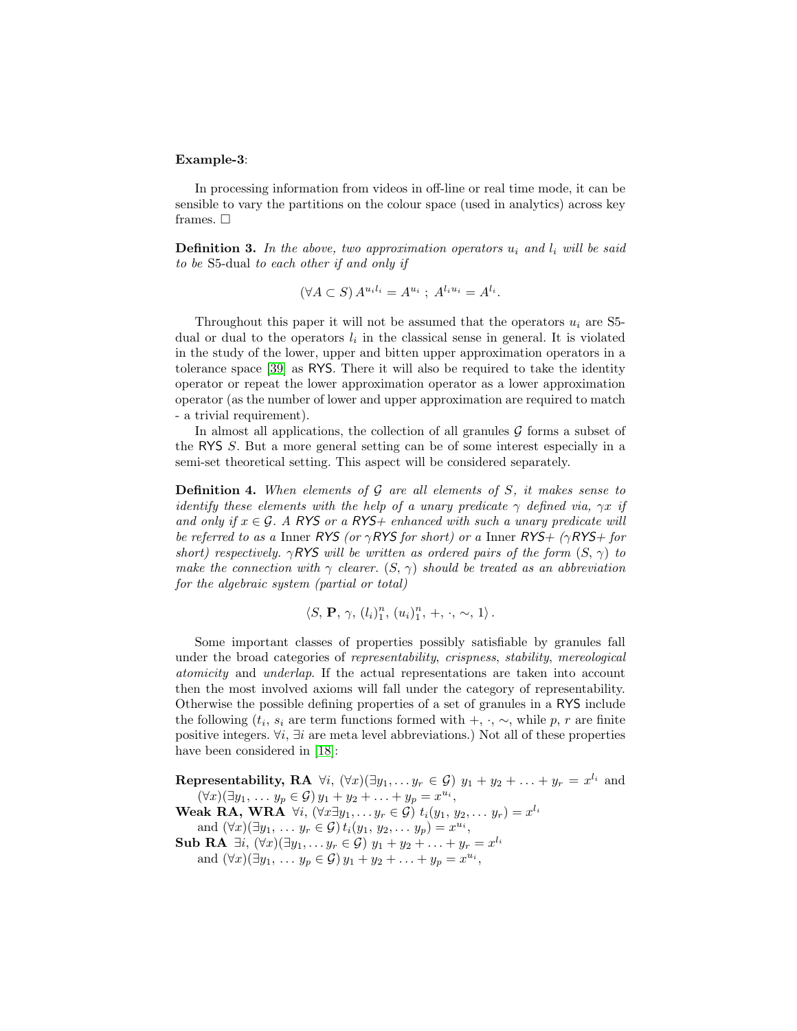#### Example-3:

In processing information from videos in off-line or real time mode, it can be sensible to vary the partitions on the colour space (used in analytics) across key frames.  $\square$ 

**Definition 3.** In the above, two approximation operators  $u_i$  and  $l_i$  will be said to be S5-dual to each other if and only if

$$
(\forall A \subset S) A^{u_i l_i} = A^{u_i} ; A^{l_i u_i} = A^{l_i}.
$$

Throughout this paper it will not be assumed that the operators  $u_i$  are S5dual or dual to the operators  $l_i$  in the classical sense in general. It is violated in the study of the lower, upper and bitten upper approximation operators in a tolerance space [\[39\]](#page-55-11) as RYS. There it will also be required to take the identity operator or repeat the lower approximation operator as a lower approximation operator (as the number of lower and upper approximation are required to match - a trivial requirement).

In almost all applications, the collection of all granules  $\mathcal G$  forms a subset of the RYS S. But a more general setting can be of some interest especially in a semi-set theoretical setting. This aspect will be considered separately.

**Definition 4.** When elements of  $\mathcal G$  are all elements of  $S$ , it makes sense to *identify these elements with the help of a unary predicate*  $\gamma$  *defined via,*  $\gamma x$  *if* and only if  $x \in \mathcal{G}$ . A RYS or a RYS+ enhanced with such a unary predicate will be referred to as a Inner RYS (or  $\gamma$ RYS for short) or a Inner RYS+ ( $\gamma$ RYS+ for short) respectively.  $\gamma$ RYS will be written as ordered pairs of the form  $(S, \gamma)$  to make the connection with  $\gamma$  clearer.  $(S, \gamma)$  should be treated as an abbreviation for the algebraic system (partial or total)

$$
\langle S, \mathbf{P}, \gamma, (l_i)_1^n, (u_i)_1^n, +, \cdot, \sim, 1 \rangle.
$$

Some important classes of properties possibly satisfiable by granules fall under the broad categories of representability, crispness, stability, mereological atomicity and underlap. If the actual representations are taken into account then the most involved axioms will fall under the category of representability. Otherwise the possible defining properties of a set of granules in a RYS include the following  $(t_i, s_i)$  are term functions formed with  $+$ ,  $\cdot$ ,  $\sim$ , while p, r are finite positive integers.  $\forall i$ ,  $\exists i$  are meta level abbreviations.) Not all of these properties have been considered in [\[18\]](#page-54-15):

Representability, RA  $\forall i$ ,  $(\forall x)(\exists y_1, \ldots y_r \in \mathcal{G})$   $y_1 + y_2 + \ldots + y_r = x^{l_i}$  and  $(\forall x)(\exists y_1, \ldots y_p \in \mathcal{G})\, y_1 + y_2 + \ldots + y_p = x^{u_i},$ Weak RA, WRA  $\forall i, (\forall x \exists y_1, \ldots y_r \in \mathcal{G}) \ t_i(y_1, y_2, \ldots y_r) = x^{l_i}$ and  $(\forall x)(\exists y_1, \ldots y_r \in \mathcal{G}) t_i(y_1, y_2, \ldots y_p) = x^{u_i},$ Sub RA  $\exists i, (\forall x)(\exists y_1, \ldots y_r \in \mathcal{G})$   $y_1 + y_2 + \ldots + y_r = x^{l_i}$ and  $(\forall x)(\exists y_1, \ldots y_p \in \mathcal{G})\, y_1 + y_2 + \ldots + y_p = x^{u_i},$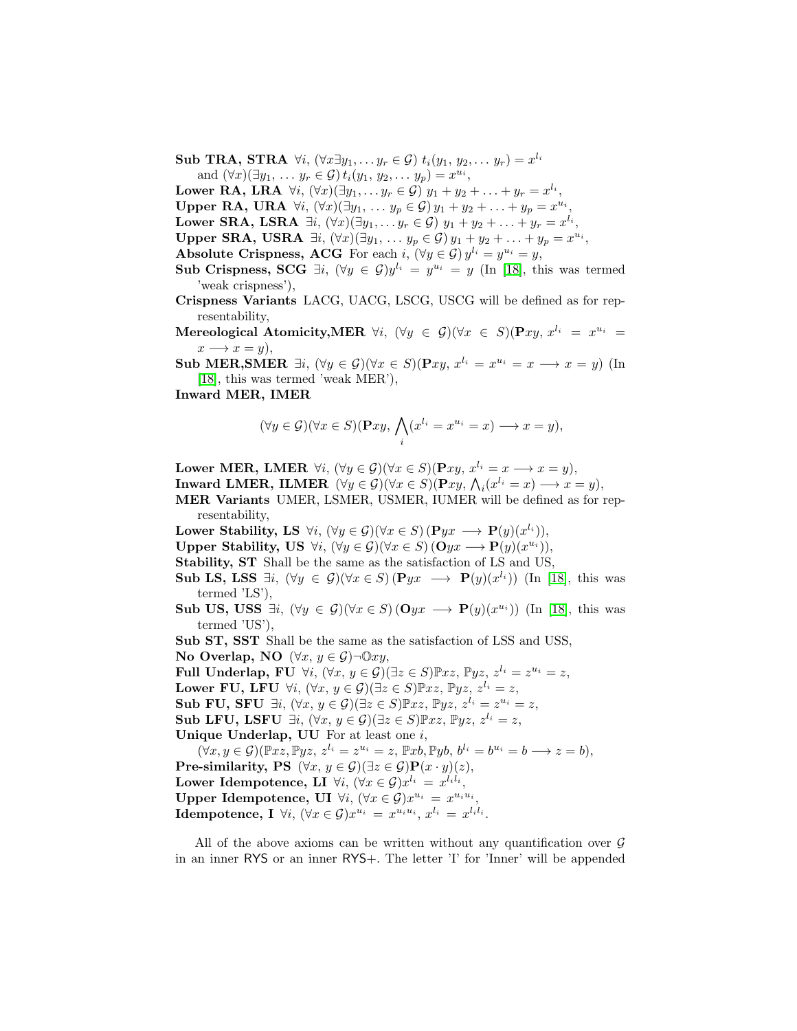- Sub TRA, STRA  $\forall i, (\forall x \exists y_1, \ldots y_r \in \mathcal{G}) \ t_i(y_1, y_2, \ldots y_r) = x^{l_i}$ and  $(\forall x)(\exists y_1, \ldots y_r \in \mathcal{G}) t_i(y_1, y_2, \ldots y_p) = x^{u_i},$
- Lower RA, LRA  $\forall i, (\forall x)(\exists y_1, \ldots y_r \in \mathcal{G}) \ y_1 + y_2 + \ldots + y_r = x^{l_i},$
- Upper RA, URA  $\forall i, (\forall x)(\exists y_1, \ldots, y_p \in \mathcal{G})\ y_1 + y_2 + \ldots + y_p = x^{u_i},$
- Lower SRA, LSRA  $\exists i, (\forall x)(\exists y_1, \ldots y_r \in \mathcal{G})\ y_1 + y_2 + \ldots + y_r = x^{l_i},$
- Upper SRA, USRA  $\exists i, (\forall x)(\exists y_1, \ldots, y_p \in \mathcal{G})$   $y_1 + y_2 + \ldots + y_p = x^{u_i}$ ,
- Absolute Crispness, ACG For each i,  $(\forall y \in \mathcal{G}) y^{l_i} = y^{u_i} = y$ ,
- Sub Crispness, SCG  $\exists i, (\forall y \in \mathcal{G})y^{l_i} = y^{u_i} = y$  (In [\[18\]](#page-54-15), this was termed 'weak crispness'),
- Crispness Variants LACG, UACG, LSCG, USCG will be defined as for representability,
- Mereological Atomicity, MER  $\forall i$ ,  $(\forall y \in \mathcal{G})(\forall x \in S)(\mathbf{P} xy, x^{l_i} = x^{u_i} = x^{u_i})$  $x \longrightarrow x = y$ ,
- Sub MER, SMER  $\exists i, (\forall y \in \mathcal{G})(\forall x \in S)(\mathbf{P} xy, x^{l_i} = x^{u_i} = x \longrightarrow x = y)$  (In [\[18\]](#page-54-15), this was termed 'weak MER'),

Inward MER, IMER

$$
(\forall y \in \mathcal{G})(\forall x \in S)(\mathbf{P}xy, \bigwedge_i (x^{l_i} = x^{u_i} = x) \longrightarrow x = y),
$$

Lower MER, LMER  $\forall i, (\forall y \in \mathcal{G})(\forall x \in S)(\mathbf{P} xy, x^{l_i} = x \longrightarrow x = y),$ Inward LMER, ILMER  $(\forall y \in \mathcal{G})(\forall x \in S)(\mathbf{P} xy, \bigwedge_i (x^{l_i} = x) \longrightarrow x = y),$ MER Variants UMER, LSMER, USMER, IUMER will be defined as for representability,

Lower Stability, LS  $\forall i, (\forall y \in \mathcal{G})(\forall x \in S)$   $(\mathbf{P}yx \ \longrightarrow \mathbf{P}(y)(x^{l_i})),$ Upper Stability, US  $\forall i, (\forall y \in \mathcal{G})(\forall x \in S)$   $(Qyx \rightarrow P(y)(x^{u_i}))$ , Stability, ST Shall be the same as the satisfaction of LS and US, Sub LS, LSS  $\exists i, (\forall y \in \mathcal{G})(\forall x \in S)(Pyx \rightarrow P(y)(x^{l_i}))$  (In [\[18\]](#page-54-15), this was termed 'LS'), Sub US, USS  $\exists i, (\forall y \in \mathcal{G})(\forall x \in S)$   $(Qyx \rightarrow P(y)(x^{u_i}))$  (In [\[18\]](#page-54-15), this was

termed 'US'),

Sub ST, SST Shall be the same as the satisfaction of LSS and USS,

No Overlap, NO  $(\forall x, y \in \mathcal{G})\neg \mathbb{O} xy$ ,

Full Underlap, FU  $\forall i, (\forall x, y \in \mathcal{G}) (\exists z \in S) \mathbb{P} xz, \mathbb{P} yz, z^{l_i} = z^{u_i} = z,$ Lower FU, LFU  $\forall i, (\forall x, y \in \mathcal{G})(\exists z \in S)\mathbb{P} xz, \mathbb{P} yz, z^{l_i} = z,$ Sub FU, SFU  $\exists i, (\forall x, y \in \mathcal{G})(\exists z \in S)\mathbb{P} xz, \mathbb{P} yz, z^{l_i} = z^{u_i} = z,$ Sub LFU, LSFU  $\exists i, (\forall x, y \in \mathcal{G}) (\exists z \in S) \mathbb{P} xz, \mathbb{P} yz, z^{l_i} = z,$ Unique Underlap, UU For at least one  $i$ ,  $(\forall x, y \in \mathcal{G})(\mathbb{P}xz, \mathbb{P}yz, z^{l_i} = z^{u_i} = z, \mathbb{P}xb, \mathbb{P}yb, b^{l_i} = b^{u_i} = b \longrightarrow z = b),$ 

Pre-similarity, PS  $(\forall x, y \in \mathcal{G})(\exists z \in \mathcal{G})\mathbf{P}(x \cdot y)(z)$ , Lower Idempotence, LI  $\forall i, (\forall x \in \mathcal{G}) x^{l_i} = x^{l_i l_i},$ Upper Idempotence, UI  $\forall i, (\forall x \in \mathcal{G}) x^{u_i} = x^{u_i u_i}$ ,  $\textbf{Idempotence, I} \ \ \forall i, \ (\forall x \in \mathcal{G}) x^{u_i} \ = \ x^{u_i u_i}, \ x^{l_i} \ = \ x^{l_i l_i}.$ 

All of the above axioms can be written without any quantification over  $\mathcal G$ in an inner RYS or an inner RYS+. The letter 'I' for 'Inner' will be appended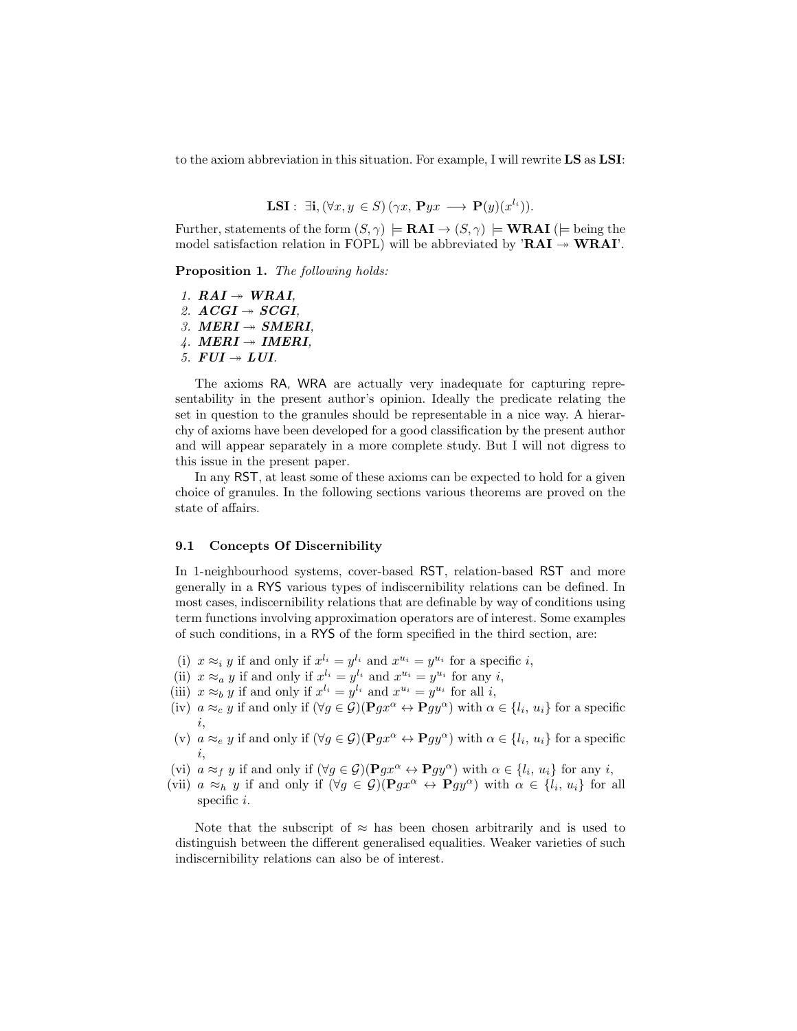to the axiom abbreviation in this situation. For example, I will rewrite LS as LSI:

**LSI**:  $\exists i, (\forall x, y \in S) (\gamma x, Pyx \rightarrow P(y)(x^{l_i})).$ 

Further, statements of the form  $(S, \gamma) \models \textbf{RAI} \rightarrow (S, \gamma) \models \textbf{WRAI} \ (\models \text{being the})$ model satisfaction relation in FOPL) will be abbreviated by ' $\bf{RAI} \rightarrow \bf{WRAI}'$ .

Proposition 1. The following holds:

- 1.  $RAI \rightarrow WRAI$ ,
- 2.  $ACGI \rightarrow SCGI$ ,
- 3. MERI  $\rightarrow$  SMERI,
- 4. MERI  $\rightarrow$  IMERI,
- 5.  $\boldsymbol{F} \boldsymbol{U} \boldsymbol{I} \twoheadrightarrow \boldsymbol{L} \boldsymbol{U} \boldsymbol{I}$ .

The axioms RA, WRA are actually very inadequate for capturing representability in the present author's opinion. Ideally the predicate relating the set in question to the granules should be representable in a nice way. A hierarchy of axioms have been developed for a good classification by the present author and will appear separately in a more complete study. But I will not digress to this issue in the present paper.

In any RST, at least some of these axioms can be expected to hold for a given choice of granules. In the following sections various theorems are proved on the state of affairs.

#### 9.1 Concepts Of Discernibility

In 1-neighbourhood systems, cover-based RST, relation-based RST and more generally in a RYS various types of indiscernibility relations can be defined. In most cases, indiscernibility relations that are definable by way of conditions using term functions involving approximation operators are of interest. Some examples of such conditions, in a RYS of the form specified in the third section, are:

- (i)  $x \approx_i y$  if and only if  $x^{l_i} = y^{l_i}$  and  $x^{u_i} = y^{u_i}$  for a specific i,
- (ii)  $x \approx_a y$  if and only if  $x^{l_i} = y^{l_i}$  and  $x^{u_i} = y^{u_i}$  for any i,
- (iii)  $x \approx_b y$  if and only if  $x^{l_i} = y^{l_i}$  and  $x^{u_i} = y^{u_i}$  for all i,
- (iv)  $a \approx_c y$  if and only if  $(\forall g \in \mathcal{G})(\mathbf{P}gx^{\alpha} \leftrightarrow \mathbf{P}gy^{\alpha})$  with  $\alpha \in \{l_i, u_i\}$  for a specific i,
- (v)  $a \approx_e y$  if and only if  $(\forall g \in \mathcal{G})(\mathbf{P} g x^{\alpha} \leftrightarrow \mathbf{P} g y^{\alpha})$  with  $\alpha \in \{l_i, u_i\}$  for a specific i,
- (vi)  $a \approx_f y$  if and only if  $(\forall g \in \mathcal{G})(\mathbf{P} g x^{\alpha} \leftrightarrow \mathbf{P} g y^{\alpha})$  with  $\alpha \in \{l_i, u_i\}$  for any i,
- (vii)  $a \approx_h y$  if and only if  $(\forall g \in \mathcal{G})(\mathbf{P}gx^{\alpha} \leftrightarrow \mathbf{P}gy^{\alpha})$  with  $\alpha \in \{l_i, u_i\}$  for all specific *i*.

Note that the subscript of  $\approx$  has been chosen arbitrarily and is used to distinguish between the different generalised equalities. Weaker varieties of such indiscernibility relations can also be of interest.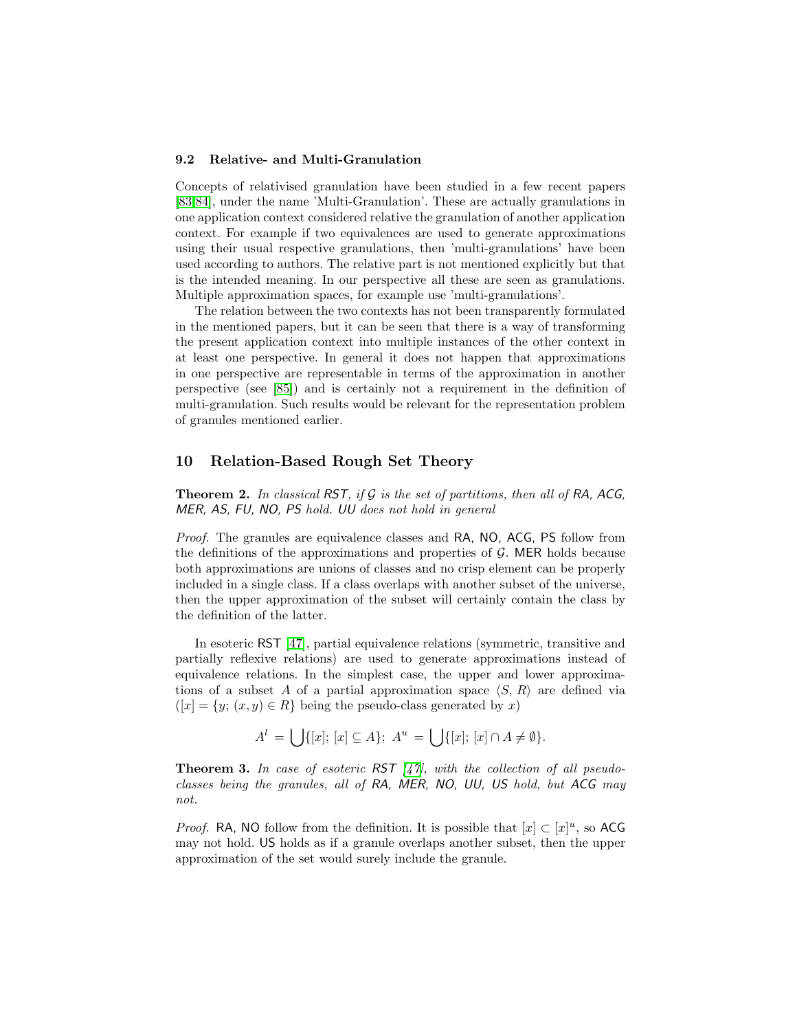#### 9.2 Relative- and Multi-Granulation

Concepts of relativised granulation have been studied in a few recent papers [\[83](#page-57-7)[,84\]](#page-57-8), under the name 'Multi-Granulation'. These are actually granulations in one application context considered relative the granulation of another application context. For example if two equivalences are used to generate approximations using their usual respective granulations, then 'multi-granulations' have been used according to authors. The relative part is not mentioned explicitly but that is the intended meaning. In our perspective all these are seen as granulations. Multiple approximation spaces, for example use 'multi-granulations'.

The relation between the two contexts has not been transparently formulated in the mentioned papers, but it can be seen that there is a way of transforming the present application context into multiple instances of the other context in at least one perspective. In general it does not happen that approximations in one perspective are representable in terms of the approximation in another perspective (see [\[85\]](#page-57-9)) and is certainly not a requirement in the definition of multi-granulation. Such results would be relevant for the representation problem of granules mentioned earlier.

## 10 Relation-Based Rough Set Theory

**Theorem 2.** In classical RST, if  $G$  is the set of partitions, then all of RA, ACG, MER, AS, FU, NO, PS hold. UU does not hold in general

Proof. The granules are equivalence classes and RA, NO, ACG, PS follow from the definitions of the approximations and properties of  $\mathcal G$ . MER holds because both approximations are unions of classes and no crisp element can be properly included in a single class. If a class overlaps with another subset of the universe, then the upper approximation of the subset will certainly contain the class by the definition of the latter.

In esoteric RST [\[47\]](#page-55-19), partial equivalence relations (symmetric, transitive and partially reflexive relations) are used to generate approximations instead of equivalence relations. In the simplest case, the upper and lower approximations of a subset A of a partial approximation space  $\langle S, R \rangle$  are defined via  $([x] = \{y; (x, y) \in R\}$  being the pseudo-class generated by x)

$$
A^{l} = \bigcup \{ [x]; [x] \subseteq A \}; A^{u} = \bigcup \{ [x]; [x] \cap A \neq \emptyset \}.
$$

**Theorem 3.** In case of esoteric RST  $[47]$ , with the collection of all pseudoclasses being the granules, all of RA, MER, NO, UU, US hold, but ACG may not.

*Proof.* RA, NO follow from the definition. It is possible that  $[x] \subset [x]^u$ , so ACG may not hold. US holds as if a granule overlaps another subset, then the upper approximation of the set would surely include the granule.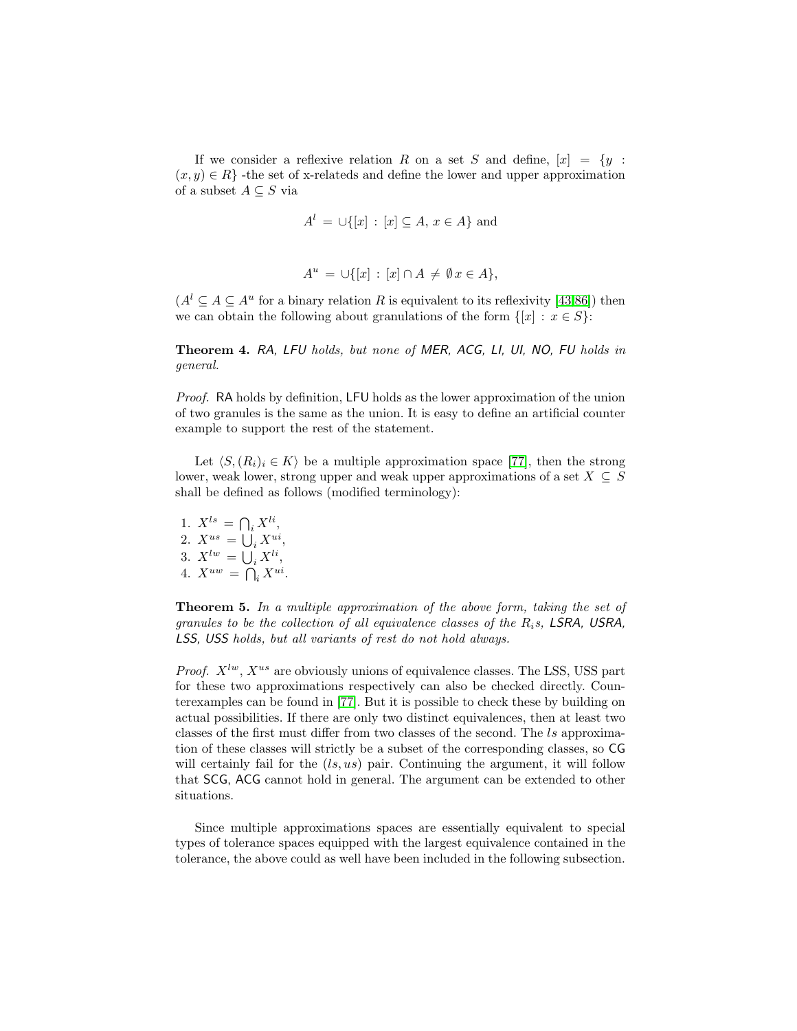If we consider a reflexive relation R on a set S and define,  $[x] = \{y :$  $(x, y) \in R$  -the set of x-relateds and define the lower and upper approximation of a subset  $A \subseteq S$  via

$$
A^{l} = \bigcup \{ [x] : [x] \subseteq A, x \in A \}
$$
 and

$$
A^u = \bigcup \{ [x] : [x] \cap A \neq \emptyset x \in A \},
$$

 $(A<sup>l</sup> \subseteq A \subseteq A<sup>u</sup>$  for a binary relation R is equivalent to its reflexivity [\[43,](#page-55-15)[86\]](#page-57-10)) then we can obtain the following about granulations of the form  $\{[x] : x \in S\}$ :

Theorem 4. RA, LFU holds, but none of MER, ACG, LI, UI, NO, FU holds in general.

Proof. RA holds by definition, LFU holds as the lower approximation of the union of two granules is the same as the union. It is easy to define an artificial counter example to support the rest of the statement.

Let  $\langle S,(R_i)_i \in K \rangle$  be a multiple approximation space [\[77\]](#page-57-1), then the strong lower, weak lower, strong upper and weak upper approximations of a set  $X \subseteq S$ shall be defined as follows (modified terminology):

1.  $X^{ls} = \bigcap_i X^{li}$ , 2.  $X^{us} = \bigcup_i X^{ui}$ , 3.  $X^{lw} = \bigcup_i X^{li}$ , 4.  $X^{uw} = \bigcap_i X^{ui}.$ 

Theorem 5. In a multiple approximation of the above form, taking the set of granules to be the collection of all equivalence classes of the  $R_i$ s, LSRA, USRA, LSS, USS holds, but all variants of rest do not hold always.

*Proof.*  $X^{lw}$ ,  $X^{us}$  are obviously unions of equivalence classes. The LSS, USS part for these two approximations respectively can also be checked directly. Counterexamples can be found in [\[77\]](#page-57-1). But it is possible to check these by building on actual possibilities. If there are only two distinct equivalences, then at least two classes of the first must differ from two classes of the second. The ls approximation of these classes will strictly be a subset of the corresponding classes, so CG will certainly fail for the  $(1s, us)$  pair. Continuing the argument, it will follow that SCG, ACG cannot hold in general. The argument can be extended to other situations.

Since multiple approximations spaces are essentially equivalent to special types of tolerance spaces equipped with the largest equivalence contained in the tolerance, the above could as well have been included in the following subsection.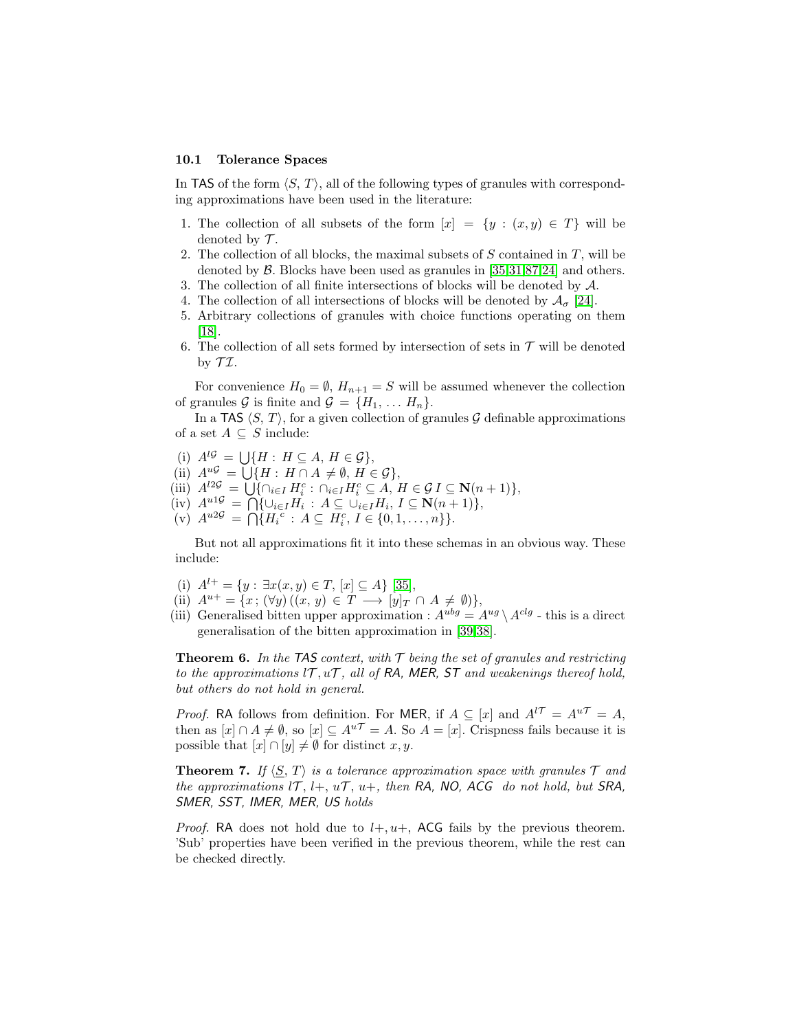#### 10.1 Tolerance Spaces

In TAS of the form  $\langle S, T \rangle$ , all of the following types of granules with corresponding approximations have been used in the literature:

- 1. The collection of all subsets of the form  $[x] = \{y : (x, y) \in T\}$  will be denoted by  $\mathcal{T}$ .
- 2. The collection of all blocks, the maximal subsets of  $S$  contained in  $T$ , will be denoted by  $\beta$ . Blocks have been used as granules in [\[35](#page-55-7)[,31,](#page-55-3)[87,](#page-57-11)[24\]](#page-54-21) and others.
- 3. The collection of all finite intersections of blocks will be denoted by  $A$ .
- 4. The collection of all intersections of blocks will be denoted by  $\mathcal{A}_{\sigma}$  [\[24\]](#page-54-21).
- 5. Arbitrary collections of granules with choice functions operating on them [\[18\]](#page-54-15).
- 6. The collection of all sets formed by intersection of sets in  $\mathcal T$  will be denoted by  $\mathcal{T} \mathcal{I}$ .

For convenience  $H_0 = \emptyset$ ,  $H_{n+1} = S$  will be assumed whenever the collection of granules G is finite and  $\mathcal{G} = \{H_1, \ldots, H_n\}.$ 

In a TAS  $\langle S, T \rangle$ , for a given collection of granules G definable approximations of a set  $A \subseteq S$  include:

- (i)  $A^{l\mathcal{G}} = \bigcup \{ H : H \subseteq A, H \in \mathcal{G} \},\$
- (ii)  $A^{u\mathcal{G}} = \bigcup \{H : H \cap A \neq \emptyset, H \in \mathcal{G}\},\$
- (iii)  $A^{l2\mathcal{G}} = \bigcup \{ \cap_{i \in I} H_i^c : \cap_{i \in I} H_i^c \subseteq A, H \in \mathcal{G} I \subseteq \mathbf{N}(n+1) \},\$
- $(iv)$   $A^{u1}\mathcal{G} = \bigcap \{ \cup_{i \in I} H_i : A \subseteq \cup_{i \in I} H_i, I \subseteq \mathbf{N}(n+1) \},\$
- (v)  $A^{u2\mathcal{G}} = \bigcap \{ H_i^c : A \subseteq H_i^c, I \in \{0, 1, ..., n\} \}.$

But not all approximations fit it into these schemas in an obvious way. These include:

- (i)  $A^{l+} = \{y : \exists x(x, y) \in T, [x] \subseteq A\}$  [\[35\]](#page-55-7),
- (ii)  $A^{u+} = \{x; (\forall y)((x, y) \in T \longrightarrow [y]_T \cap A \neq \emptyset)\},\$
- (iii) Generalised bitten upper approximation :  $A^{ubg} = A^{ug} \setminus A^{clg}$  this is a direct generalisation of the bitten approximation in [\[39,](#page-55-11)[38\]](#page-55-10).

**Theorem 6.** In the TAS context, with  $\mathcal{T}$  being the set of granules and restricting to the approximations  $l\mathcal{T}, u\mathcal{T}$ , all of RA, MER, ST and weakenings thereof hold, but others do not hold in general.

*Proof.* RA follows from definition. For MER, if  $A \subseteq [x]$  and  $A^{l\mathcal{T}} = A^{u\mathcal{T}} = A$ , then as  $[x] \cap A \neq \emptyset$ , so  $[x] \subseteq A^{u\mathcal{T}} = A$ . So  $A = [x]$ . Crispness fails because it is possible that  $[x] \cap [y] \neq \emptyset$  for distinct  $x, y$ .

**Theorem 7.** If  $\langle S, T \rangle$  is a tolerance approximation space with granules  $T$  and the approximations  $l\mathcal{T}, l+, u\mathcal{T}, u+$ , then RA, NO, ACG do not hold, but SRA, SMER, SST, IMER, MER, US holds

*Proof.* RA does not hold due to  $l + u +$ , ACG fails by the previous theorem. 'Sub' properties have been verified in the previous theorem, while the rest can be checked directly.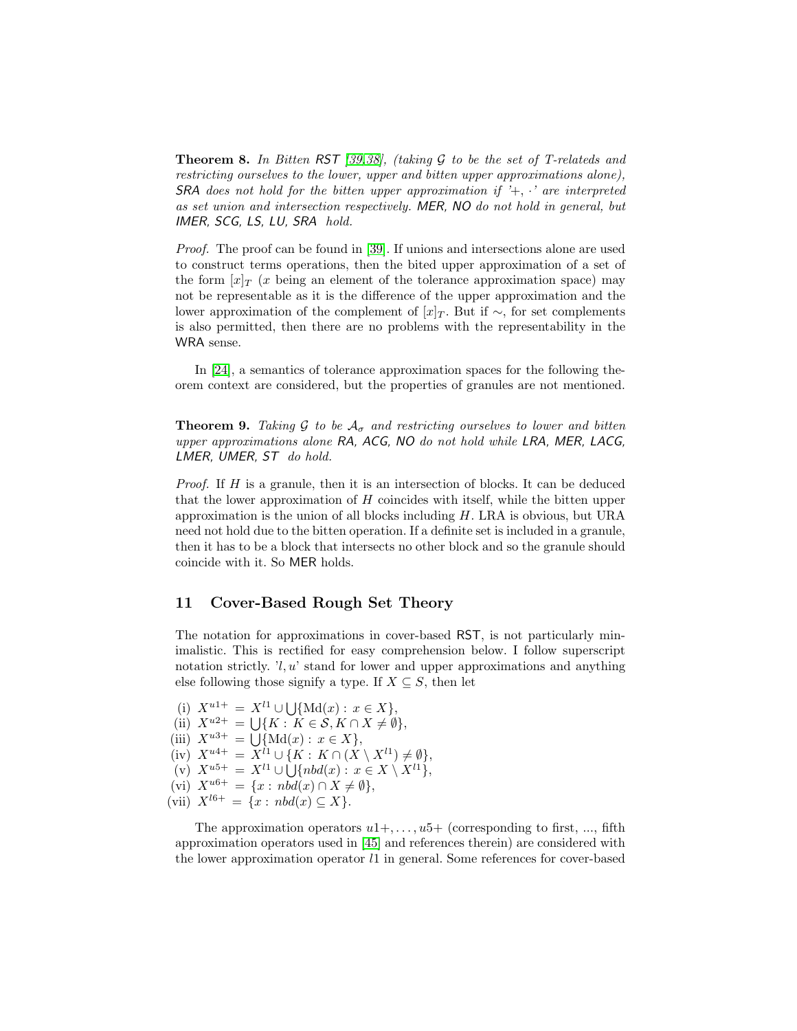**Theorem 8.** In Bitten RST [\[39](#page-55-11)[,38\]](#page-55-10), (taking G to be the set of T-relateds and restricting ourselves to the lower, upper and bitten upper approximations alone), **SRA** does not hold for the bitten upper approximation if  $\ddot{+}$ ,  $\ddot{+}$  are interpreted as set union and intersection respectively. MER, NO do not hold in general, but IMER, SCG, LS, LU, SRA hold.

Proof. The proof can be found in [\[39\]](#page-55-11). If unions and intersections alone are used to construct terms operations, then the bited upper approximation of a set of the form  $[x]_T$  (x being an element of the tolerance approximation space) may not be representable as it is the difference of the upper approximation and the lower approximation of the complement of  $[x]_T$ . But if  $\sim$ , for set complements is also permitted, then there are no problems with the representability in the WRA sense.

In [\[24\]](#page-54-21), a semantics of tolerance approximation spaces for the following theorem context are considered, but the properties of granules are not mentioned.

**Theorem 9.** Taking G to be  $A_{\sigma}$  and restricting ourselves to lower and bitten upper approximations alone RA, ACG, NO do not hold while LRA, MER, LACG, LMER, UMER, ST do hold.

*Proof.* If  $H$  is a granule, then it is an intersection of blocks. It can be deduced that the lower approximation of  $H$  coincides with itself, while the bitten upper approximation is the union of all blocks including  $H$ . LRA is obvious, but URA need not hold due to the bitten operation. If a definite set is included in a granule, then it has to be a block that intersects no other block and so the granule should coincide with it. So MER holds.

## 11 Cover-Based Rough Set Theory

The notation for approximations in cover-based RST, is not particularly minimalistic. This is rectified for easy comprehension below. I follow superscript notation strictly.  $\mathcal{U}, u'$  stand for lower and upper approximations and anything else following those signify a type. If  $X \subseteq S$ , then let

(i)  $X^{u1+} = X^{l1} \cup \bigcup \{ \text{Md}(x) : x \in X \},\$ (ii)  $X^{u2+} = \bigcup \{ K : K \in \mathcal{S}, K \cap X \neq \emptyset \},\$ (iii)  $X^{u3+} = \bigcup \{ \text{Md}(x) : x \in X \},\$ (iv)  $X^{u4+} = X^{l1} \cup \{K : K \cap (X \setminus X^{l1}) \neq \emptyset\},\$ (v)  $X^{u5+} = X^{l1} \cup \bigcup \{nbd(x) : x \in X \setminus X^{l1} \},\$ (vi)  $X^{u6+} = \{x : nbd(x) \cap X \neq \emptyset\},\$ (vii)  $X^{l6+} = \{x : nbd(x) \subseteq X\}.$ 

The approximation operators  $u_1, \ldots, u_5$  (corresponding to first, ..., fifth approximation operators used in [\[45\]](#page-55-17) and references therein) are considered with the lower approximation operator l1 in general. Some references for cover-based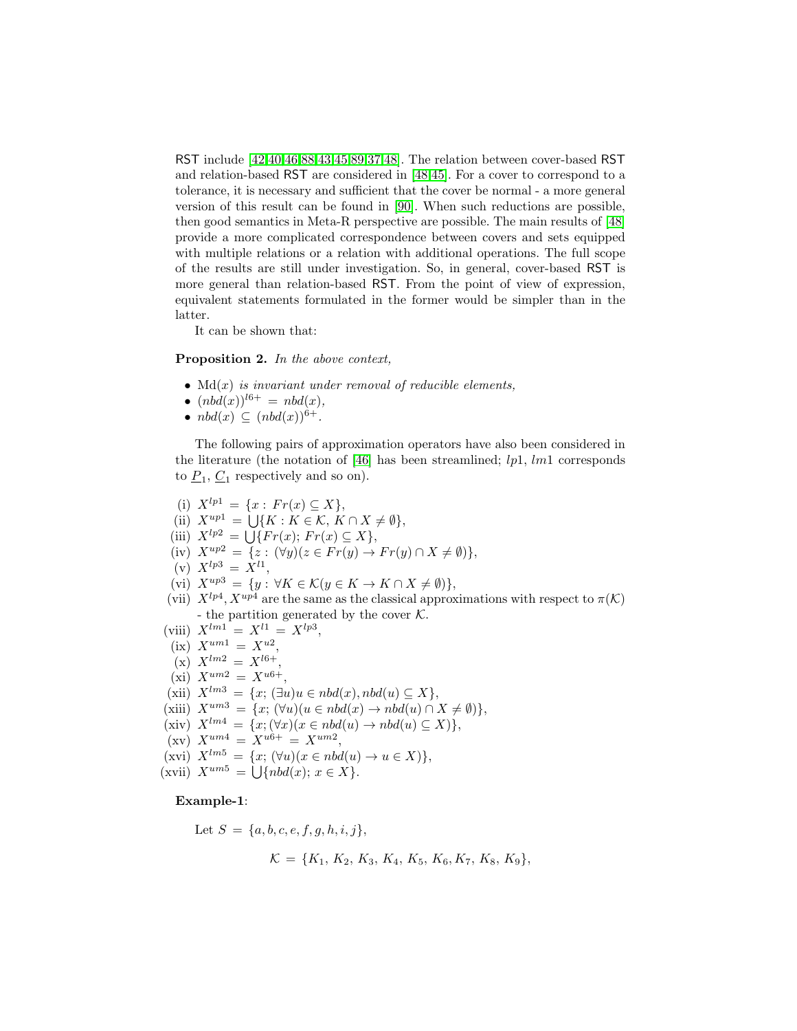RST include [\[42](#page-55-14)[,40,](#page-55-12)[46,](#page-55-18)[88,](#page-57-12)[43](#page-55-15)[,45,](#page-55-17)[89,](#page-57-13)[37](#page-55-9)[,48\]](#page-55-20). The relation between cover-based RST and relation-based RST are considered in [\[48,](#page-55-20)[45\]](#page-55-17). For a cover to correspond to a tolerance, it is necessary and sufficient that the cover be normal - a more general version of this result can be found in [\[90\]](#page-57-14). When such reductions are possible, then good semantics in Meta-R perspective are possible. The main results of [\[48\]](#page-55-20) provide a more complicated correspondence between covers and sets equipped with multiple relations or a relation with additional operations. The full scope of the results are still under investigation. So, in general, cover-based RST is more general than relation-based RST. From the point of view of expression, equivalent statements formulated in the former would be simpler than in the latter.

It can be shown that:

Proposition 2. In the above context,

- $\text{Md}(x)$  is invariant under removal of reducible elements,
- $(nbd(x))^{l6+} = nbd(x),$
- $nbd(x) \subset (nbd(x))^{6+}.$

The following pairs of approximation operators have also been considered in the literature (the notation of [\[46\]](#page-55-18) has been streamlined;  $lp1, lm1$  corresponds to  $\underline{P}_1, \underline{C}_1$  respectively and so on).

- (i)  $X^{lp1} = \{x : Fr(x) \subseteq X\},\$
- (ii)  $X^{up1} = \bigcup \{ K : K \in \mathcal{K}, K \cap X \neq \emptyset \},\$
- (iii)  $X^{lp2} = \bigcup \{ Fr(x); Fr(x) \subseteq X \},\$
- (iv)  $X^{up2} = \{z : (\forall y)(z \in Fr(y) \rightarrow Fr(y) \cap X \neq \emptyset)\},\$
- (v)  $X^{lp3} = X^{l1}$ ,
- (vi)  $X^{up3} = \{y : \forall K \in \mathcal{K} (y \in K \to K \cap X \neq \emptyset) \},\$
- (vii)  $X^{lp4}, X^{up4}$  are the same as the classical approximations with respect to  $\pi(\mathcal{K})$ - the partition generated by the cover  $K$ .
- (viii)  $X^{lm1} = X^{l1} = X^{lp3}$ ,
- $(ix)$   $X^{um1} = X^{u2}$ ,
- $(x) \; X^{lm2} = X^{l6+}$
- $(xi)$   $X^{um2} = X^{u6}+$ .
- (xii)  $X^{lm3} = \{x; (\exists u)u \in nbd(x), nbd(u) \subseteq X\},\$
- (xiii)  $X^{um3} = \{x; (\forall u)(u \in nbd(x) \rightarrow nbd(u) \cap X \neq \emptyset)\},\$
- (xiv)  $X^{lm4} = \{x; (\forall x)(x \in nbd(u) \rightarrow nbd(u) \subseteq X)\},$
- $(xv)$   $X^{um4} = X^{u6+} = X^{um2}$ ,
- (xvi)  $X^{lm5} = \{x; (\forall u)(x \in nbd(u) \rightarrow u \in X)\},\$
- (xvii)  $X^{um5} = \bigcup \{nbd(x); x \in X\}.$

### Example-1:

Let 
$$
S = \{a, b, c, e, f, g, h, i, j\},\
$$

 $\mathcal{K} = \{K_1, K_2, K_3, K_4, K_5, K_6, K_7, K_8, K_9\},\$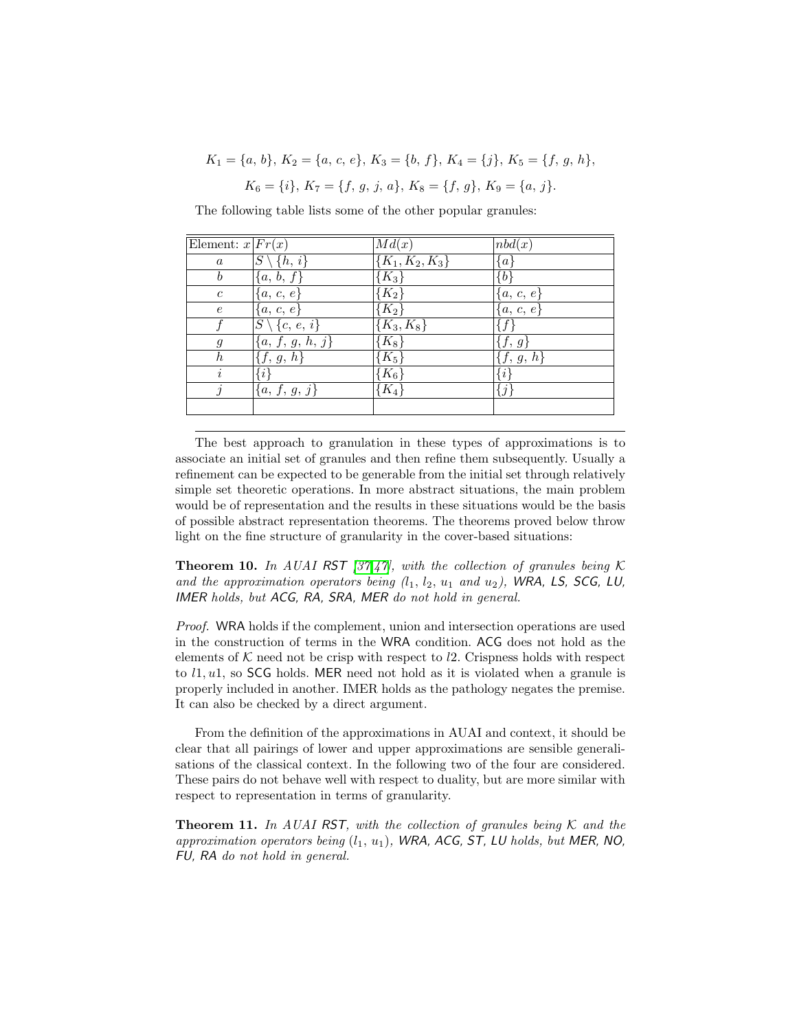$$
K_1 = \{a, b\}, K_2 = \{a, c, e\}, K_3 = \{b, f\}, K_4 = \{j\}, K_5 = \{f, g, h\},
$$
  

$$
K_6 = \{i\}, K_7 = \{f, g, j, a\}, K_8 = \{f, g\}, K_9 = \{a, j\}.
$$

The following table lists some of the other popular granules:

| Element: $x Fr(x)$ |                             | Md(x)             | nbd(x)        |
|--------------------|-----------------------------|-------------------|---------------|
| $\alpha$           | $S \setminus \{h, i\}$      | ${K_1, K_2, K_3}$ | a             |
| $\boldsymbol{b}$   | $\{a, b, f\}$               | $\{K_3\}$         | $\{b\}$       |
| $\mathfrak{c}$     | $\{a, c, e\}$               | ${K_2}$           | $\{a, c, e\}$ |
| $\epsilon$         | $\{a, c, e\}$               | ${K_2}$           | $\{a, c, e\}$ |
|                    | $S \setminus \{c, e, i\}$   | ${K_3, K_8}$      |               |
| $\mathfrak{g}$     | ${a, f, g, h, j}$           | ${K_8}$           | $\{f, g\}$    |
| $\hbar$            | $\{f, g, h\}$               | ${K_5}$           | $\{f, g, h\}$ |
| $\dot{i}$          | $\{i\}$                     | $\{K_6\}$         | $\{i\}$       |
| $\dot{j}$          | $\overline{\{a, f, g, j\}}$ | $\{K_4\}$         | $\{j\}$       |
|                    |                             |                   |               |
|                    |                             |                   |               |

The best approach to granulation in these types of approximations is to associate an initial set of granules and then refine them subsequently. Usually a refinement can be expected to be generable from the initial set through relatively simple set theoretic operations. In more abstract situations, the main problem would be of representation and the results in these situations would be the basis of possible abstract representation theorems. The theorems proved below throw light on the fine structure of granularity in the cover-based situations:

**Theorem 10.** In AUAI RST [\[37](#page-55-9)[,47\]](#page-55-19), with the collection of granules being K and the approximation operators being  $(l_1, l_2, u_1 \text{ and } u_2)$ , WRA, LS, SCG, LU, IMER holds, but ACG, RA, SRA, MER do not hold in general.

Proof. WRA holds if the complement, union and intersection operations are used in the construction of terms in the WRA condition. ACG does not hold as the elements of  $K$  need not be crisp with respect to  $l2$ . Crispness holds with respect to  $l1, u1$ , so SCG holds. MER need not hold as it is violated when a granule is properly included in another. IMER holds as the pathology negates the premise. It can also be checked by a direct argument.

From the definition of the approximations in AUAI and context, it should be clear that all pairings of lower and upper approximations are sensible generalisations of the classical context. In the following two of the four are considered. These pairs do not behave well with respect to duality, but are more similar with respect to representation in terms of granularity.

**Theorem 11.** In AUAI RST, with the collection of granules being  $K$  and the approximation operators being  $(l_1, u_1)$ , WRA, ACG, ST, LU holds, but MER, NO, FU, RA do not hold in general.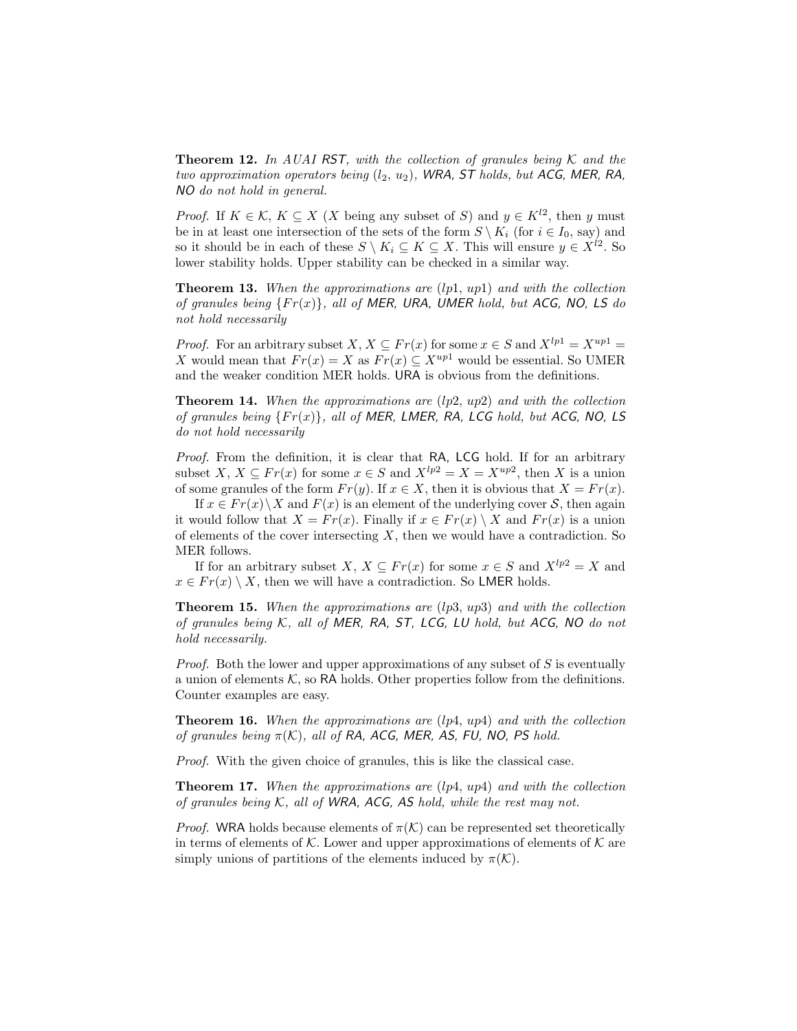**Theorem 12.** In AUAI RST, with the collection of granules being K and the two approximation operators being  $(l_2, u_2)$ , WRA, ST holds, but ACG, MER, RA, NO do not hold in general.

*Proof.* If  $K \in \mathcal{K}$ ,  $K \subseteq X$  (X being any subset of S) and  $y \in K^{2}$ , then y must be in at least one intersection of the sets of the form  $S \setminus K_i$  (for  $i \in I_0$ , say) and so it should be in each of these  $S \setminus K_i \subseteq K \subseteq X$ . This will ensure  $y \in X^{l2}$ . So lower stability holds. Upper stability can be checked in a similar way.

**Theorem 13.** When the approximations are  $(1p1, up1)$  and with the collection of granules being  $\{Fr(x)\}$ , all of MER, URA, UMER hold, but ACG, NO, LS do not hold necessarily

*Proof.* For an arbitrary subset  $X, X \subseteq Fr(x)$  for some  $x \in S$  and  $X^{lp1} = X^{up1} =$ X would mean that  $Fr(x) = X$  as  $Fr(x) \subseteq X^{up1}$  would be essential. So UMER and the weaker condition MER holds. URA is obvious from the definitions.

**Theorem 14.** When the approximations are  $(lp2, up2)$  and with the collection of granules being  $\{Fr(x)\}$ , all of MER, LMER, RA, LCG hold, but ACG, NO, LS do not hold necessarily

Proof. From the definition, it is clear that RA, LCG hold. If for an arbitrary subset  $X, X \subseteq Fr(x)$  for some  $x \in S$  and  $X^{lp2} = X = X^{up2}$ , then X is a union of some granules of the form  $Fr(y)$ . If  $x \in X$ , then it is obvious that  $X = Fr(x)$ .

If  $x \in Fr(x) \backslash X$  and  $F(x)$  is an element of the underlying cover S, then again it would follow that  $X = Fr(x)$ . Finally if  $x \in Fr(x) \setminus X$  and  $Fr(x)$  is a union of elements of the cover intersecting  $X$ , then we would have a contradiction. So MER follows.

If for an arbitrary subset X,  $X \subseteq Fr(x)$  for some  $x \in S$  and  $X^{lp2} = X$  and  $x \in Fr(x) \setminus X$ , then we will have a contradiction. So LMER holds.

**Theorem 15.** When the approximations are  $(lp3, up3)$  and with the collection of granules being  $K$ , all of MER, RA, ST, LCG, LU hold, but ACG, NO do not hold necessarily.

*Proof.* Both the lower and upper approximations of any subset of  $S$  is eventually a union of elements  $K$ , so RA holds. Other properties follow from the definitions. Counter examples are easy.

**Theorem 16.** When the approximations are  $(lp4, up4)$  and with the collection of granules being  $\pi(\mathcal{K})$ , all of RA, ACG, MER, AS, FU, NO, PS hold.

Proof. With the given choice of granules, this is like the classical case.

**Theorem 17.** When the approximations are  $(lp4, up4)$  and with the collection of granules being  $K$ , all of WRA, ACG, AS hold, while the rest may not.

*Proof.* WRA holds because elements of  $\pi(K)$  can be represented set theoretically in terms of elements of  $K$ . Lower and upper approximations of elements of  $K$  are simply unions of partitions of the elements induced by  $\pi(\mathcal{K})$ .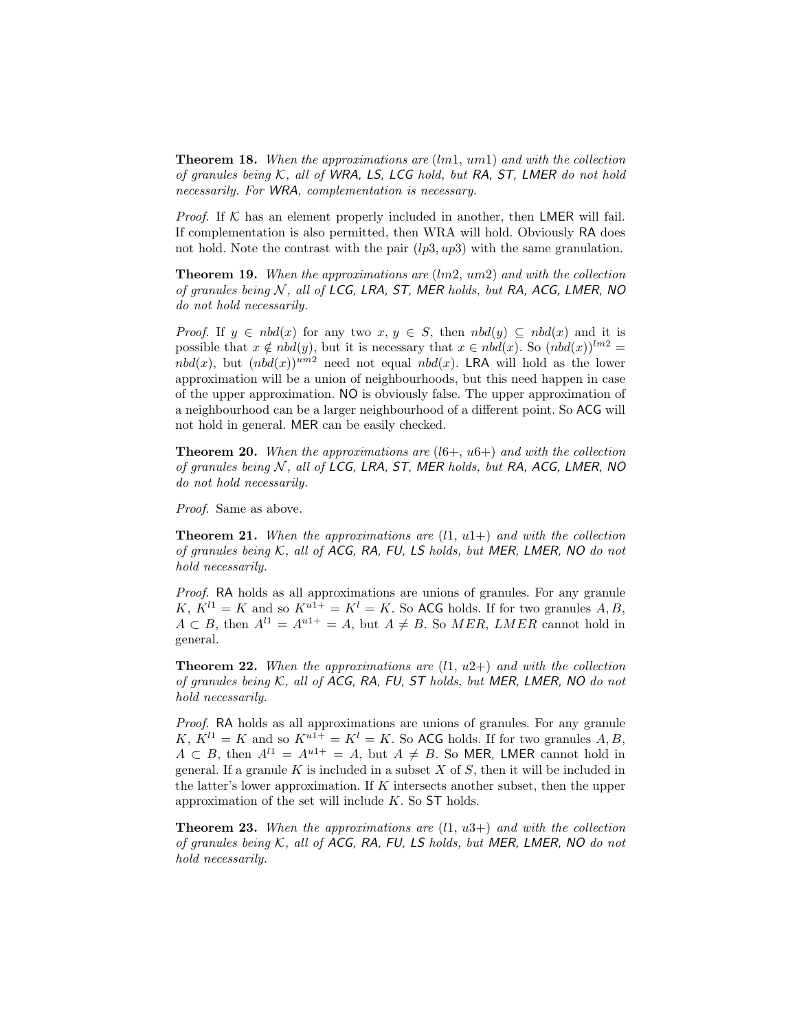**Theorem 18.** When the approximations are  $(lm1, um1)$  and with the collection of granules being  $K$ , all of WRA, LS, LCG hold, but RA, ST, LMER do not hold necessarily. For WRA, complementation is necessary.

*Proof.* If  $K$  has an element properly included in another, then LMER will fail. If complementation is also permitted, then WRA will hold. Obviously RA does not hold. Note the contrast with the pair  $(lp3, up3)$  with the same granulation.

**Theorem 19.** When the approximations are  $(lm2, um2)$  and with the collection of granules being  $N$ , all of LCG, LRA, ST, MER holds, but RA, ACG, LMER, NO do not hold necessarily.

*Proof.* If  $y \in \text{nbd}(x)$  for any two  $x, y \in S$ , then  $\text{nbd}(y) \subseteq \text{nbd}(x)$  and it is possible that  $x \notin nbd(y)$ , but it is necessary that  $x \in nbd(x)$ . So  $(nbd(x))^{lm2} =$  $nbd(x)$ , but  $(nbd(x))^{um2}$  need not equal  $nbd(x)$ . LRA will hold as the lower approximation will be a union of neighbourhoods, but this need happen in case of the upper approximation. NO is obviously false. The upper approximation of a neighbourhood can be a larger neighbourhood of a different point. So ACG will not hold in general. MER can be easily checked.

**Theorem 20.** When the approximations are  $(l6+, u6+)$  and with the collection of granules being  $N$ , all of LCG, LRA, ST, MER holds, but RA, ACG, LMER, NO do not hold necessarily.

Proof. Same as above.

**Theorem 21.** When the approximations are  $(11, u1+)$  and with the collection of granules being  $K$ , all of ACG, RA, FU, LS holds, but MER, LMER, NO do not hold necessarily.

Proof. RA holds as all approximations are unions of granules. For any granule K,  $K^{l1} = K$  and so  $K^{u1+} = K^l = K$ . So ACG holds. If for two granules A, B,  $A \subset B$ , then  $A^{l1} = A^{u1+} = A$ , but  $A \neq B$ . So MER, LMER cannot hold in general.

**Theorem 22.** When the approximations are  $(11, u2+)$  and with the collection of granules being  $K$ , all of ACG, RA, FU, ST holds, but MER, LMER, NO do not hold necessarily.

Proof. RA holds as all approximations are unions of granules. For any granule  $K, K^{l1} = K$  and so  $K^{u1+} = K^l = K$ . So ACG holds. If for two granules  $A, B$ ,  $A \subset B$ , then  $A^{l1} = A^{u1+} = A$ , but  $A \neq B$ . So MER, LMER cannot hold in general. If a granule K is included in a subset X of  $S$ , then it will be included in the latter's lower approximation. If  $K$  intersects another subset, then the upper approximation of the set will include  $K$ . So  $ST$  holds.

**Theorem 23.** When the approximations are  $(11, u3+)$  and with the collection of granules being  $K$ , all of ACG, RA, FU, LS holds, but MER, LMER, NO do not hold necessarily.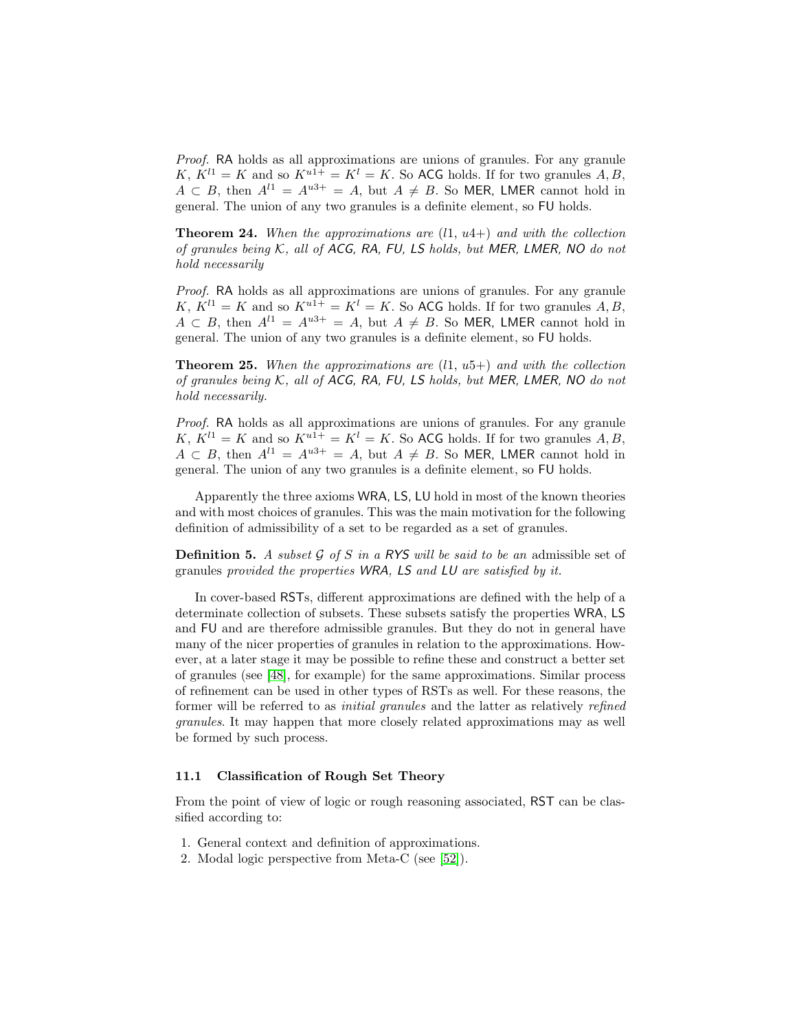Proof. RA holds as all approximations are unions of granules. For any granule  $K, K^{l1} = K$  and so  $K^{u1+} = K^l = K$ . So ACG holds. If for two granules A, B,  $A \subset B$ , then  $A^{l1} = A^{u3+} = A$ , but  $A \neq B$ . So MER, LMER cannot hold in general. The union of any two granules is a definite element, so FU holds.

**Theorem 24.** When the approximations are  $(l1, u4+)$  and with the collection of granules being  $K$ , all of ACG, RA, FU, LS holds, but MER, LMER, NO do not hold necessarily

Proof. RA holds as all approximations are unions of granules. For any granule  $K, K^{l1} = K$  and so  $K^{u1+} = K^l = K$ . So ACG holds. If for two granules  $A, B$ ,  $A \subset B$ , then  $A^{l1} = A^{u3+} = A$ , but  $A \neq B$ . So MER, LMER cannot hold in general. The union of any two granules is a definite element, so FU holds.

**Theorem 25.** When the approximations are  $(11, u5+)$  and with the collection of granules being  $K$ , all of ACG, RA, FU, LS holds, but MER, LMER, NO do not hold necessarily.

Proof. RA holds as all approximations are unions of granules. For any granule K,  $K^{l1} = K$  and so  $K^{u1+} = K^l = K$ . So ACG holds. If for two granules A, B,  $A \subset B$ , then  $A^{l1} = A^{u3+} = A$ , but  $A \neq B$ . So MER, LMER cannot hold in general. The union of any two granules is a definite element, so FU holds.

Apparently the three axioms WRA, LS, LU hold in most of the known theories and with most choices of granules. This was the main motivation for the following definition of admissibility of a set to be regarded as a set of granules.

**Definition 5.** A subset  $\mathcal G$  of  $S$  in a RYS will be said to be an admissible set of granules provided the properties WRA, LS and LU are satisfied by it.

In cover-based RSTs, different approximations are defined with the help of a determinate collection of subsets. These subsets satisfy the properties WRA, LS and FU and are therefore admissible granules. But they do not in general have many of the nicer properties of granules in relation to the approximations. However, at a later stage it may be possible to refine these and construct a better set of granules (see [\[48\]](#page-55-20), for example) for the same approximations. Similar process of refinement can be used in other types of RSTs as well. For these reasons, the former will be referred to as initial granules and the latter as relatively refined granules. It may happen that more closely related approximations may as well be formed by such process.

#### 11.1 Classification of Rough Set Theory

From the point of view of logic or rough reasoning associated, RST can be classified according to:

- 1. General context and definition of approximations.
- 2. Modal logic perspective from Meta-C (see [\[52\]](#page-56-3)).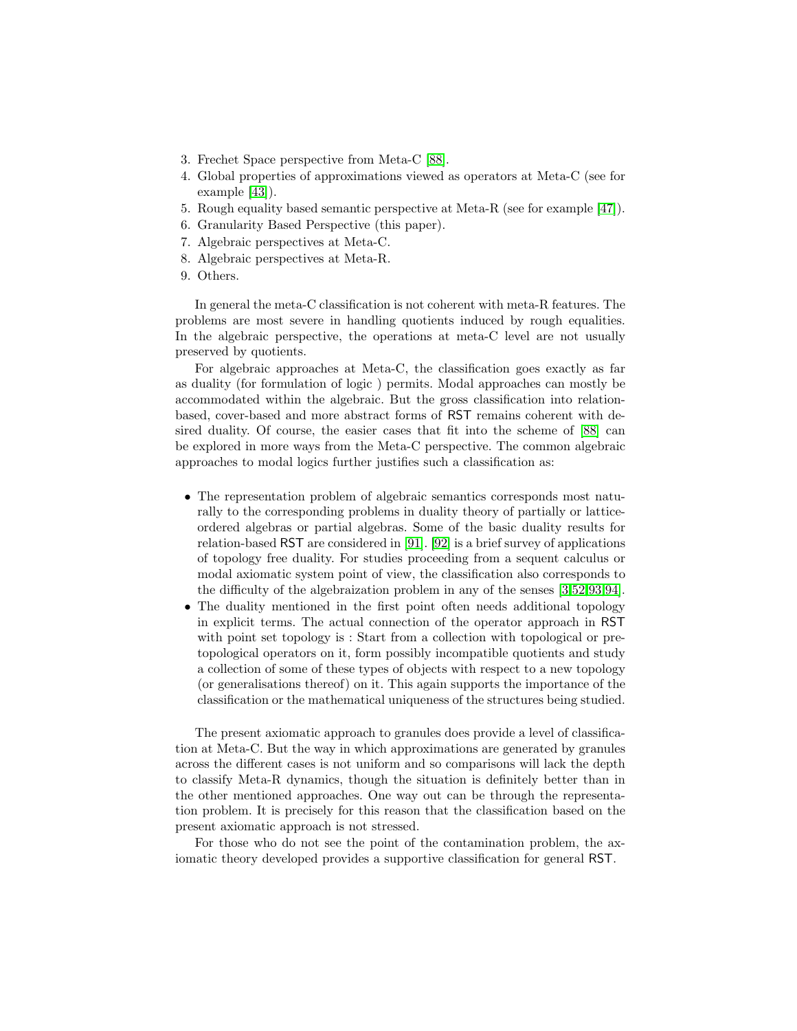- 3. Frechet Space perspective from Meta-C [\[88\]](#page-57-12).
- 4. Global properties of approximations viewed as operators at Meta-C (see for example [\[43\]](#page-55-15)).
- 5. Rough equality based semantic perspective at Meta-R (see for example [\[47\]](#page-55-19)).
- 6. Granularity Based Perspective (this paper).
- 7. Algebraic perspectives at Meta-C.
- 8. Algebraic perspectives at Meta-R.
- 9. Others.

In general the meta-C classification is not coherent with meta-R features. The problems are most severe in handling quotients induced by rough equalities. In the algebraic perspective, the operations at meta-C level are not usually preserved by quotients.

For algebraic approaches at Meta-C, the classification goes exactly as far as duality (for formulation of logic ) permits. Modal approaches can mostly be accommodated within the algebraic. But the gross classification into relationbased, cover-based and more abstract forms of RST remains coherent with desired duality. Of course, the easier cases that fit into the scheme of [\[88\]](#page-57-12) can be explored in more ways from the Meta-C perspective. The common algebraic approaches to modal logics further justifies such a classification as:

- The representation problem of algebraic semantics corresponds most naturally to the corresponding problems in duality theory of partially or latticeordered algebras or partial algebras. Some of the basic duality results for relation-based RST are considered in [\[91\]](#page-57-15). [\[92\]](#page-57-16) is a brief survey of applications of topology free duality. For studies proceeding from a sequent calculus or modal axiomatic system point of view, the classification also corresponds to the difficulty of the algebraization problem in any of the senses [\[3,](#page-54-0)[52,](#page-56-3)[93,](#page-57-17)[94\]](#page-57-18).
- The duality mentioned in the first point often needs additional topology in explicit terms. The actual connection of the operator approach in RST with point set topology is : Start from a collection with topological or pretopological operators on it, form possibly incompatible quotients and study a collection of some of these types of objects with respect to a new topology (or generalisations thereof) on it. This again supports the importance of the classification or the mathematical uniqueness of the structures being studied.

The present axiomatic approach to granules does provide a level of classification at Meta-C. But the way in which approximations are generated by granules across the different cases is not uniform and so comparisons will lack the depth to classify Meta-R dynamics, though the situation is definitely better than in the other mentioned approaches. One way out can be through the representation problem. It is precisely for this reason that the classification based on the present axiomatic approach is not stressed.

For those who do not see the point of the contamination problem, the axiomatic theory developed provides a supportive classification for general RST.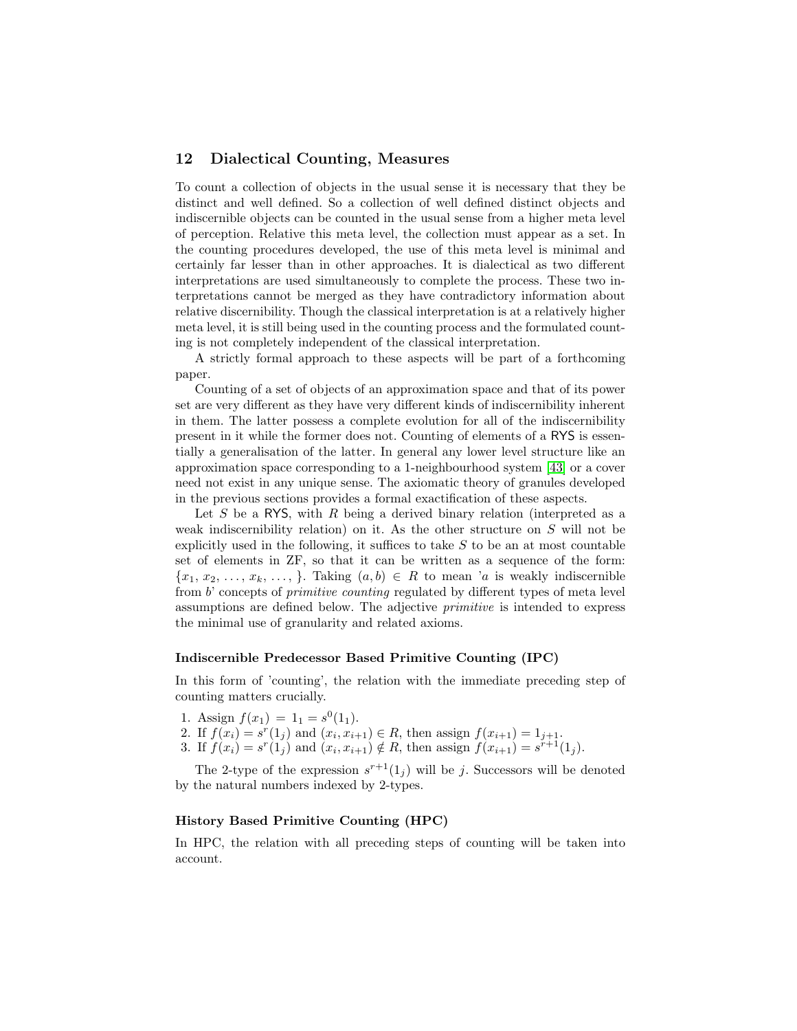## 12 Dialectical Counting, Measures

To count a collection of objects in the usual sense it is necessary that they be distinct and well defined. So a collection of well defined distinct objects and indiscernible objects can be counted in the usual sense from a higher meta level of perception. Relative this meta level, the collection must appear as a set. In the counting procedures developed, the use of this meta level is minimal and certainly far lesser than in other approaches. It is dialectical as two different interpretations are used simultaneously to complete the process. These two interpretations cannot be merged as they have contradictory information about relative discernibility. Though the classical interpretation is at a relatively higher meta level, it is still being used in the counting process and the formulated counting is not completely independent of the classical interpretation.

A strictly formal approach to these aspects will be part of a forthcoming paper.

Counting of a set of objects of an approximation space and that of its power set are very different as they have very different kinds of indiscernibility inherent in them. The latter possess a complete evolution for all of the indiscernibility present in it while the former does not. Counting of elements of a RYS is essentially a generalisation of the latter. In general any lower level structure like an approximation space corresponding to a 1-neighbourhood system [\[43\]](#page-55-15) or a cover need not exist in any unique sense. The axiomatic theory of granules developed in the previous sections provides a formal exactification of these aspects.

Let  $S$  be a RYS, with  $R$  being a derived binary relation (interpreted as a weak indiscernibility relation) on it. As the other structure on S will not be explicitly used in the following, it suffices to take  $S$  to be an at most countable set of elements in ZF, so that it can be written as a sequence of the form:  ${x_1, x_2, \ldots, x_k, \ldots}$ . Taking  $(a, b) \in R$  to mean 'a is weakly indiscernible from b' concepts of primitive counting regulated by different types of meta level assumptions are defined below. The adjective primitive is intended to express the minimal use of granularity and related axioms.

#### Indiscernible Predecessor Based Primitive Counting (IPC)

In this form of 'counting', the relation with the immediate preceding step of counting matters crucially.

- 1. Assign  $f(x_1) = 1_1 = s^0(1_1)$ .
- 2. If  $f(x_i) = s^r(1_i)$  and  $(x_i, x_{i+1}) \in R$ , then assign  $f(x_{i+1}) = 1_{j+1}$ .
- 3. If  $f(x_i) = s^r(1_i)$  and  $(x_i, x_{i+1}) \notin R$ , then assign  $f(x_{i+1}) = s^{r+1}(1_i)$ .

The 2-type of the expression  $s^{r+1}(1_j)$  will be j. Successors will be denoted by the natural numbers indexed by 2-types.

#### History Based Primitive Counting (HPC)

In HPC, the relation with all preceding steps of counting will be taken into account.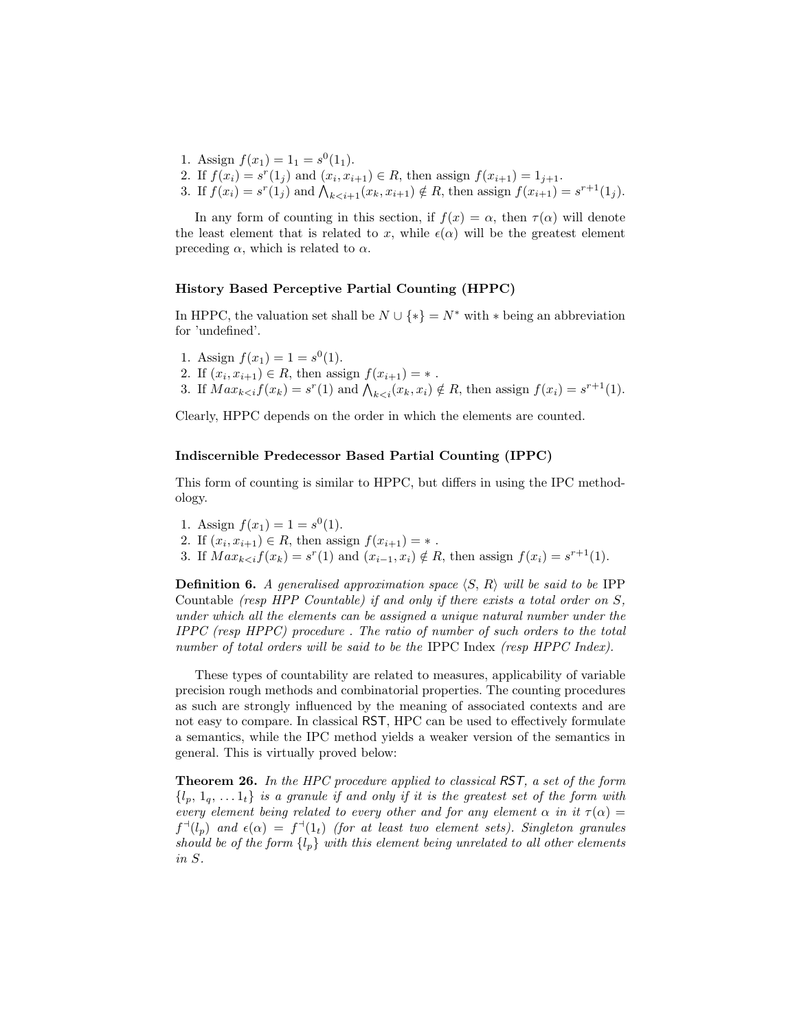- 1. Assign  $f(x_1) = 1_1 = s^0(1_1)$ .
- 2. If  $f(x_i) = s^r(1_i)$  and  $(x_i, x_{i+1}) \in R$ , then assign  $f(x_{i+1}) = 1_{j+1}$ .
- 3. If  $f(x_i) = s^r(1_i)$  and  $\bigwedge_{k \leq i+1} (x_k, x_{i+1}) \notin R$ , then assign  $f(x_{i+1}) = s^{r+1}(1_i)$ .

In any form of counting in this section, if  $f(x) = \alpha$ , then  $\tau(\alpha)$  will denote the least element that is related to x, while  $\epsilon(\alpha)$  will be the greatest element preceding  $\alpha$ , which is related to  $\alpha$ .

#### History Based Perceptive Partial Counting (HPPC)

In HPPC, the valuation set shall be  $N \cup \{*\} = N^*$  with  $*$  being an abbreviation for 'undefined'.

1. Assign  $f(x_1) = 1 = s^0(1)$ . 2. If  $(x_i, x_{i+1}) \in R$ , then assign  $f(x_{i+1}) = *$ . 3. If  $Max_{k \leq i} f(x_k) = s^r(1)$  and  $\bigwedge_{k \leq i} (x_k, x_i) \notin R$ , then assign  $f(x_i) = s^{r+1}(1)$ .

Clearly, HPPC depends on the order in which the elements are counted.

#### Indiscernible Predecessor Based Partial Counting (IPPC)

This form of counting is similar to HPPC, but differs in using the IPC methodology.

- 1. Assign  $f(x_1) = 1 = s^0(1)$ .
- 2. If  $(x_i, x_{i+1}) \in R$ , then assign  $f(x_{i+1}) = *$ .
- 3. If  $Max_{k \leq i} f(x_k) = s^r(1)$  and  $(x_{i-1}, x_i) \notin R$ , then assign  $f(x_i) = s^{r+1}(1)$ .

**Definition 6.** A generalised approximation space  $\langle S, R \rangle$  will be said to be IPP Countable (resp HPP Countable) if and only if there exists a total order on S, under which all the elements can be assigned a unique natural number under the IPPC (resp HPPC) procedure . The ratio of number of such orders to the total number of total orders will be said to be the IPPC Index (resp HPPC Index).

These types of countability are related to measures, applicability of variable precision rough methods and combinatorial properties. The counting procedures as such are strongly influenced by the meaning of associated contexts and are not easy to compare. In classical RST, HPC can be used to effectively formulate a semantics, while the IPC method yields a weaker version of the semantics in general. This is virtually proved below:

Theorem 26. In the HPC procedure applied to classical RST, a set of the form  ${l_p, 1_q, \ldots 1_t}$  is a granule if and only if it is the greatest set of the form with every element being related to every other and for any element  $\alpha$  in it  $\tau(\alpha)$  =  $f^{\dashv}(l_p)$  and  $\epsilon(\alpha) = f^{\dashv}(1_t)$  (for at least two element sets). Singleton granules should be of the form  $\{l_p\}$  with this element being unrelated to all other elements in S.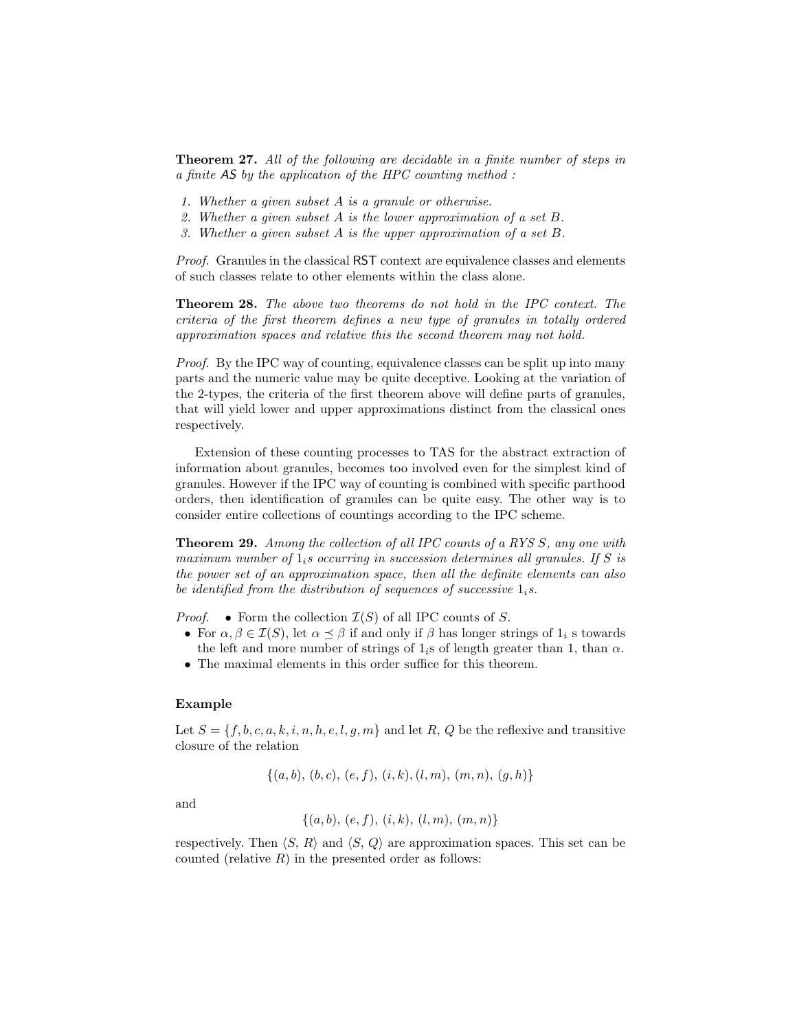Theorem 27. All of the following are decidable in a finite number of steps in a finite AS by the application of the HPC counting method :

- 1. Whether a given subset A is a granule or otherwise.
- 2. Whether a given subset A is the lower approximation of a set B.
- 3. Whether a given subset A is the upper approximation of a set B.

Proof. Granules in the classical RST context are equivalence classes and elements of such classes relate to other elements within the class alone.

Theorem 28. The above two theorems do not hold in the IPC context. The criteria of the first theorem defines a new type of granules in totally ordered approximation spaces and relative this the second theorem may not hold.

Proof. By the IPC way of counting, equivalence classes can be split up into many parts and the numeric value may be quite deceptive. Looking at the variation of the 2-types, the criteria of the first theorem above will define parts of granules, that will yield lower and upper approximations distinct from the classical ones respectively.

Extension of these counting processes to TAS for the abstract extraction of information about granules, becomes too involved even for the simplest kind of granules. However if the IPC way of counting is combined with specific parthood orders, then identification of granules can be quite easy. The other way is to consider entire collections of countings according to the IPC scheme.

Theorem 29. Among the collection of all IPC counts of a RYS S, any one with maximum number of  $1_i$ s occurring in succession determines all granules. If S is the power set of an approximation space, then all the definite elements can also be identified from the distribution of sequences of successive  $1_i$ s.

*Proof.* • Form the collection  $\mathcal{I}(S)$  of all IPC counts of S.

- For  $\alpha, \beta \in \mathcal{I}(S)$ , let  $\alpha \preceq \beta$  if and only if  $\beta$  has longer strings of  $1_i$  s towards the left and more number of strings of  $1_i$ s of length greater than 1, than  $\alpha$ .
- The maximal elements in this order suffice for this theorem.

#### Example

Let  $S = \{f, b, c, a, k, i, n, h, e, l, g, m\}$  and let R, Q be the reflexive and transitive closure of the relation

 $\{(a, b), (b, c), (e, f), (i, k), (l, m), (m, n), (q, h)\}\$ 

and

$$
\{(a,b), (e,f), (i,k), (l,m), (m,n)\}
$$

respectively. Then  $\langle S, R \rangle$  and  $\langle S, Q \rangle$  are approximation spaces. This set can be counted (relative  $R$ ) in the presented order as follows: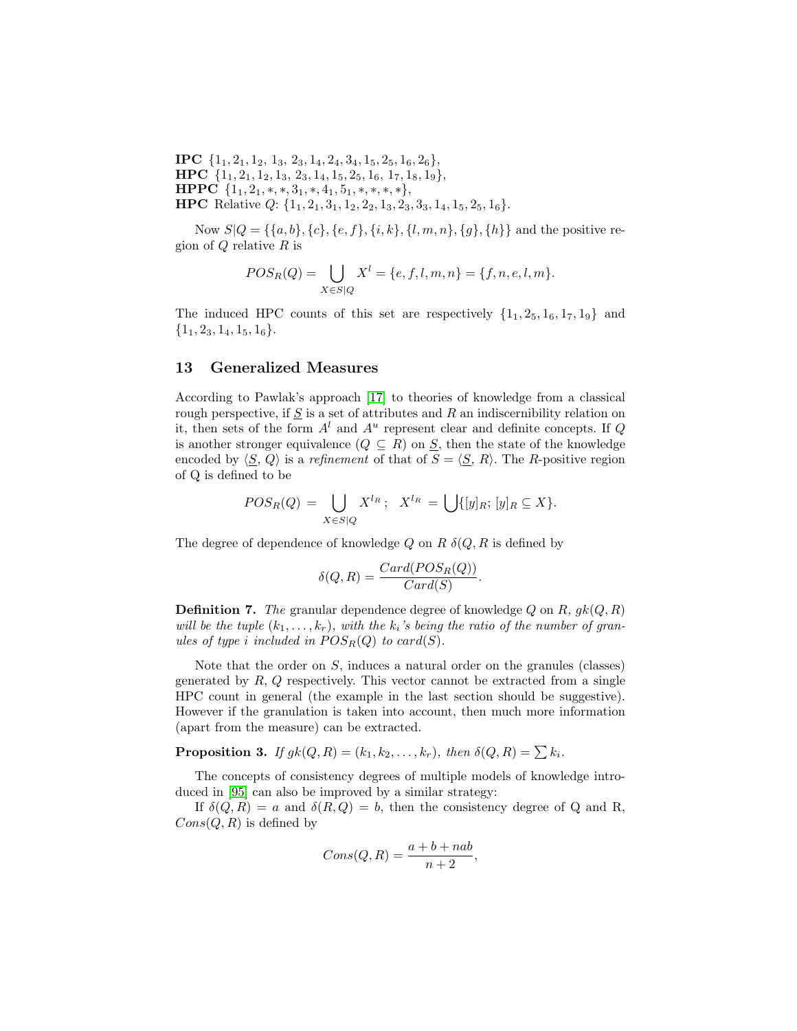**IPC**  $\{1_1, 2_1, 1_2, 1_3, 2_3, 1_4, 2_4, 3_4, 1_5, 2_5, 1_6, 2_6\},\$ HPC  $\{1_1, 2_1, 1_2, 1_3, 2_3, 1_4, 1_5, 2_5, 1_6, 1_7, 1_8, 1_9\},\$ HPPC  $\{1_1, 2_1, *, *, 3_1, *, 4_1, 5_1, *, *, *, * \},\$ **HPC** Relative  $Q: \{1_1, 2_1, 3_1, 1_2, 2_2, 1_3, 2_3, 3_3, 1_4, 1_5, 2_5, 1_6\}.$ 

Now  $S|Q = \{\{a, b\}, \{c\}, \{e, f\}, \{i, k\}, \{l, m, n\}, \{g\}, \{h\}\}\$ and the positive region of  $Q$  relative  $R$  is

$$
POS_{R}(Q) = \bigcup_{X \in S|Q} X^{l} = \{e, f, l, m, n\} = \{f, n, e, l, m\}.
$$

The induced HPC counts of this set are respectively  $\{1_1, 2_5, 1_6, 1_7, 1_9\}$  and  ${1, 2_3, 1_4, 1_5, 1_6}.$ 

## 13 Generalized Measures

According to Pawlak's approach [\[17\]](#page-54-14) to theories of knowledge from a classical rough perspective, if  $S$  is a set of attributes and  $R$  an indiscernibility relation on it, then sets of the form  $A<sup>l</sup>$  and  $A<sup>u</sup>$  represent clear and definite concepts. If Q is another stronger equivalence  $(Q \subseteq R)$  on  $S$ , then the state of the knowledge encoded by  $\langle S, Q \rangle$  is a refinement of that of  $S = \langle S, R \rangle$ . The R-positive region of Q is defined to be

$$
POS_{R}(Q) = \bigcup_{X \in S|Q} X^{l_{R}}; \quad X^{l_{R}} = \bigcup \{ [y]_{R}; [y]_{R} \subseteq X \}.
$$

The degree of dependence of knowledge Q on R  $\delta(Q, R)$  is defined by

$$
\delta(Q, R) = \frac{Card(POS_R(Q))}{Card(S)}
$$

.

**Definition 7.** The granular dependence degree of knowledge Q on R,  $qk(Q, R)$ will be the tuple  $(k_1, \ldots, k_r)$ , with the  $k_i$ 's being the ratio of the number of granules of type i included in  $POS_{R}(Q)$  to card(S).

Note that the order on  $S$ , induces a natural order on the granules (classes) generated by  $R$ ,  $Q$  respectively. This vector cannot be extracted from a single HPC count in general (the example in the last section should be suggestive). However if the granulation is taken into account, then much more information (apart from the measure) can be extracted.

**Proposition 3.** If  $g k(Q, R) = (k_1, k_2, \ldots, k_r)$ , then  $\delta(Q, R) = \sum k_i$ .

The concepts of consistency degrees of multiple models of knowledge introduced in [\[95\]](#page-57-19) can also be improved by a similar strategy:

If  $\delta(Q, R) = a$  and  $\delta(R, Q) = b$ , then the consistency degree of Q and R,  $Cons(Q, R)$  is defined by

$$
Cons(Q, R) = \frac{a+b+ nab}{n+2},
$$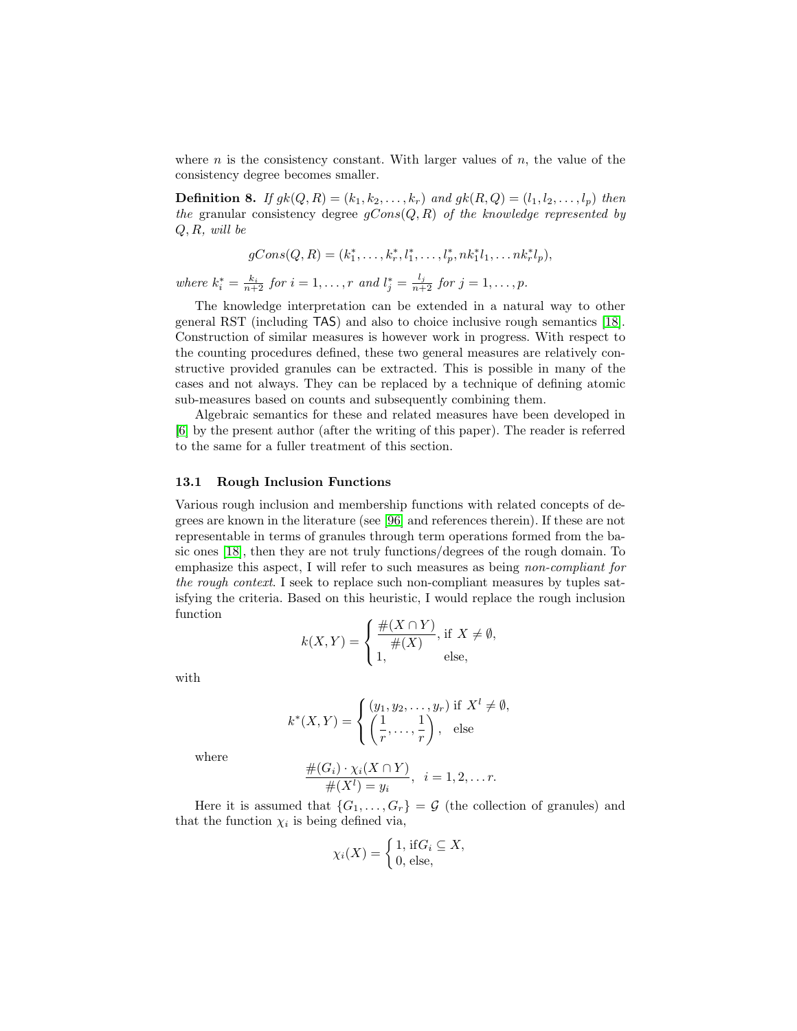where  $n$  is the consistency constant. With larger values of  $n$ , the value of the consistency degree becomes smaller.

**Definition 8.** If  $g k(Q, R) = (k_1, k_2, \ldots, k_r)$  and  $g k(R, Q) = (l_1, l_2, \ldots, l_p)$  then the granular consistency degree  $gCons(Q, R)$  of the knowledge represented by  $Q, R, will be$ 

$$
gCons(Q, R) = (k_1^*, \ldots, k_r^*, l_1^*, \ldots, l_p^*, nk_1^*l_1, \ldots nk_r^*l_p),
$$

where  $k_i^* = \frac{k_i}{n+2}$  for  $i = 1, ..., r$  and  $l_j^* = \frac{l_j}{n+2}$  for  $j = 1, ..., p$ .

The knowledge interpretation can be extended in a natural way to other general RST (including TAS) and also to choice inclusive rough semantics [\[18\]](#page-54-15). Construction of similar measures is however work in progress. With respect to the counting procedures defined, these two general measures are relatively constructive provided granules can be extracted. This is possible in many of the cases and not always. They can be replaced by a technique of defining atomic sub-measures based on counts and subsequently combining them.

Algebraic semantics for these and related measures have been developed in [\[6\]](#page-54-3) by the present author (after the writing of this paper). The reader is referred to the same for a fuller treatment of this section.

#### 13.1 Rough Inclusion Functions

Various rough inclusion and membership functions with related concepts of degrees are known in the literature (see [\[96\]](#page-57-20) and references therein). If these are not representable in terms of granules through term operations formed from the basic ones [\[18\]](#page-54-15), then they are not truly functions/degrees of the rough domain. To emphasize this aspect, I will refer to such measures as being *non-compliant for* the rough context. I seek to replace such non-compliant measures by tuples satisfying the criteria. Based on this heuristic, I would replace the rough inclusion function

$$
k(X,Y) = \begin{cases} \frac{\#(X \cap Y)}{\#(X)}, \text{ if } X \neq \emptyset, \\ 1, \text{ else,} \end{cases}
$$

with

$$
k^*(X,Y) = \begin{cases} (y_1, y_2, \dots, y_r) & \text{if } X^l \neq \emptyset, \\ \left(\frac{1}{r}, \dots, \frac{1}{r}\right), & \text{else} \end{cases}
$$

where

$$
\frac{\#(G_i)\cdot \chi_i(X\cap Y)}{\#(X^l)=y_i}, \ \ i=1,2,\ldots r.
$$

Here it is assumed that  $\{G_1, \ldots, G_r\} = \mathcal{G}$  (the collection of granules) and that the function  $\chi_i$  is being defined via,

$$
\chi_i(X) = \begin{cases} 1, \text{ if } G_i \subseteq X, \\ 0, \text{ else,} \end{cases}
$$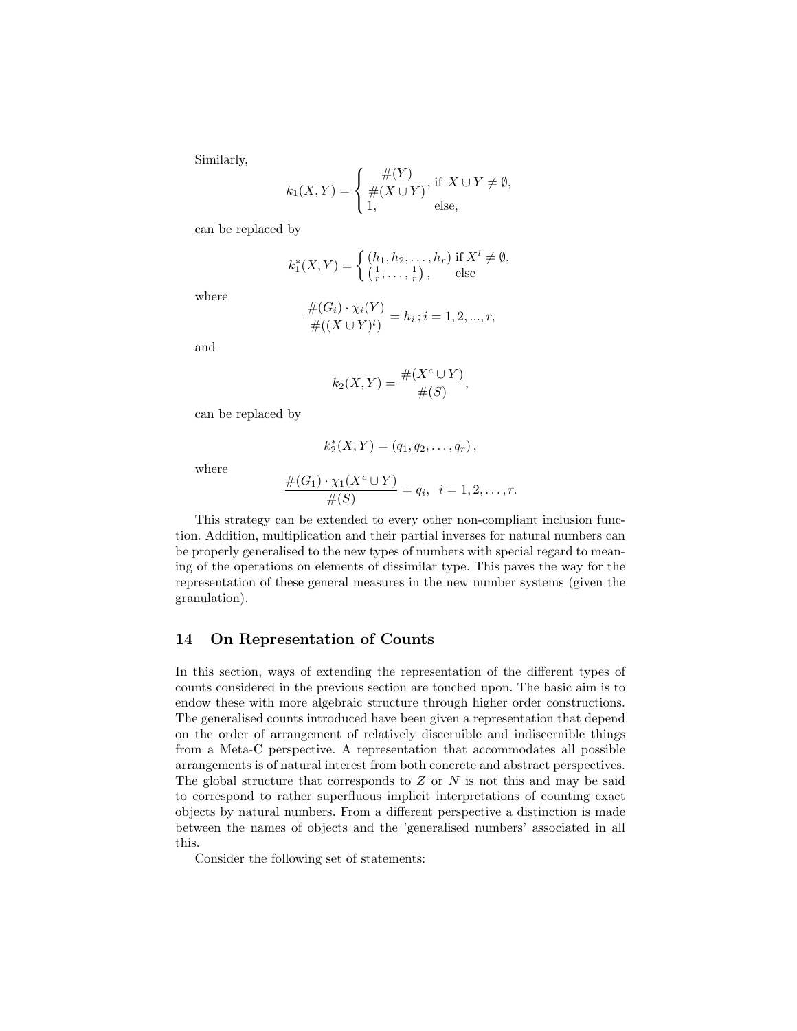Similarly,

$$
k_1(X,Y) = \begin{cases} \frac{\#(Y)}{\#(X \cup Y)}, \text{ if } X \cup Y \neq \emptyset, \\ 1, \text{ else,} \end{cases}
$$

can be replaced by

$$
k_1^*(X,Y) = \begin{cases} (h_1, h_2, \dots, h_r) & \text{if } X^l \neq \emptyset, \\ \left(\frac{1}{r}, \dots, \frac{1}{r}\right), & \text{else} \end{cases}
$$

where

$$
\frac{\#(G_i) \cdot \chi_i(Y)}{\#((X \cup Y)^l)} = h_i \, ; i = 1, 2, ..., r,
$$

and

$$
k_2(X,Y) = \frac{\#(X^c \cup Y)}{\#(S)},
$$

can be replaced by

$$
k_2^*(X,Y) = (q_1, q_2, \dots, q_r) ,
$$

where

$$
\frac{\#(G_1)\cdot \chi_1(X^c \cup Y)}{\#(S)} = q_i, \ \ i = 1, 2, \dots, r.
$$

This strategy can be extended to every other non-compliant inclusion function. Addition, multiplication and their partial inverses for natural numbers can be properly generalised to the new types of numbers with special regard to meaning of the operations on elements of dissimilar type. This paves the way for the representation of these general measures in the new number systems (given the granulation).

## 14 On Representation of Counts

In this section, ways of extending the representation of the different types of counts considered in the previous section are touched upon. The basic aim is to endow these with more algebraic structure through higher order constructions. The generalised counts introduced have been given a representation that depend on the order of arrangement of relatively discernible and indiscernible things from a Meta-C perspective. A representation that accommodates all possible arrangements is of natural interest from both concrete and abstract perspectives. The global structure that corresponds to  $Z$  or  $N$  is not this and may be said to correspond to rather superfluous implicit interpretations of counting exact objects by natural numbers. From a different perspective a distinction is made between the names of objects and the 'generalised numbers' associated in all this.

Consider the following set of statements: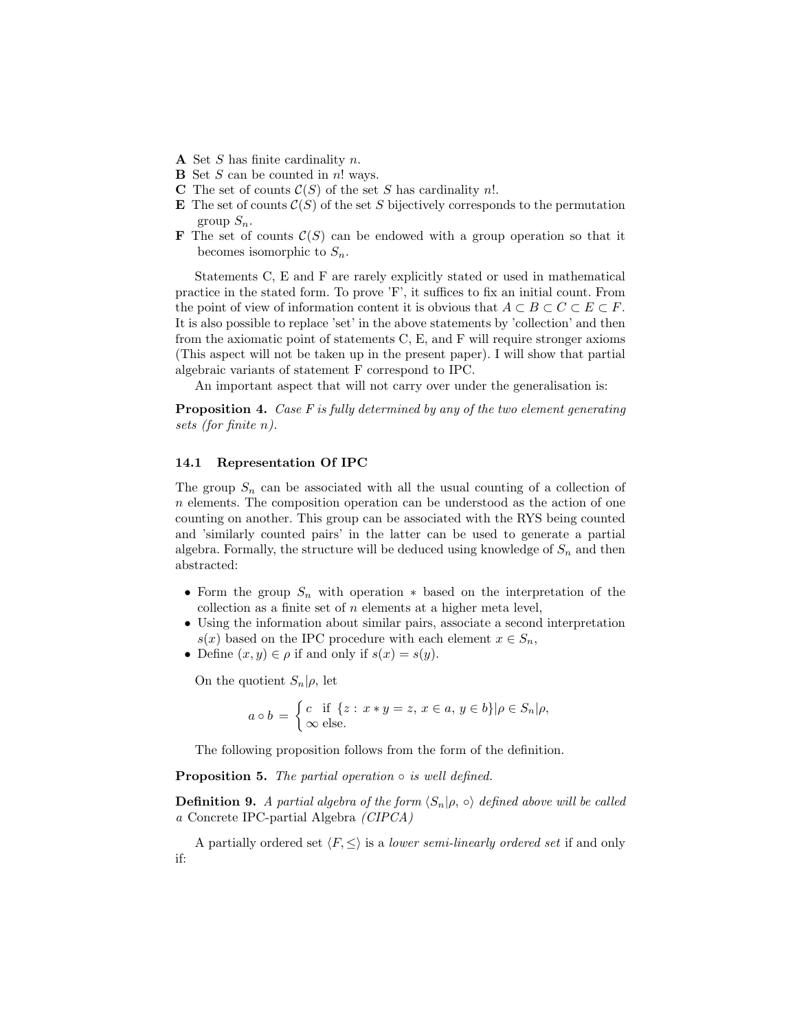- A Set  $S$  has finite cardinality  $n$ .
- **B** Set S can be counted in  $n!$  ways.
- C The set of counts  $C(S)$  of the set S has cardinality n!.
- **E** The set of counts  $\mathcal{C}(S)$  of the set S bijectively corresponds to the permutation group  $S_n$ .
- **F** The set of counts  $C(S)$  can be endowed with a group operation so that it becomes isomorphic to  $S_n$ .

Statements C, E and F are rarely explicitly stated or used in mathematical practice in the stated form. To prove 'F', it suffices to fix an initial count. From the point of view of information content it is obvious that  $A \subset B \subset C \subset E \subset F$ . It is also possible to replace 'set' in the above statements by 'collection' and then from the axiomatic point of statements C, E, and F will require stronger axioms (This aspect will not be taken up in the present paper). I will show that partial algebraic variants of statement F correspond to IPC.

An important aspect that will not carry over under the generalisation is:

**Proposition 4.** Case  $F$  is fully determined by any of the two element generating sets (for finite n).

## 14.1 Representation Of IPC

The group  $S_n$  can be associated with all the usual counting of a collection of n elements. The composition operation can be understood as the action of one counting on another. This group can be associated with the RYS being counted and 'similarly counted pairs' in the latter can be used to generate a partial algebra. Formally, the structure will be deduced using knowledge of  $S_n$  and then abstracted:

- Form the group  $S_n$  with operation  $*$  based on the interpretation of the collection as a finite set of  $n$  elements at a higher meta level,
- Using the information about similar pairs, associate a second interpretation  $s(x)$  based on the IPC procedure with each element  $x \in S_n$ ,
- Define  $(x, y) \in \rho$  if and only if  $s(x) = s(y)$ .

On the quotient  $S_n|\rho$ , let

$$
a \circ b = \begin{cases} c & \text{if } \{z : x * y = z, x \in a, y \in b\} | \rho \in S_n | \rho, \\ \infty & \text{else.} \end{cases}
$$

The following proposition follows from the form of the definition.

**Proposition 5.** The partial operation  $\circ$  is well defined.

**Definition 9.** A partial algebra of the form  $\langle S_n|\rho, \circ \rangle$  defined above will be called a Concrete IPC-partial Algebra (CIPCA)

A partially ordered set  $\langle F, \leq \rangle$  is a *lower semi-linearly ordered set* if and only if: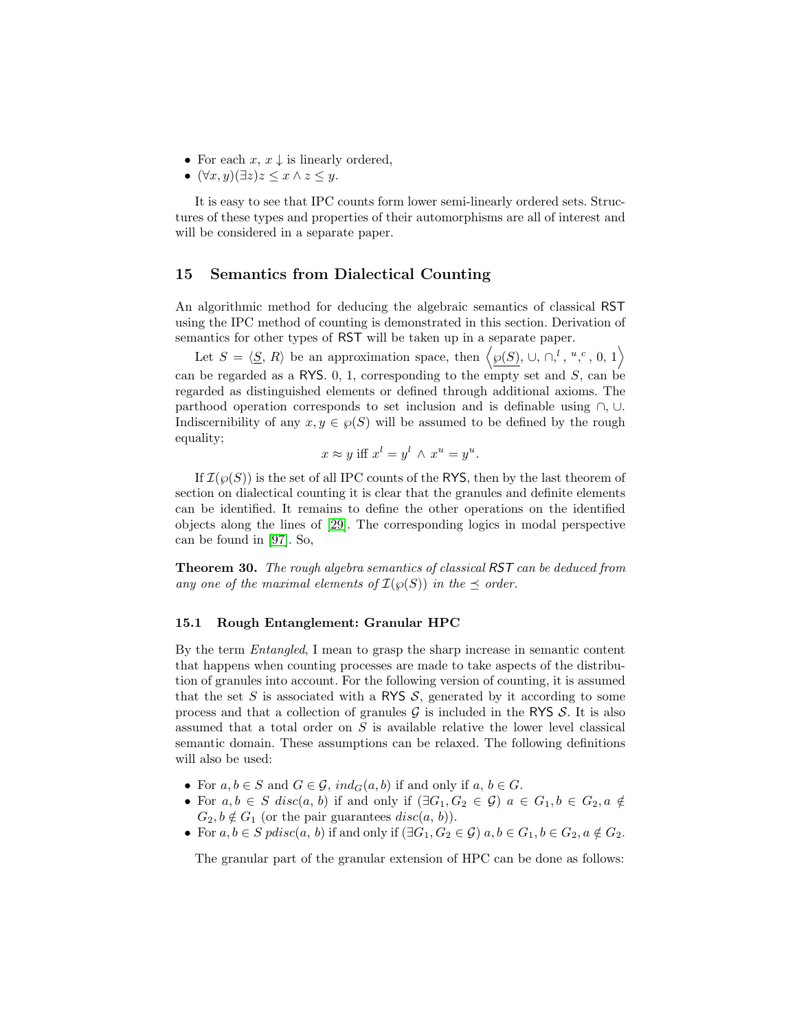- For each  $x, x \downarrow$  is linearly ordered,
- $(\forall x, y)(\exists z)z \leq x \land z \leq y$ .

It is easy to see that IPC counts form lower semi-linearly ordered sets. Structures of these types and properties of their automorphisms are all of interest and will be considered in a separate paper.

#### 15 Semantics from Dialectical Counting

An algorithmic method for deducing the algebraic semantics of classical RST using the IPC method of counting is demonstrated in this section. Derivation of semantics for other types of RST will be taken up in a separate paper.

Let  $S = \langle \underline{S}, R \rangle$  be an approximation space, then  $\langle \varphi(S), \cup, \cap,^l, u,^c, 0, 1 \rangle$ can be regarded as a RYS. 0, 1, corresponding to the empty set and  $S$ , can be regarded as distinguished elements or defined through additional axioms. The parthood operation corresponds to set inclusion and is definable using ∩, ∪. Indiscernibility of any  $x, y \in \varphi(S)$  will be assumed to be defined by the rough equality;

$$
x \approx y \text{ iff } x^l = y^l \land x^u = y^u.
$$

If  $\mathcal{I}(\wp(S))$  is the set of all IPC counts of the RYS, then by the last theorem of section on dialectical counting it is clear that the granules and definite elements can be identified. It remains to define the other operations on the identified objects along the lines of [\[29\]](#page-55-1). The corresponding logics in modal perspective can be found in [\[97\]](#page-57-21). So,

Theorem 30. The rough algebra semantics of classical RST can be deduced from any one of the maximal elements of  $\mathcal{I}(\wp(S))$  in the  $\preceq$  order.

#### 15.1 Rough Entanglement: Granular HPC

By the term Entangled, I mean to grasp the sharp increase in semantic content that happens when counting processes are made to take aspects of the distribution of granules into account. For the following version of counting, it is assumed that the set S is associated with a RYS  $S$ , generated by it according to some process and that a collection of granules  $G$  is included in the RYS  $S$ . It is also assumed that a total order on S is available relative the lower level classical semantic domain. These assumptions can be relaxed. The following definitions will also be used:

- For  $a, b \in S$  and  $G \in \mathcal{G}$ ,  $ind_G(a, b)$  if and only if  $a, b \in G$ .
- For  $a, b \in S$  disc(a, b) if and only if  $(\exists G_1, G_2 \in \mathcal{G})$   $a \in G_1, b \in G_2, a \notin S$  $G_2, b \notin G_1$  (or the pair guarantees  $disc(a, b)$ ).
- For  $a, b \in S$  pdisc(a, b) if and only if  $(\exists G_1, G_2 \in \mathcal{G})$   $a, b \in G_1, b \in G_2, a \notin G_2$ .

The granular part of the granular extension of HPC can be done as follows: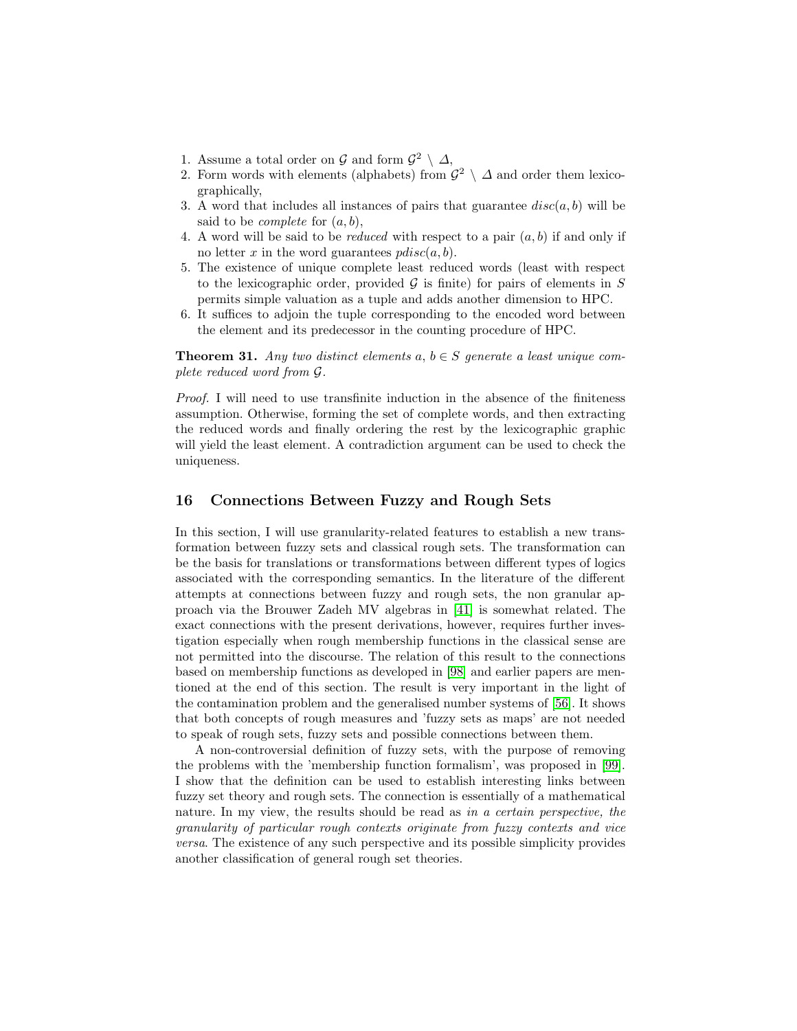- 1. Assume a total order on  $\mathcal G$  and form  $\mathcal G^2 \setminus \Delta$ ,
- 2. Form words with elements (alphabets) from  $\mathcal{G}^2 \setminus \Delta$  and order them lexicographically,
- 3. A word that includes all instances of pairs that guarantee  $disc(a, b)$  will be said to be *complete* for  $(a, b)$ ,
- 4. A word will be said to be *reduced* with respect to a pair  $(a, b)$  if and only if no letter x in the word guarantees  $pdisc(a, b)$ .
- 5. The existence of unique complete least reduced words (least with respect to the lexicographic order, provided  $\mathcal G$  is finite) for pairs of elements in S permits simple valuation as a tuple and adds another dimension to HPC.
- 6. It suffices to adjoin the tuple corresponding to the encoded word between the element and its predecessor in the counting procedure of HPC.

**Theorem 31.** Any two distinct elements  $a, b \in S$  generate a least unique complete reduced word from G.

Proof. I will need to use transfinite induction in the absence of the finiteness assumption. Otherwise, forming the set of complete words, and then extracting the reduced words and finally ordering the rest by the lexicographic graphic will yield the least element. A contradiction argument can be used to check the uniqueness.

## 16 Connections Between Fuzzy and Rough Sets

In this section, I will use granularity-related features to establish a new transformation between fuzzy sets and classical rough sets. The transformation can be the basis for translations or transformations between different types of logics associated with the corresponding semantics. In the literature of the different attempts at connections between fuzzy and rough sets, the non granular approach via the Brouwer Zadeh MV algebras in [\[41\]](#page-55-13) is somewhat related. The exact connections with the present derivations, however, requires further investigation especially when rough membership functions in the classical sense are not permitted into the discourse. The relation of this result to the connections based on membership functions as developed in [\[98\]](#page-58-0) and earlier papers are mentioned at the end of this section. The result is very important in the light of the contamination problem and the generalised number systems of [\[56\]](#page-56-7). It shows that both concepts of rough measures and 'fuzzy sets as maps' are not needed to speak of rough sets, fuzzy sets and possible connections between them.

A non-controversial definition of fuzzy sets, with the purpose of removing the problems with the 'membership function formalism', was proposed in [\[99\]](#page-58-1). I show that the definition can be used to establish interesting links between fuzzy set theory and rough sets. The connection is essentially of a mathematical nature. In my view, the results should be read as in a certain perspective, the granularity of particular rough contexts originate from fuzzy contexts and vice versa. The existence of any such perspective and its possible simplicity provides another classification of general rough set theories.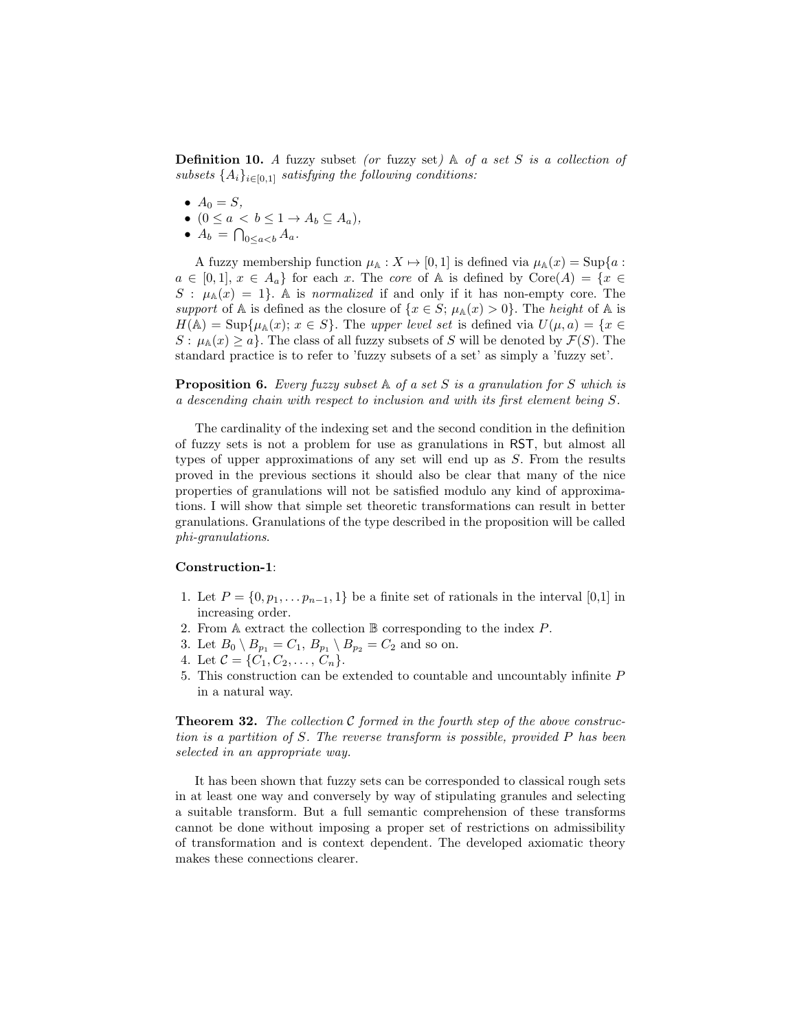**Definition 10.** A fuzzy subset (or fuzzy set)  $\mathbb A$  of a set S is a collection of subsets  $\{A_i\}_{i\in[0,1]}$  satisfying the following conditions:

- $A_0 = S$ ,
- $(0 \le a < b \le 1 \rightarrow A_b \subseteq A_a)$ ,
- $A_b = \bigcap_{0 \leq a < b} A_a$ .

A fuzzy membership function  $\mu_{\mathbb{A}} : X \mapsto [0,1]$  is defined via  $\mu_{\mathbb{A}}(x) = \text{Sup}\{a :$  $a \in [0,1], x \in A_a$  for each x. The core of A is defined by  $Core(A) = \{x \in A\}$  $S: \mu_{\mathbb{A}}(x) = 1$ . A is normalized if and only if it has non-empty core. The support of A is defined as the closure of  $\{x \in S; \mu_{\mathbb{A}}(x) > 0\}$ . The *height* of A is  $H(\mathbb{A}) = \text{Sup}\{\mu_{\mathbb{A}}(x); x \in S\}.$  The upper level set is defined via  $U(\mu, a) = \{x \in S\}$  $S: \mu_{\mathbb{A}}(x) \geq a$ . The class of all fuzzy subsets of S will be denoted by  $\mathcal{F}(S)$ . The standard practice is to refer to 'fuzzy subsets of a set' as simply a 'fuzzy set'.

**Proposition 6.** Every fuzzy subset  $\mathbb A$  of a set S is a granulation for S which is a descending chain with respect to inclusion and with its first element being S.

The cardinality of the indexing set and the second condition in the definition of fuzzy sets is not a problem for use as granulations in RST, but almost all types of upper approximations of any set will end up as S. From the results proved in the previous sections it should also be clear that many of the nice properties of granulations will not be satisfied modulo any kind of approximations. I will show that simple set theoretic transformations can result in better granulations. Granulations of the type described in the proposition will be called phi-granulations.

#### Construction-1:

- 1. Let  $P = \{0, p_1, \ldots, p_{n-1}, 1\}$  be a finite set of rationals in the interval [0,1] in increasing order.
- 2. From  $A$  extract the collection  $B$  corresponding to the index  $P$ .
- 3. Let  $B_0 \setminus B_{p_1} = C_1, B_{p_1} \setminus B_{p_2} = C_2$  and so on.
- 4. Let  $C = \{C_1, C_2, \ldots, C_n\}.$
- 5. This construction can be extended to countable and uncountably infinite P in a natural way.

**Theorem 32.** The collection C formed in the fourth step of the above construction is a partition of S. The reverse transform is possible, provided P has been selected in an appropriate way.

It has been shown that fuzzy sets can be corresponded to classical rough sets in at least one way and conversely by way of stipulating granules and selecting a suitable transform. But a full semantic comprehension of these transforms cannot be done without imposing a proper set of restrictions on admissibility of transformation and is context dependent. The developed axiomatic theory makes these connections clearer.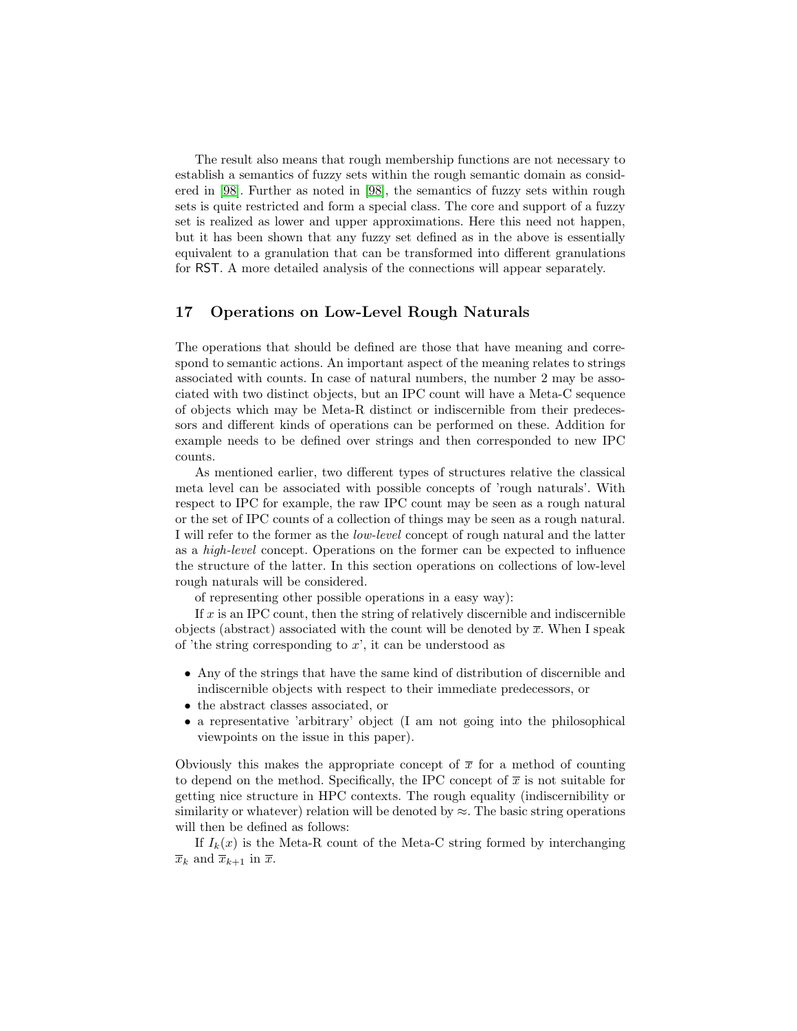The result also means that rough membership functions are not necessary to establish a semantics of fuzzy sets within the rough semantic domain as considered in [\[98\]](#page-58-0). Further as noted in [\[98\]](#page-58-0), the semantics of fuzzy sets within rough sets is quite restricted and form a special class. The core and support of a fuzzy set is realized as lower and upper approximations. Here this need not happen, but it has been shown that any fuzzy set defined as in the above is essentially equivalent to a granulation that can be transformed into different granulations for RST. A more detailed analysis of the connections will appear separately.

## 17 Operations on Low-Level Rough Naturals

The operations that should be defined are those that have meaning and correspond to semantic actions. An important aspect of the meaning relates to strings associated with counts. In case of natural numbers, the number 2 may be associated with two distinct objects, but an IPC count will have a Meta-C sequence of objects which may be Meta-R distinct or indiscernible from their predecessors and different kinds of operations can be performed on these. Addition for example needs to be defined over strings and then corresponded to new IPC counts.

As mentioned earlier, two different types of structures relative the classical meta level can be associated with possible concepts of 'rough naturals'. With respect to IPC for example, the raw IPC count may be seen as a rough natural or the set of IPC counts of a collection of things may be seen as a rough natural. I will refer to the former as the low-level concept of rough natural and the latter as a high-level concept. Operations on the former can be expected to influence the structure of the latter. In this section operations on collections of low-level rough naturals will be considered.

of representing other possible operations in a easy way):

If  $x$  is an IPC count, then the string of relatively discernible and indiscernible objects (abstract) associated with the count will be denoted by  $\bar{x}$ . When I speak of 'the string corresponding to  $x'$ , it can be understood as

- Any of the strings that have the same kind of distribution of discernible and indiscernible objects with respect to their immediate predecessors, or
- the abstract classes associated, or
- a representative 'arbitrary' object (I am not going into the philosophical viewpoints on the issue in this paper).

Obviously this makes the appropriate concept of  $\bar{x}$  for a method of counting to depend on the method. Specifically, the IPC concept of  $\bar{x}$  is not suitable for getting nice structure in HPC contexts. The rough equality (indiscernibility or similarity or whatever) relation will be denoted by  $\approx$ . The basic string operations will then be defined as follows:

If  $I_k(x)$  is the Meta-R count of the Meta-C string formed by interchanging  $\overline{x}_k$  and  $\overline{x}_{k+1}$  in  $\overline{x}$ .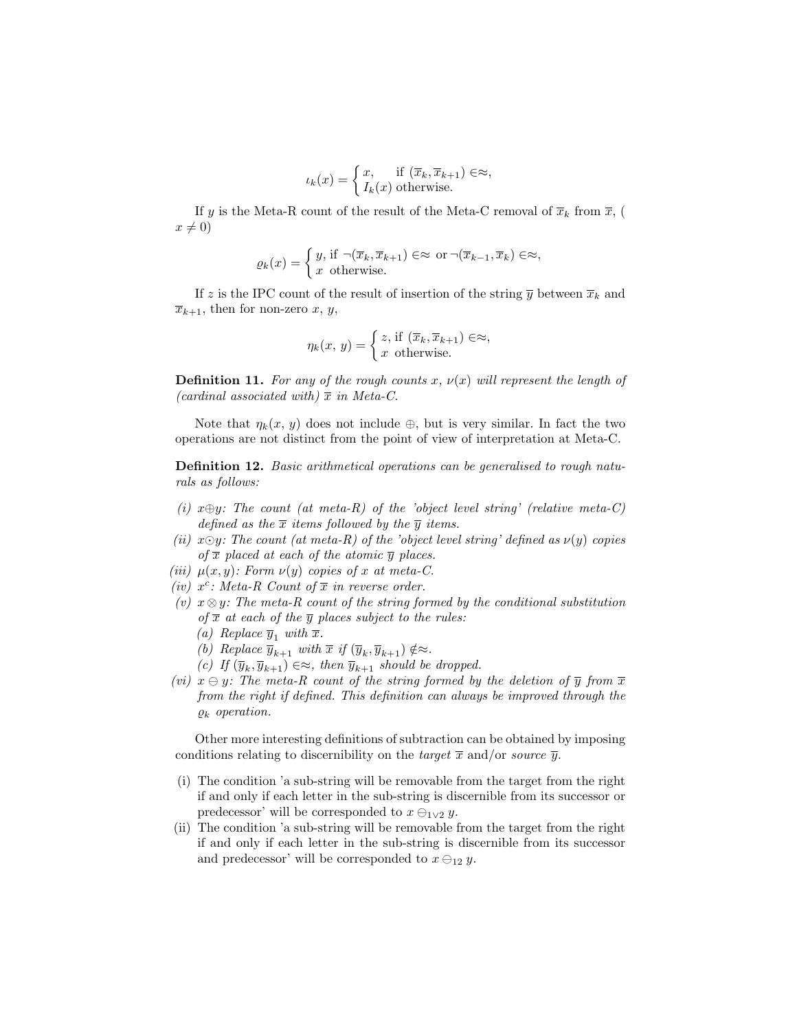$$
\iota_k(x) = \begin{cases} x, & \text{if } (\overline{x}_k, \overline{x}_{k+1}) \in \approx, \\ I_k(x) & \text{otherwise.} \end{cases}
$$

If y is the Meta-R count of the result of the Meta-C removal of  $\overline{x}_k$  from  $\overline{x}$ , (  $x \neq 0$ 

$$
\varrho_k(x) = \begin{cases} y, \text{ if } \neg(\overline{x}_k, \overline{x}_{k+1}) \in \approx \text{ or } \neg(\overline{x}_{k-1}, \overline{x}_k) \in \approx, \\ x \text{ otherwise.} \end{cases}
$$

If z is the IPC count of the result of insertion of the string  $\overline{y}$  between  $\overline{x}_k$  and  $\overline{x}_{k+1}$ , then for non-zero x, y,

$$
\eta_k(x, y) = \begin{cases} z, \text{ if } (\overline{x}_k, \overline{x}_{k+1}) \in \approx, \\ x \text{ otherwise.} \end{cases}
$$

**Definition 11.** For any of the rough counts x,  $\nu(x)$  will represent the length of (cardinal associated with)  $\bar{x}$  in Meta-C.

Note that  $\eta_k(x, y)$  does not include  $\oplus$ , but is very similar. In fact the two operations are not distinct from the point of view of interpretation at Meta-C.

Definition 12. Basic arithmetical operations can be generalised to rough naturals as follows:

- (i)  $x \oplus y$ : The count (at meta-R) of the 'object level string' (relative meta-C) defined as the  $\bar{x}$  items followed by the  $\bar{y}$  items.
- (ii)  $x \odot y$ : The count (at meta-R) of the 'object level string' defined as  $\nu(y)$  copies of  $\overline{x}$  placed at each of the atomic  $\overline{y}$  places.
- (iii)  $\mu(x, y)$ : Form  $\nu(y)$  copies of x at meta-C.
- (iv)  $x^c$ : Meta-R Count of  $\overline{x}$  in reverse order.
- (v)  $x \otimes y$ : The meta-R count of the string formed by the conditional substitution of  $\overline{x}$  at each of the  $\overline{y}$  places subject to the rules:
	- (a) Replace  $\overline{y}_1$  with  $\overline{x}$ .
	- (b) Replace  $\overline{y}_{k+1}$  with  $\overline{x}$  if  $(\overline{y}_k, \overline{y}_{k+1}) \notin \approx$ .
	- (c) If  $(\overline{y}_k, \overline{y}_{k+1}) \in \approx$ , then  $\overline{y}_{k+1}$  should be dropped.
- (vi)  $x \ominus y$ : The meta-R count of the string formed by the deletion of  $\overline{y}$  from  $\overline{x}$ from the right if defined. This definition can always be improved through the  $\rho_k$  operation.

Other more interesting definitions of subtraction can be obtained by imposing conditions relating to discernibility on the *target*  $\bar{x}$  and/or *source*  $\bar{y}$ .

- (i) The condition 'a sub-string will be removable from the target from the right if and only if each letter in the sub-string is discernible from its successor or predecessor' will be corresponded to  $x \ominus_1 \cup_2 y$ .
- (ii) The condition 'a sub-string will be removable from the target from the right if and only if each letter in the sub-string is discernible from its successor and predecessor' will be corresponded to  $x \ominus_{12} y$ .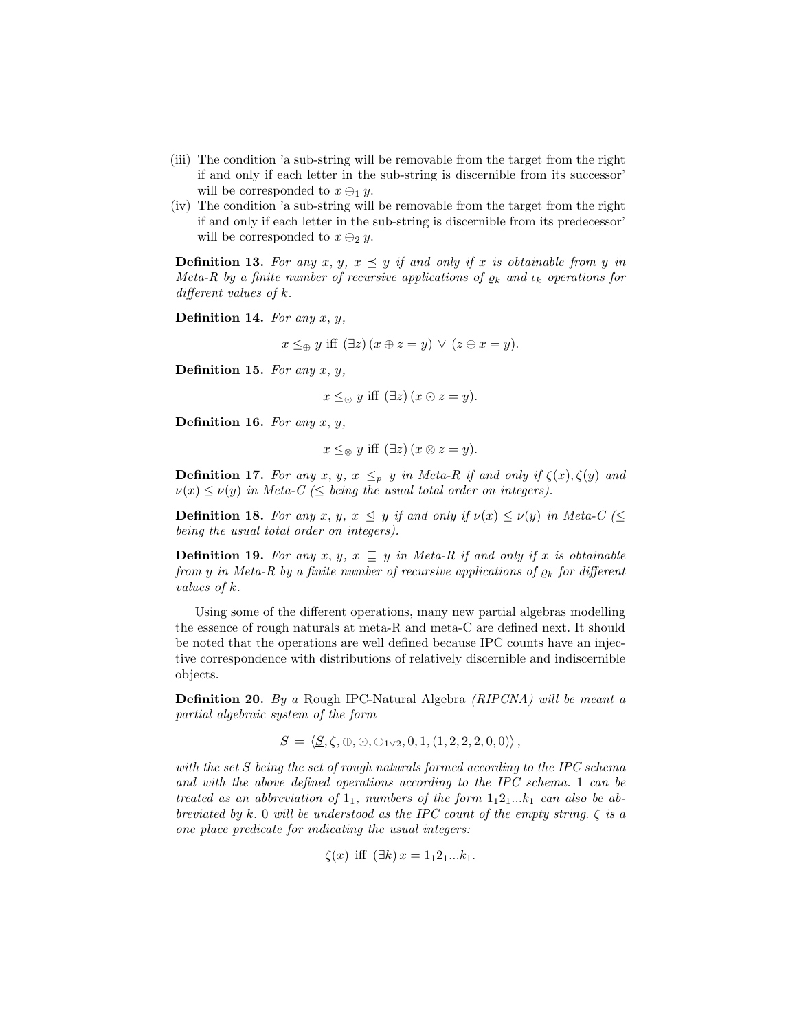- (iii) The condition 'a sub-string will be removable from the target from the right if and only if each letter in the sub-string is discernible from its successor' will be corresponded to  $x \ominus_1 y$ .
- (iv) The condition 'a sub-string will be removable from the target from the right if and only if each letter in the sub-string is discernible from its predecessor' will be corresponded to  $x \ominus_2 y$ .

**Definition 13.** For any x, y,  $x \preceq y$  if and only if x is obtainable from y in Meta-R by a finite number of recursive applications of  $\rho_k$  and  $\iota_k$  operations for different values of k.

**Definition 14.** For any  $x, y$ ,

$$
x \leq_{\oplus} y \text{ iff } (\exists z) (x \oplus z = y) \vee (z \oplus x = y).
$$

Definition 15. For any  $x, y$ ,

 $x \leq_{\odot} y$  iff  $(\exists z)(x \odot z = y)$ .

Definition 16. For any  $x, y$ ,

$$
x \leq_{\otimes} y
$$
 iff  $(\exists z)(x \otimes z = y)$ .

**Definition 17.** For any x, y,  $x \leq_p y$  in Meta-R if and only if  $\zeta(x), \zeta(y)$  and  $\nu(x) \leq \nu(y)$  in Meta-C ( $\leq$  being the usual total order on integers).

**Definition 18.** For any x, y,  $x \leq y$  if and only if  $\nu(x) \leq \nu(y)$  in Meta-C ( $\leq$ being the usual total order on integers).

**Definition 19.** For any  $x, y, x \subseteq y$  in Meta-R if and only if x is obtainable from y in Meta-R by a finite number of recursive applications of  $\varrho_k$  for different values of k.

Using some of the different operations, many new partial algebras modelling the essence of rough naturals at meta-R and meta-C are defined next. It should be noted that the operations are well defined because IPC counts have an injective correspondence with distributions of relatively discernible and indiscernible objects.

Definition 20. By a Rough IPC-Natural Algebra (RIPCNA) will be meant a partial algebraic system of the form

$$
S\,=\,\left\langle \underline{S},\zeta,\oplus,\odot,\ominus_{1\vee 2},0,1,(1,2,2,2,0,0)\right\rangle,
$$

with the set  $S$  being the set of rough naturals formed according to the IPC schema and with the above defined operations according to the IPC schema. 1 can be treated as an abbreviation of  $1_1$ , numbers of the form  $1_12_1...k_1$  can also be abbreviated by k. 0 will be understood as the IPC count of the empty string.  $\zeta$  is a one place predicate for indicating the usual integers:

$$
\zeta(x)
$$
 iff  $(\exists k) x = 1_1 2_1 ... k_1$ .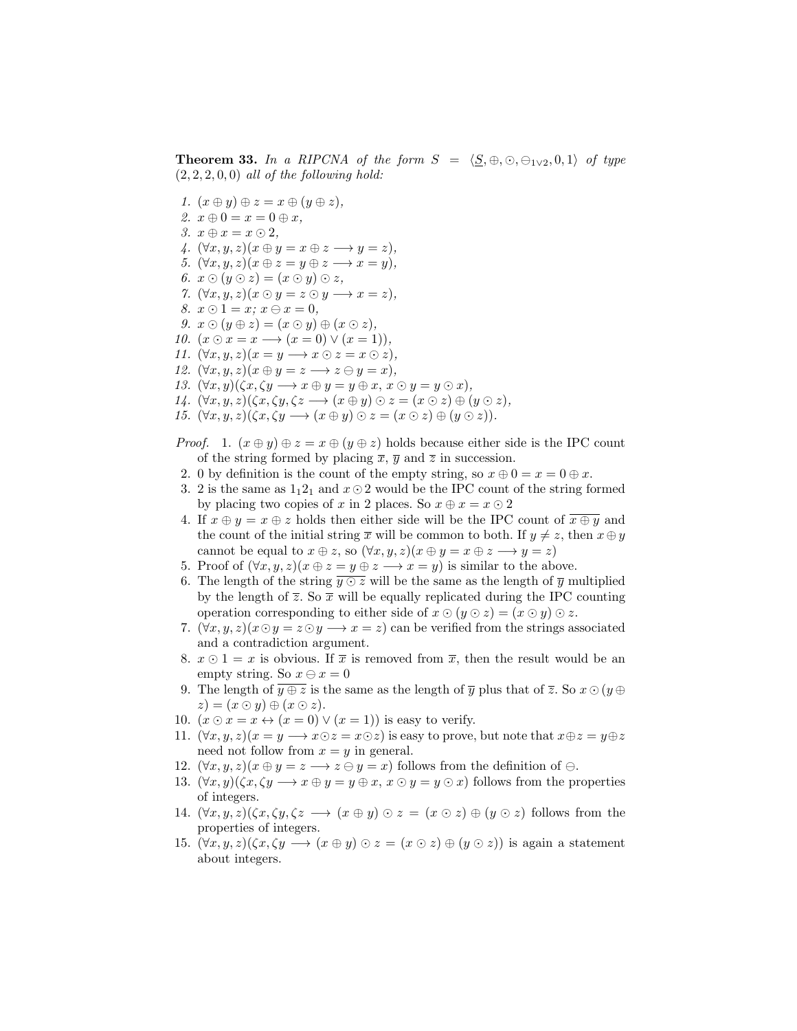**Theorem 33.** In a RIPCNA of the form  $S = \langle \underline{S}, \oplus, \odot, \ominus_1 \vee_2, 0, 1 \rangle$  of type  $(2, 2, 2, 0, 0)$  all of the following hold:

1.  $(x \oplus y) \oplus z = x \oplus (y \oplus z),$ 2.  $x \oplus 0 = x = 0 \oplus x$ , 3.  $x \oplus x = x \odot 2$ , 4.  $(\forall x, y, z)(x \oplus y = x \oplus z \longrightarrow y = z),$ 5.  $(\forall x, y, z)(x \oplus z = y \oplus z \longrightarrow x = y),$ 6.  $x \odot (y \odot z) = (x \odot y) \odot z$ , 7.  $(\forall x, y, z)(x \odot y = z \odot y \longrightarrow x = z),$ 8.  $x \odot 1 = x$ ;  $x \ominus x = 0$ , 9.  $x \odot (y \oplus z) = (x \odot y) \oplus (x \odot z),$ 10.  $(x \odot x = x \rightarrow (x = 0) \vee (x = 1)),$ 11.  $(\forall x, y, z)(x = y \rightarrow x \odot z = x \odot z),$ 

- 12.  $(\forall x, y, z)(x \oplus y = z \longrightarrow z \ominus y = x),$
- 13.  $(\forall x, y)(\zeta x, \zeta y \longrightarrow x \oplus y = y \oplus x, x \odot y = y \odot x),$
- 14.  $(\forall x, y, z)(\zeta x, \zeta y, \zeta z \longrightarrow (x \oplus y) \odot z = (x \odot z) \oplus (y \odot z),$
- 15.  $(\forall x, y, z)(\zeta x, \zeta y \longrightarrow (x \oplus y) \odot z = (x \odot z) \oplus (y \odot z)).$

*Proof.* 1.  $(x \oplus y) \oplus z = x \oplus (y \oplus z)$  holds because either side is the IPC count of the string formed by placing  $\overline{x}$ ,  $\overline{y}$  and  $\overline{z}$  in succession.

- 2. 0 by definition is the count of the empty string, so  $x \oplus 0 = x = 0 \oplus x$ .
- 3. 2 is the same as  $1_1 2_1$  and  $x \odot 2$  would be the IPC count of the string formed by placing two copies of x in 2 places. So  $x \oplus x = x \odot 2$
- 4. If  $x \oplus y = x \oplus z$  holds then either side will be the IPC count of  $\overline{x \oplus y}$  and the count of the initial string  $\bar{x}$  will be common to both. If  $y \neq z$ , then  $x \oplus y$ cannot be equal to  $x \oplus z$ , so  $(\forall x, y, z)(x \oplus y = x \oplus z \longrightarrow y = z)$
- 5. Proof of  $(\forall x, y, z)(x \oplus z = y \oplus z \longrightarrow x = y)$  is similar to the above.
- 6. The length of the string  $\overline{y \odot z}$  will be the same as the length of  $\overline{y}$  multiplied by the length of  $\overline{z}$ . So  $\overline{x}$  will be equally replicated during the IPC counting operation corresponding to either side of  $x \odot (y \odot z) = (x \odot y) \odot z$ .
- 7.  $(\forall x, y, z)(x \odot y = z \odot y \rightarrow x = z)$  can be verified from the strings associated and a contradiction argument.
- 8.  $x \odot 1 = x$  is obvious. If  $\overline{x}$  is removed from  $\overline{x}$ , then the result would be an empty string. So  $x \ominus x = 0$
- 9. The length of  $\overline{y \oplus z}$  is the same as the length of  $\overline{y}$  plus that of  $\overline{z}$ . So  $x \odot (y \oplus z)$  $z = (x \odot y) \oplus (x \odot z).$
- 10.  $(x \odot x = x \leftrightarrow (x = 0) \vee (x = 1))$  is easy to verify.
- 11.  $(\forall x, y, z)(x = y \rightarrow x \odot z = x \odot z)$  is easy to prove, but note that  $x \oplus z = y \oplus z$ need not follow from  $x = y$  in general.
- 12.  $(\forall x, y, z)(x \oplus y = z \rightarrow z \ominus y = x)$  follows from the definition of  $\ominus$ .
- 13.  $(\forall x, y)(\zeta x, \zeta y \longrightarrow x \oplus y = y \oplus x, x \odot y = y \odot x)$  follows from the properties of integers.
- 14.  $(\forall x, y, z)(\zeta x, \zeta y, \zeta z \longrightarrow (x \oplus y) \odot z = (x \odot z) \oplus (y \odot z)$  follows from the properties of integers.
- 15.  $(\forall x, y, z)(\zeta x, \zeta y \longrightarrow (x \oplus y) \odot z = (x \odot z) \oplus (y \odot z))$  is again a statement about integers.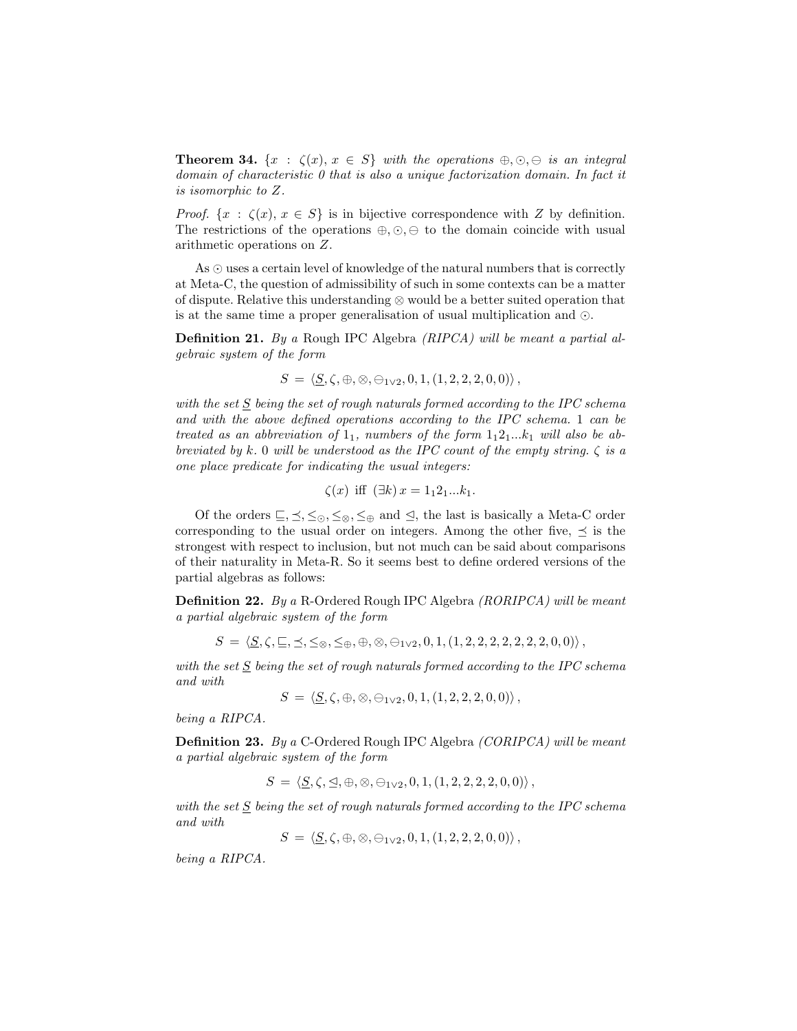**Theorem 34.**  $\{x : \zeta(x), x \in S\}$  with the operations  $\oplus, \odot, \ominus$  is an integral domain of characteristic 0 that is also a unique factorization domain. In fact it is isomorphic to Z.

*Proof.*  $\{x : \zeta(x), x \in S\}$  is in bijective correspondence with Z by definition. The restrictions of the operations  $\oplus, \odot, \ominus$  to the domain coincide with usual arithmetic operations on Z.

As  $\odot$  uses a certain level of knowledge of the natural numbers that is correctly at Meta-C, the question of admissibility of such in some contexts can be a matter of dispute. Relative this understanding  $\otimes$  would be a better suited operation that is at the same time a proper generalisation of usual multiplication and  $\odot$ .

Definition 21. By a Rough IPC Algebra (RIPCA) will be meant a partial algebraic system of the form

$$
S = \langle \underline{S}, \zeta, \oplus, \otimes, \ominus_{1\vee 2}, 0, 1, (1, 2, 2, 2, 0, 0) \rangle
$$

with the set  $S$  being the set of rough naturals formed according to the IPC schema and with the above defined operations according to the IPC schema. 1 can be treated as an abbreviation of  $1_1$ , numbers of the form  $1_12_1...k_1$  will also be abbreviated by k. 0 will be understood as the IPC count of the empty string.  $\zeta$  is a one place predicate for indicating the usual integers:

$$
\zeta(x)
$$
 iff  $(\exists k) x = 1_1 2_1 ... k_1$ .

Of the orders  $\subseteq, \leq, \leq_{\odot}, \leq_{\circledcirc}$ ,  $\leq_{\oplus}$  and  $\leq$ , the last is basically a Meta-C order corresponding to the usual order on integers. Among the other five,  $\preceq$  is the strongest with respect to inclusion, but not much can be said about comparisons of their naturality in Meta-R. So it seems best to define ordered versions of the partial algebras as follows:

Definition 22. By a R-Ordered Rough IPC Algebra (RORIPCA) will be meant a partial algebraic system of the form

$$
S = \langle \underline{S}, \zeta, \underline{\sqsubseteq}, \preceq, \leq_{\otimes}, \leq_{\oplus}, \oplus, \otimes, \ominus_{1\vee 2}, 0, 1, (1, 2, 2, 2, 2, 2, 2, 2, 0, 0) \rangle
$$

with the set S being the set of rough naturals formed according to the IPC schema and with

$$
S = \langle \underline{S}, \zeta, \oplus, \otimes, \ominus_{1\vee 2}, 0, 1, (1, 2, 2, 2, 0, 0) \rangle
$$

being a RIPCA.

Definition 23. By a C-Ordered Rough IPC Algebra (CORIPCA) will be meant a partial algebraic system of the form

$$
S = \langle \underline{S}, \zeta, \triangleleft, \oplus, \otimes, \ominus_{1\vee 2}, 0, 1, (1, 2, 2, 2, 2, 0, 0) \rangle
$$

with the set S being the set of rough naturals formed according to the IPC schema and with

$$
S = \langle \underline{S}, \zeta, \oplus, \otimes, \ominus_{1\vee 2}, 0, 1, (1, 2, 2, 2, 0, 0) \rangle
$$

being a RIPCA.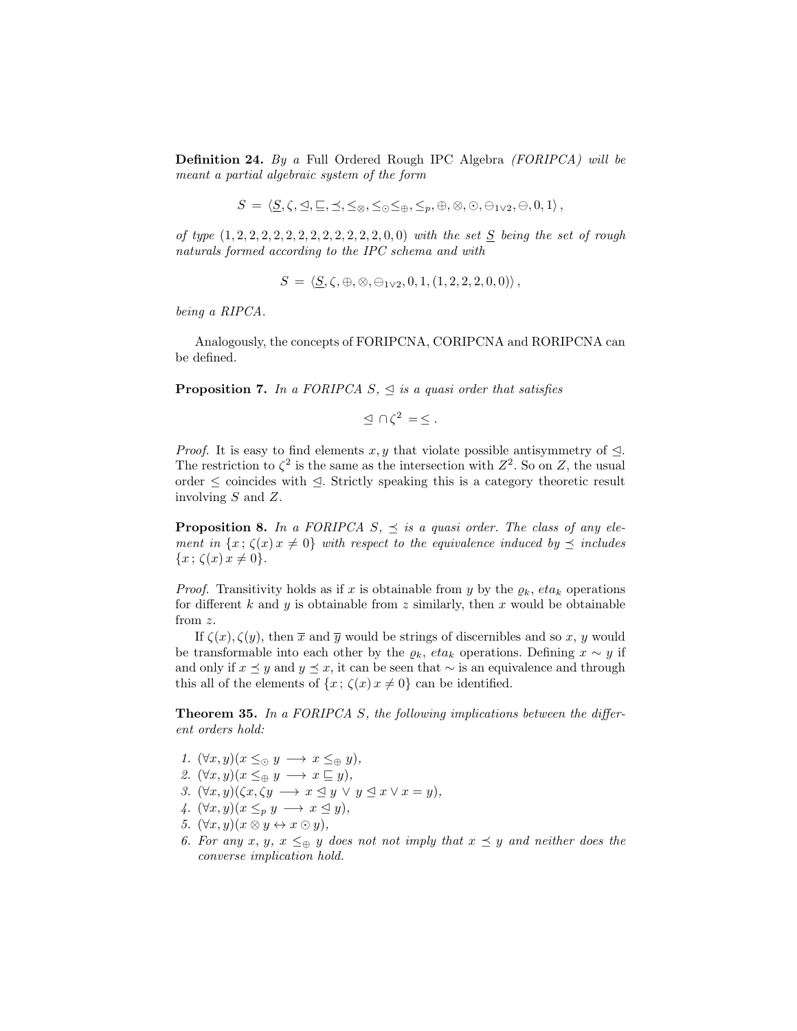**Definition 24.** By a Full Ordered Rough IPC Algebra *(FORIPCA) will be* meant a partial algebraic system of the form

$$
S = \langle \underline{S}, \zeta, \triangleleft, \subseteq, \preceq, \leq_{\otimes}, \leq_{\odot} \leq_{\oplus}, \leq_p, \oplus, \otimes, \odot, \ominus_{1\vee 2}, \ominus, 0, 1 \rangle,
$$

of type  $(1, 2, 2, 2, 2, 2, 2, 2, 2, 2, 2, 2, 2, 0, 0)$  with the set S being the set of rough naturals formed according to the IPC schema and with

$$
S = \langle \underline{S}, \zeta, \oplus, \otimes, \ominus_{1\vee 2}, 0, 1, (1, 2, 2, 2, 0, 0) \rangle,
$$

being a RIPCA.

Analogously, the concepts of FORIPCNA, CORIPCNA and RORIPCNA can be defined.

**Proposition 7.** In a FORIPCA  $S$ ,  $\trianglelefteq$  is a quasi order that satisfies

$$
\leq \cap \zeta^2 = \leq.
$$

*Proof.* It is easy to find elements x, y that violate possible antisymmetry of  $\triangle$ . The restriction to  $\zeta^2$  is the same as the intersection with  $Z^2$ . So on Z, the usual order  $\leq$  coincides with  $\triangleleft$ . Strictly speaking this is a category theoretic result involving  $S$  and  $Z$ .

**Proposition 8.** In a FORIPCA  $S$ ,  $\preceq$  is a quasi order. The class of any element in  $\{x: \zeta(x) \mid x \neq 0\}$  with respect to the equivalence induced by  $\preceq$  includes  ${x; \zeta(x) x \neq 0}.$ 

*Proof.* Transitivity holds as if x is obtainable from y by the  $\varrho_k$ , eta<sub>k</sub> operations for different k and y is obtainable from z similarly, then x would be obtainable from z.

If  $\zeta(x), \zeta(y)$ , then  $\overline{x}$  and  $\overline{y}$  would be strings of discernibles and so x, y would be transformable into each other by the  $\rho_k$ , eta<sub>k</sub> operations. Defining  $x \sim y$  if and only if  $x \leq y$  and  $y \leq x$ , it can be seen that  $\sim$  is an equivalence and through this all of the elements of  $\{x: \zeta(x) \mid x \neq 0\}$  can be identified.

**Theorem 35.** In a FORIPCA S, the following implications between the different orders hold:

- 1.  $(\forall x, y)(x \leq_{\odot} y \longrightarrow x \leq_{\oplus} y),$
- 2.  $(\forall x, y)(x \leq_{\oplus} y \longrightarrow x \sqsubseteq y),$
- 3.  $(\forall x, y)(\zeta x, \zeta y \longrightarrow x \leq y \lor y \leq x \lor x = y),$
- 4.  $(\forall x, y)(x \leq_p y \rightarrow x \leq y),$
- 5.  $(\forall x, y)(x \otimes y \leftrightarrow x \odot y),$
- 6. For any x, y,  $x \leq_{\oplus} y$  does not not imply that  $x \preceq y$  and neither does the converse implication hold.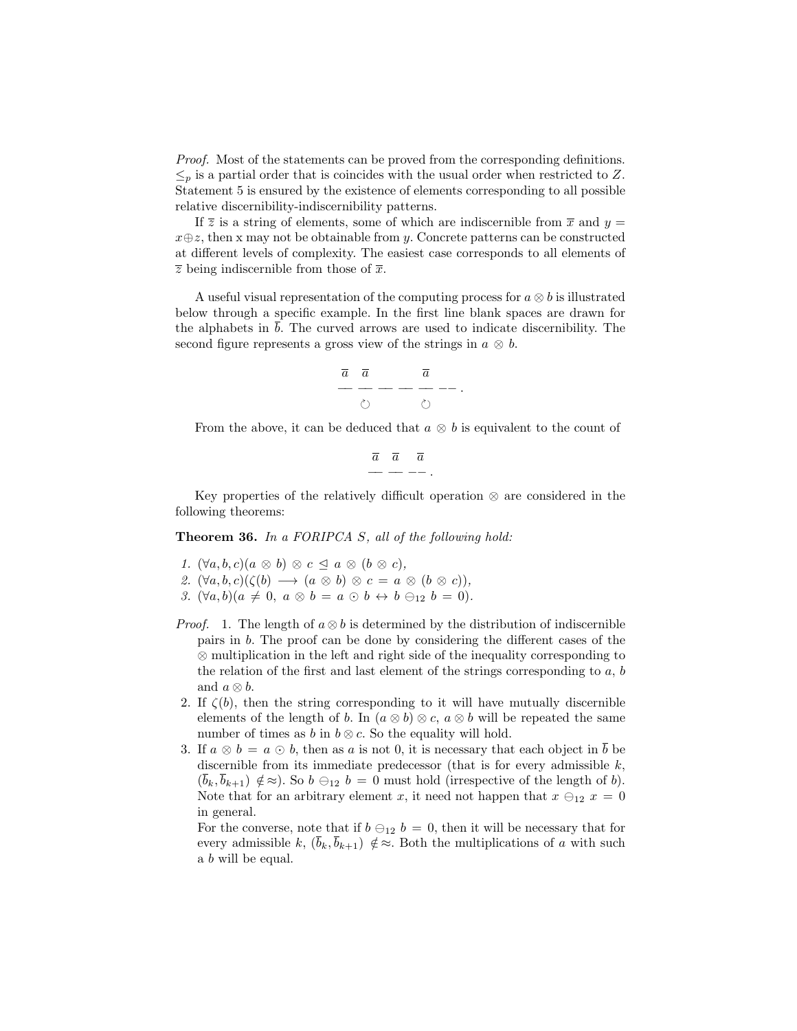Proof. Most of the statements can be proved from the corresponding definitions.  $\leq_p$  is a partial order that is coincides with the usual order when restricted to Z. Statement 5 is ensured by the existence of elements corresponding to all possible relative discernibility-indiscernibility patterns.

If  $\overline{z}$  is a string of elements, some of which are indiscernible from  $\overline{x}$  and  $y =$  $x \oplus z$ , then x may not be obtainable from y. Concrete patterns can be constructed at different levels of complexity. The easiest case corresponds to all elements of  $\overline{z}$  being indiscernible from those of  $\overline{x}$ .

A useful visual representation of the computing process for  $a \otimes b$  is illustrated below through a specific example. In the first line blank spaces are drawn for the alphabets in  $\bar{b}$ . The curved arrows are used to indicate discernibility. The second figure represents a gross view of the strings in  $a \otimes b$ .

$$
\frac{\overline{a}}{\overline{c}} \frac{\overline{a}}{\overline{c}} \frac{\overline{a}}{\overline{c}} \frac{\overline{a}}{\overline{c}} \frac{\overline{a}}{\overline{c}} \frac{\overline{a}}{\overline{c}} \frac{\overline{a}}{\overline{c}} \frac{\overline{a}}{\overline{c}} \frac{\overline{a}}{\overline{c}} \frac{\overline{a}}{\overline{c}} \frac{\overline{a}}{\overline{c}} \frac{\overline{a}}{\overline{c}} \frac{\overline{a}}{\overline{c}} \frac{\overline{a}}{\overline{c}} \frac{\overline{a}}{\overline{c}} \frac{\overline{a}}{\overline{c}} \frac{\overline{a}}{\overline{c}} \frac{\overline{a}}{\overline{c}} \frac{\overline{a}}{\overline{c}} \frac{\overline{a}}{\overline{c}} \frac{\overline{a}}{\overline{c}} \frac{\overline{a}}{\overline{c}} \frac{\overline{a}}{\overline{c}} \frac{\overline{a}}{\overline{c}} \frac{\overline{a}}{\overline{c}} \frac{\overline{a}}{\overline{c}} \frac{\overline{a}}{\overline{c}} \frac{\overline{a}}{\overline{c}} \frac{\overline{a}}{\overline{c}} \frac{\overline{a}}{\overline{c}} \frac{\overline{a}}{\overline{c}} \frac{\overline{a}}{\overline{c}} \frac{\overline{a}}{\overline{c}} \frac{\overline{a}}{\overline{c}} \frac{\overline{a}}{\overline{c}} \frac{\overline{a}}{\overline{c}} \frac{\overline{a}}{\overline{c}} \frac{\overline{a}}{\overline{c}} \frac{\overline{a}}{\overline{c}} \frac{\overline{a}}{\overline{c}} \frac{\overline{a}}{\overline{c}} \frac{\overline{a}}{\overline{c}} \frac{\overline{a}}{\overline{c}} \frac{\overline{a}}{\overline{c}} \frac{\overline{a}}{\overline{c}} \frac{\overline{a}}{\overline{c}} \frac{\overline{a}}{\overline{c}} \frac{\overline{a}}{\overline{c}} \frac{\overline{a}}{\overline{c}} \frac{\overline{a}}{\overline{c}} \frac{\overline{a}}{\overline{c}} \frac{\overline{a}}{\overline{c}} \frac{\overline{a}}{\overline{c}} \frac{\overline{a}}{\overline{c}} \frac{\over
$$

From the above, it can be deduced that  $a \otimes b$  is equivalent to the count of

$$
\frac{\overline{a}}{\cdot} \quad \frac{\overline{a}}{\cdot} \quad \frac{\overline{a}}{\cdot} \quad \frac{\overline{a}}{\cdot} \quad \frac{\overline{a}}{\cdot} \quad \frac{\overline{a}}{\cdot} \quad \frac{\overline{a}}{\cdot} \quad \frac{\overline{a}}{\cdot} \quad \frac{\overline{a}}{\cdot} \quad \frac{\overline{a}}{\cdot} \quad \frac{\overline{a}}{\cdot} \quad \frac{\overline{a}}{\cdot} \quad \frac{\overline{a}}{\cdot} \quad \frac{\overline{a}}{\cdot} \quad \frac{\overline{a}}{\cdot} \quad \frac{\overline{a}}{\cdot} \quad \frac{\overline{a}}{\cdot} \quad \frac{\overline{a}}{\cdot} \quad \frac{\overline{a}}{\cdot} \quad \frac{\overline{a}}{\cdot} \quad \frac{\overline{a}}{\cdot} \quad \frac{\overline{a}}{\cdot} \quad \frac{\overline{a}}{\cdot} \quad \frac{\overline{a}}{\cdot} \quad \frac{\overline{a}}{\cdot} \quad \frac{\overline{a}}{\cdot} \quad \frac{\overline{a}}{\cdot} \quad \frac{\overline{a}}{\cdot} \quad \frac{\overline{a}}{\cdot} \quad \frac{\overline{a}}{\cdot} \quad \frac{\overline{a}}{\cdot} \quad \frac{\overline{a}}{\cdot} \quad \frac{\overline{a}}{\cdot} \quad \frac{\overline{a}}{\cdot} \quad \frac{\overline{a}}{\cdot} \quad \frac{\overline{a}}{\cdot} \quad \frac{\overline{a}}{\cdot} \quad \frac{\overline{a}}{\cdot} \quad \frac{\overline{a}}{\cdot} \quad \frac{\overline{a}}{\cdot} \quad \frac{\overline{a}}{\cdot} \quad \frac{\overline{a}}{\cdot} \quad \frac{\overline{a}}{\cdot} \quad \frac{\overline{a}}{\cdot} \quad \frac{\overline{a}}{\cdot} \quad \frac{\overline{a}}{\cdot} \quad \frac{\overline{a}}{\cdot} \quad \frac{\overline{a}}{\cdot} \quad \frac{\overline{a}}{\cdot} \quad \frac{\overline{a}}{\cdot} \quad \frac{\overline{a}}{\cdot} \quad \frac{\overline{a}}{\cdot} \quad \frac{\overline{a}}{\cdot} \quad \frac{\overline{a}}{\cdot} \quad \frac{\overline{a}}{\cdot} \quad \frac{\overline{a}}{\cdot} \quad \frac{\overline{a}}{\cdot} \quad \frac{\overline{a}}{\cdot} \quad \frac{\overline{
$$

Key properties of the relatively difficult operation  $\otimes$  are considered in the following theorems:

Theorem 36. In a FORIPCA S, all of the following hold:

- 1.  $(\forall a, b, c)(a \otimes b) \otimes c \preceq a \otimes (b \otimes c),$
- 2.  $(\forall a, b, c) (\zeta(b) \longrightarrow (a \otimes b) \otimes c = a \otimes (b \otimes c)),$
- 3.  $(\forall a, b)(a \neq 0, a \otimes b = a \odot b \leftrightarrow b \ominus_{12} b = 0).$
- *Proof.* 1. The length of  $a \otimes b$  is determined by the distribution of indiscernible pairs in b. The proof can be done by considering the different cases of the ⊗ multiplication in the left and right side of the inequality corresponding to the relation of the first and last element of the strings corresponding to  $a, b$ and  $a \otimes b$ .
- 2. If  $\zeta(b)$ , then the string corresponding to it will have mutually discernible elements of the length of b. In  $(a \otimes b) \otimes c$ ,  $a \otimes b$  will be repeated the same number of times as b in  $b \otimes c$ . So the equality will hold.
- 3. If  $a \otimes b = a \odot b$ , then as a is not 0, it is necessary that each object in  $\overline{b}$  be discernible from its immediate predecessor (that is for every admissible  $k$ ,  $(\bar{b}_k, \bar{b}_{k+1}) \notin \approx$ ). So  $b \ominus_{12} b = 0$  must hold (irrespective of the length of b). Note that for an arbitrary element x, it need not happen that  $x \ominus_{12} x = 0$ in general.

For the converse, note that if  $b \ominus_{12} b = 0$ , then it will be necessary that for every admissible k,  $(\bar{b}_k, \bar{b}_{k+1}) \notin \simeq$ . Both the multiplications of a with such a b will be equal.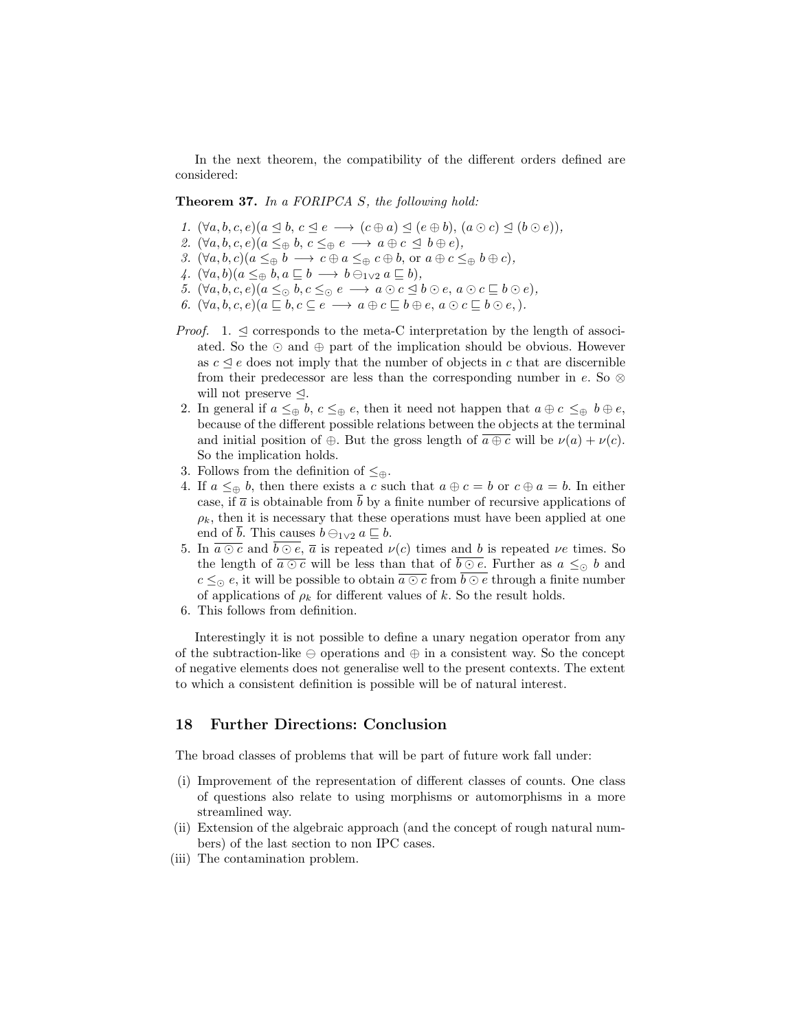In the next theorem, the compatibility of the different orders defined are considered:

#### Theorem 37. In a FORIPCA S, the following hold:

- 1.  $(\forall a, b, c, e)(a \leq b, c \leq e \rightarrow (c \oplus a) \leq (e \oplus b), (a \odot c) \leq (b \odot e)),$
- 2.  $(\forall a, b, c, e)(a \leq_{\oplus} b, c \leq_{\oplus} e \longrightarrow a \oplus c \preceq b \oplus e),$
- 3.  $(\forall a, b, c)(a \leq_{\oplus} b \longrightarrow c \oplus a \leq_{\oplus} c \oplus b, \text{ or } a \oplus c \leq_{\oplus} b \oplus c),$
- 4.  $(\forall a, b)(a \leq_{\oplus} b, a \sqsubseteq b \longrightarrow b \ominus_{1\vee 2} a \sqsubseteq b),$
- 5.  $(\forall a, b, c, e)(a \leq_{\odot} b, c \leq_{\odot} e \longrightarrow a \odot c \leq b \odot e, a \odot c \sqsubseteq b \odot e),$
- 6.  $(\forall a, b, c, e) (a \sqsubseteq b, c \subseteq e \longrightarrow a \oplus c \sqsubseteq b \oplus e, a \odot c \sqsubseteq b \odot e).$
- *Proof.* 1.  $\triangleleft$  corresponds to the meta-C interpretation by the length of associated. So the  $\odot$  and  $\oplus$  part of the implication should be obvious. However as  $c \leq e$  does not imply that the number of objects in c that are discernible from their predecessor are less than the corresponding number in e. So  $\otimes$ will not preserve  $\trianglelefteq.$
- 2. In general if  $a \leq_{\oplus} b, c \leq_{\oplus} e$ , then it need not happen that  $a \oplus c \leq_{\oplus} b \oplus e$ , because of the different possible relations between the objects at the terminal and initial position of  $\oplus$ . But the gross length of  $\overline{a \oplus c}$  will be  $\nu(a) + \nu(c)$ . So the implication holds.
- 3. Follows from the definition of  $\leq_{\oplus}$ .
- 4. If  $a \leq_{\oplus} b$ , then there exists a c such that  $a \oplus c = b$  or  $c \oplus a = b$ . In either case, if  $\bar{a}$  is obtainable from  $\bar{b}$  by a finite number of recursive applications of  $\rho_k$ , then it is necessary that these operations must have been applied at one end of  $\overline{b}$ . This causes  $b \ominus_{1\vee 2} a \sqsubseteq b$ .
- 5. In  $\overline{a\odot c}$  and  $\overline{b\odot e}$ ,  $\overline{a}$  is repeated  $\nu(c)$  times and b is repeated  $\nu e$  times. So the length of  $\overline{a \odot c}$  will be less than that of  $\overline{b \odot e}$ . Further as  $a \leq_{\odot} b$  and  $c \leq_{\odot} e$ , it will be possible to obtain  $\overline{a \odot c}$  from  $\overline{b \odot e}$  through a finite number of applications of  $\rho_k$  for different values of k. So the result holds.
- 6. This follows from definition.

Interestingly it is not possible to define a unary negation operator from any of the subtraction-like  $\ominus$  operations and  $\oplus$  in a consistent way. So the concept of negative elements does not generalise well to the present contexts. The extent to which a consistent definition is possible will be of natural interest.

## 18 Further Directions: Conclusion

The broad classes of problems that will be part of future work fall under:

- (i) Improvement of the representation of different classes of counts. One class of questions also relate to using morphisms or automorphisms in a more streamlined way.
- (ii) Extension of the algebraic approach (and the concept of rough natural numbers) of the last section to non IPC cases.
- (iii) The contamination problem.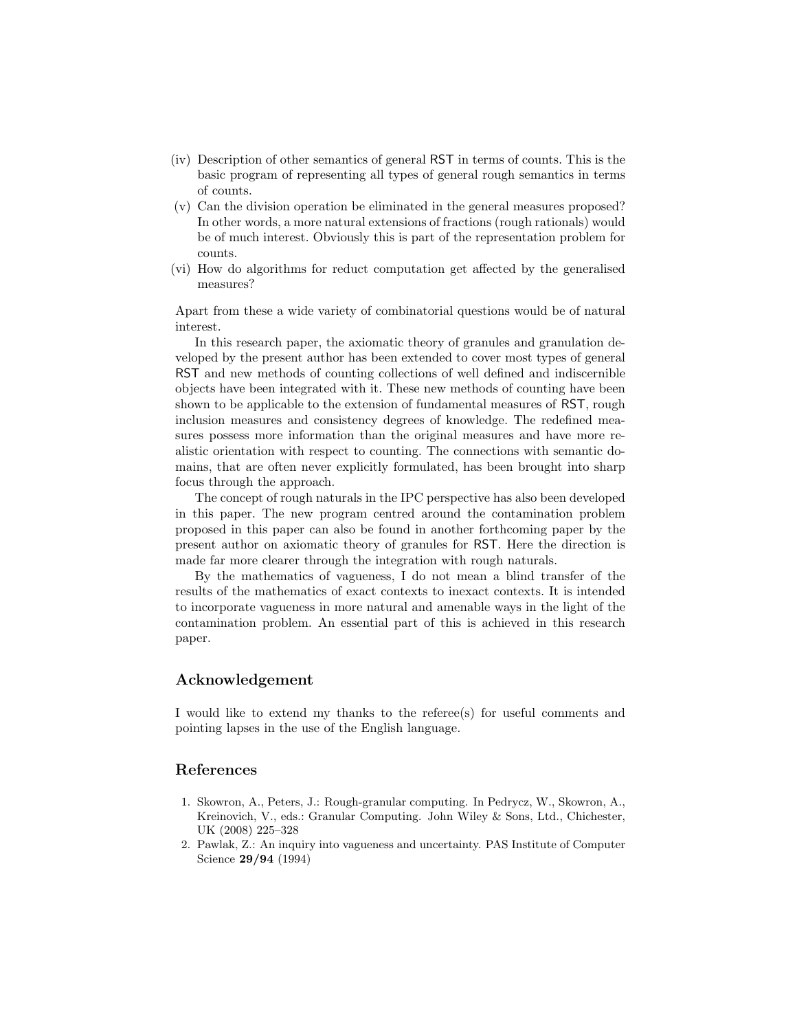- (iv) Description of other semantics of general RST in terms of counts. This is the basic program of representing all types of general rough semantics in terms of counts.
- (v) Can the division operation be eliminated in the general measures proposed? In other words, a more natural extensions of fractions (rough rationals) would be of much interest. Obviously this is part of the representation problem for counts.
- (vi) How do algorithms for reduct computation get affected by the generalised measures?

Apart from these a wide variety of combinatorial questions would be of natural interest.

In this research paper, the axiomatic theory of granules and granulation developed by the present author has been extended to cover most types of general RST and new methods of counting collections of well defined and indiscernible objects have been integrated with it. These new methods of counting have been shown to be applicable to the extension of fundamental measures of RST, rough inclusion measures and consistency degrees of knowledge. The redefined measures possess more information than the original measures and have more realistic orientation with respect to counting. The connections with semantic domains, that are often never explicitly formulated, has been brought into sharp focus through the approach.

The concept of rough naturals in the IPC perspective has also been developed in this paper. The new program centred around the contamination problem proposed in this paper can also be found in another forthcoming paper by the present author on axiomatic theory of granules for RST. Here the direction is made far more clearer through the integration with rough naturals.

By the mathematics of vagueness, I do not mean a blind transfer of the results of the mathematics of exact contexts to inexact contexts. It is intended to incorporate vagueness in more natural and amenable ways in the light of the contamination problem. An essential part of this is achieved in this research paper.

## Acknowledgement

I would like to extend my thanks to the referee(s) for useful comments and pointing lapses in the use of the English language.

## References

- <span id="page-53-0"></span>1. Skowron, A., Peters, J.: Rough-granular computing. In Pedrycz, W., Skowron, A., Kreinovich, V., eds.: Granular Computing. John Wiley & Sons, Ltd., Chichester, UK (2008) 225–328
- <span id="page-53-1"></span>2. Pawlak, Z.: An inquiry into vagueness and uncertainty. PAS Institute of Computer Science 29/94 (1994)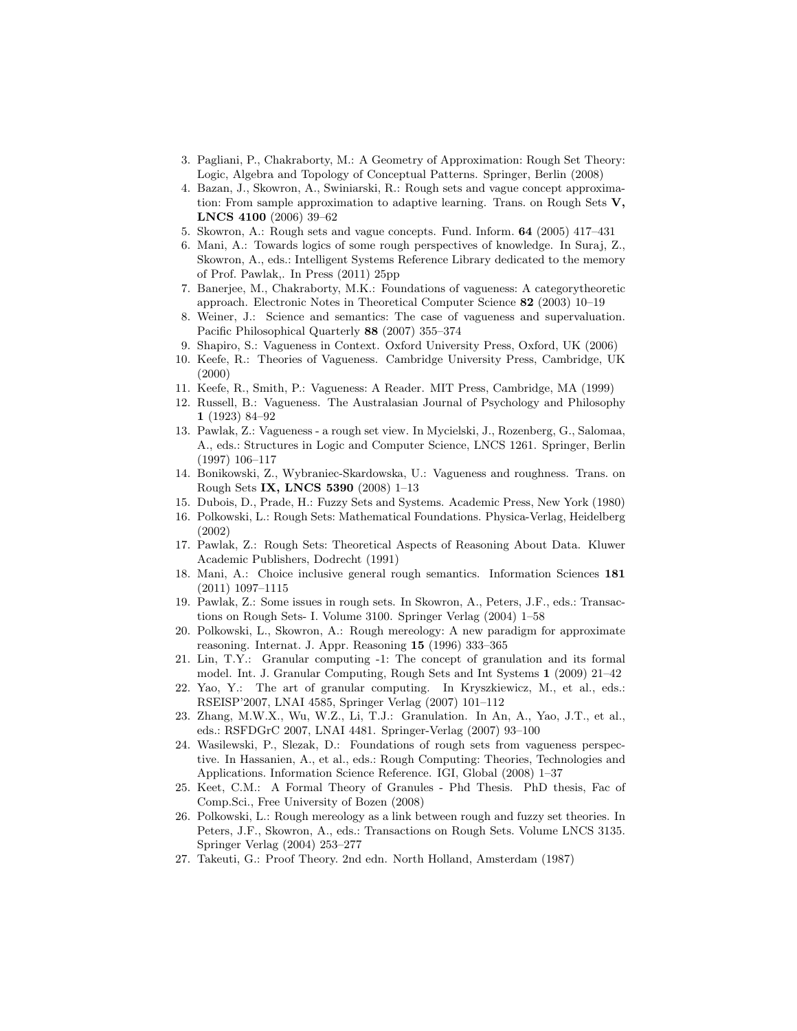- <span id="page-54-0"></span>3. Pagliani, P., Chakraborty, M.: A Geometry of Approximation: Rough Set Theory: Logic, Algebra and Topology of Conceptual Patterns. Springer, Berlin (2008)
- <span id="page-54-1"></span>4. Bazan, J., Skowron, A., Swiniarski, R.: Rough sets and vague concept approximation: From sample approximation to adaptive learning. Trans. on Rough Sets V, LNCS 4100 (2006) 39–62
- <span id="page-54-2"></span>5. Skowron, A.: Rough sets and vague concepts. Fund. Inform. 64 (2005) 417–431
- <span id="page-54-3"></span>6. Mani, A.: Towards logics of some rough perspectives of knowledge. In Suraj, Z., Skowron, A., eds.: Intelligent Systems Reference Library dedicated to the memory of Prof. Pawlak,. In Press (2011) 25pp
- <span id="page-54-4"></span>7. Banerjee, M., Chakraborty, M.K.: Foundations of vagueness: A categorytheoretic approach. Electronic Notes in Theoretical Computer Science 82 (2003) 10–19
- <span id="page-54-5"></span>8. Weiner, J.: Science and semantics: The case of vagueness and supervaluation. Pacific Philosophical Quarterly 88 (2007) 355–374
- <span id="page-54-6"></span>9. Shapiro, S.: Vagueness in Context. Oxford University Press, Oxford, UK (2006)
- <span id="page-54-7"></span>10. Keefe, R.: Theories of Vagueness. Cambridge University Press, Cambridge, UK (2000)
- <span id="page-54-8"></span>11. Keefe, R., Smith, P.: Vagueness: A Reader. MIT Press, Cambridge, MA (1999)
- <span id="page-54-9"></span>12. Russell, B.: Vagueness. The Australasian Journal of Psychology and Philosophy 1 (1923) 84–92
- <span id="page-54-10"></span>13. Pawlak, Z.: Vagueness - a rough set view. In Mycielski, J., Rozenberg, G., Salomaa, A., eds.: Structures in Logic and Computer Science, LNCS 1261. Springer, Berlin (1997) 106–117
- <span id="page-54-11"></span>14. Bonikowski, Z., Wybraniec-Skardowska, U.: Vagueness and roughness. Trans. on Rough Sets IX, LNCS 5390 (2008) 1–13
- <span id="page-54-12"></span>15. Dubois, D., Prade, H.: Fuzzy Sets and Systems. Academic Press, New York (1980)
- <span id="page-54-13"></span>16. Polkowski, L.: Rough Sets: Mathematical Foundations. Physica-Verlag, Heidelberg (2002)
- <span id="page-54-14"></span>17. Pawlak, Z.: Rough Sets: Theoretical Aspects of Reasoning About Data. Kluwer Academic Publishers, Dodrecht (1991)
- <span id="page-54-15"></span>18. Mani, A.: Choice inclusive general rough semantics. Information Sciences 181 (2011) 1097–1115
- <span id="page-54-16"></span>19. Pawlak, Z.: Some issues in rough sets. In Skowron, A., Peters, J.F., eds.: Transactions on Rough Sets- I. Volume 3100. Springer Verlag (2004) 1–58
- <span id="page-54-17"></span>20. Polkowski, L., Skowron, A.: Rough mereology: A new paradigm for approximate reasoning. Internat. J. Appr. Reasoning 15 (1996) 333–365
- <span id="page-54-18"></span>21. Lin, T.Y.: Granular computing -1: The concept of granulation and its formal model. Int. J. Granular Computing, Rough Sets and Int Systems 1 (2009) 21–42
- <span id="page-54-19"></span>22. Yao, Y.: The art of granular computing. In Kryszkiewicz, M., et al., eds.: RSEISP'2007, LNAI 4585, Springer Verlag (2007) 101–112
- <span id="page-54-20"></span>23. Zhang, M.W.X., Wu, W.Z., Li, T.J.: Granulation. In An, A., Yao, J.T., et al., eds.: RSFDGrC 2007, LNAI 4481. Springer-Verlag (2007) 93–100
- <span id="page-54-21"></span>24. Wasilewski, P., Slezak, D.: Foundations of rough sets from vagueness perspective. In Hassanien, A., et al., eds.: Rough Computing: Theories, Technologies and Applications. Information Science Reference. IGI, Global (2008) 1–37
- <span id="page-54-22"></span>25. Keet, C.M.: A Formal Theory of Granules - Phd Thesis. PhD thesis, Fac of Comp.Sci., Free University of Bozen (2008)
- <span id="page-54-23"></span>26. Polkowski, L.: Rough mereology as a link between rough and fuzzy set theories. In Peters, J.F., Skowron, A., eds.: Transactions on Rough Sets. Volume LNCS 3135. Springer Verlag (2004) 253–277
- <span id="page-54-24"></span>27. Takeuti, G.: Proof Theory. 2nd edn. North Holland, Amsterdam (1987)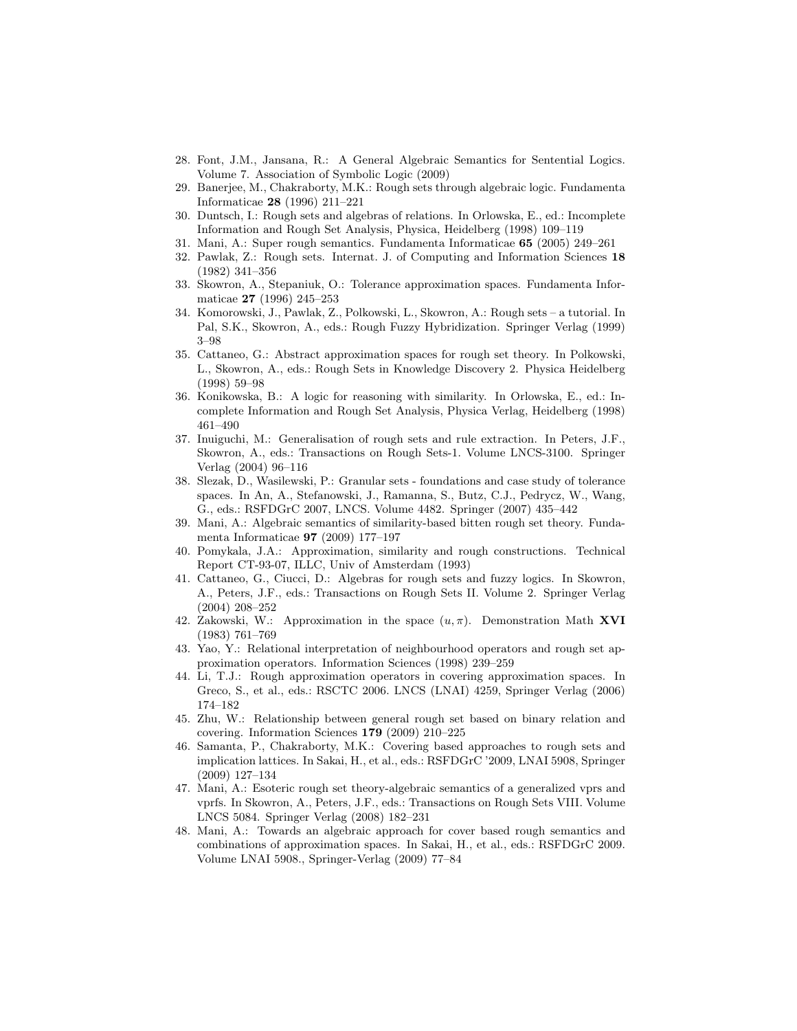- <span id="page-55-0"></span>28. Font, J.M., Jansana, R.: A General Algebraic Semantics for Sentential Logics. Volume 7. Association of Symbolic Logic (2009)
- <span id="page-55-1"></span>29. Banerjee, M., Chakraborty, M.K.: Rough sets through algebraic logic. Fundamenta Informaticae 28 (1996) 211–221
- <span id="page-55-2"></span>30. Duntsch, I.: Rough sets and algebras of relations. In Orlowska, E., ed.: Incomplete Information and Rough Set Analysis, Physica, Heidelberg (1998) 109–119
- <span id="page-55-3"></span>31. Mani, A.: Super rough semantics. Fundamenta Informaticae 65 (2005) 249–261
- <span id="page-55-4"></span>32. Pawlak, Z.: Rough sets. Internat. J. of Computing and Information Sciences 18 (1982) 341–356
- <span id="page-55-5"></span>33. Skowron, A., Stepaniuk, O.: Tolerance approximation spaces. Fundamenta Informaticae 27 (1996) 245–253
- <span id="page-55-6"></span>34. Komorowski, J., Pawlak, Z., Polkowski, L., Skowron, A.: Rough sets – a tutorial. In Pal, S.K., Skowron, A., eds.: Rough Fuzzy Hybridization. Springer Verlag (1999) 3–98
- <span id="page-55-7"></span>35. Cattaneo, G.: Abstract approximation spaces for rough set theory. In Polkowski, L., Skowron, A., eds.: Rough Sets in Knowledge Discovery 2. Physica Heidelberg (1998) 59–98
- <span id="page-55-8"></span>36. Konikowska, B.: A logic for reasoning with similarity. In Orlowska, E., ed.: Incomplete Information and Rough Set Analysis, Physica Verlag, Heidelberg (1998) 461–490
- <span id="page-55-9"></span>37. Inuiguchi, M.: Generalisation of rough sets and rule extraction. In Peters, J.F., Skowron, A., eds.: Transactions on Rough Sets-1. Volume LNCS-3100. Springer Verlag (2004) 96–116
- <span id="page-55-10"></span>38. Slezak, D., Wasilewski, P.: Granular sets - foundations and case study of tolerance spaces. In An, A., Stefanowski, J., Ramanna, S., Butz, C.J., Pedrycz, W., Wang, G., eds.: RSFDGrC 2007, LNCS. Volume 4482. Springer (2007) 435–442
- <span id="page-55-11"></span>39. Mani, A.: Algebraic semantics of similarity-based bitten rough set theory. Fundamenta Informaticae 97 (2009) 177–197
- <span id="page-55-12"></span>40. Pomykala, J.A.: Approximation, similarity and rough constructions. Technical Report CT-93-07, ILLC, Univ of Amsterdam (1993)
- <span id="page-55-13"></span>41. Cattaneo, G., Ciucci, D.: Algebras for rough sets and fuzzy logics. In Skowron, A., Peters, J.F., eds.: Transactions on Rough Sets II. Volume 2. Springer Verlag (2004) 208–252
- <span id="page-55-14"></span>42. Zakowski, W.: Approximation in the space  $(u, \pi)$ . Demonstration Math XVI (1983) 761–769
- <span id="page-55-15"></span>43. Yao, Y.: Relational interpretation of neighbourhood operators and rough set approximation operators. Information Sciences (1998) 239–259
- <span id="page-55-16"></span>44. Li, T.J.: Rough approximation operators in covering approximation spaces. In Greco, S., et al., eds.: RSCTC 2006. LNCS (LNAI) 4259, Springer Verlag (2006) 174–182
- <span id="page-55-17"></span>45. Zhu, W.: Relationship between general rough set based on binary relation and covering. Information Sciences 179 (2009) 210–225
- <span id="page-55-18"></span>46. Samanta, P., Chakraborty, M.K.: Covering based approaches to rough sets and implication lattices. In Sakai, H., et al., eds.: RSFDGrC '2009, LNAI 5908, Springer (2009) 127–134
- <span id="page-55-19"></span>47. Mani, A.: Esoteric rough set theory-algebraic semantics of a generalized vprs and vprfs. In Skowron, A., Peters, J.F., eds.: Transactions on Rough Sets VIII. Volume LNCS 5084. Springer Verlag (2008) 182–231
- <span id="page-55-20"></span>48. Mani, A.: Towards an algebraic approach for cover based rough semantics and combinations of approximation spaces. In Sakai, H., et al., eds.: RSFDGrC 2009. Volume LNAI 5908., Springer-Verlag (2009) 77–84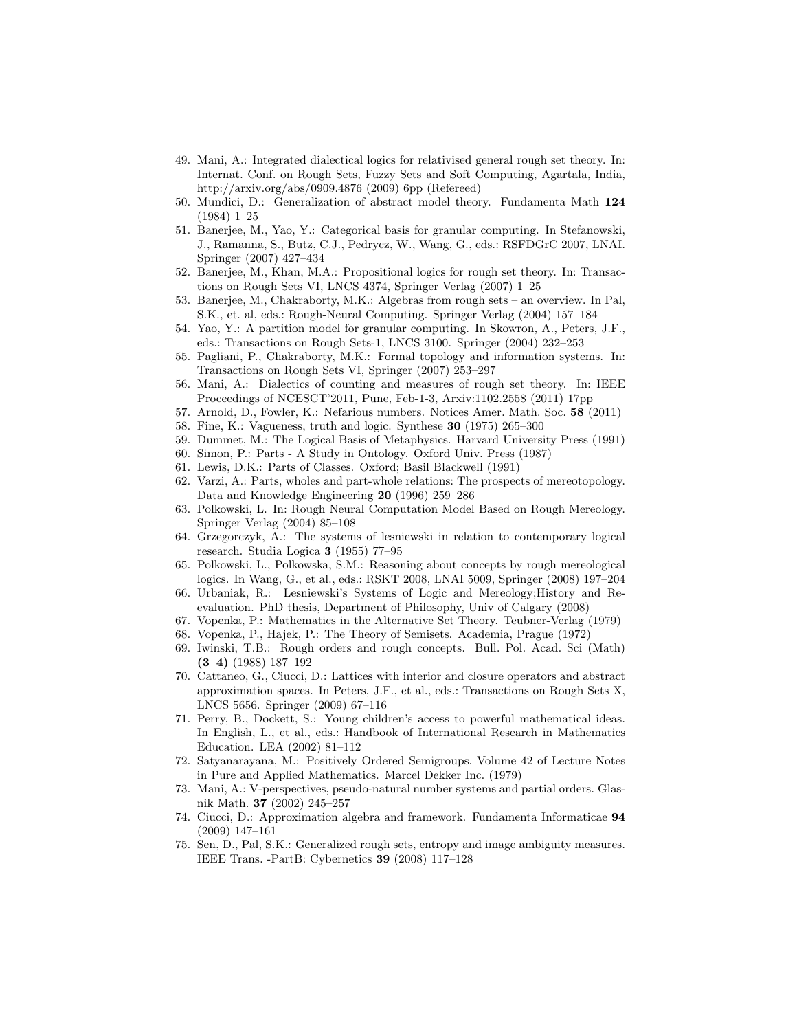- <span id="page-56-0"></span>49. Mani, A.: Integrated dialectical logics for relativised general rough set theory. In: Internat. Conf. on Rough Sets, Fuzzy Sets and Soft Computing, Agartala, India, http://arxiv.org/abs/0909.4876 (2009) 6pp (Refereed)
- <span id="page-56-1"></span>50. Mundici, D.: Generalization of abstract model theory. Fundamenta Math 124 (1984) 1–25
- <span id="page-56-2"></span>51. Banerjee, M., Yao, Y.: Categorical basis for granular computing. In Stefanowski, J., Ramanna, S., Butz, C.J., Pedrycz, W., Wang, G., eds.: RSFDGrC 2007, LNAI. Springer (2007) 427–434
- <span id="page-56-3"></span>52. Banerjee, M., Khan, M.A.: Propositional logics for rough set theory. In: Transactions on Rough Sets VI, LNCS 4374, Springer Verlag (2007) 1–25
- <span id="page-56-4"></span>53. Banerjee, M., Chakraborty, M.K.: Algebras from rough sets – an overview. In Pal, S.K., et. al, eds.: Rough-Neural Computing. Springer Verlag (2004) 157–184
- <span id="page-56-5"></span>54. Yao, Y.: A partition model for granular computing. In Skowron, A., Peters, J.F., eds.: Transactions on Rough Sets-1, LNCS 3100. Springer (2004) 232–253
- <span id="page-56-6"></span>55. Pagliani, P., Chakraborty, M.K.: Formal topology and information systems. In: Transactions on Rough Sets VI, Springer (2007) 253–297
- <span id="page-56-7"></span>56. Mani, A.: Dialectics of counting and measures of rough set theory. In: IEEE Proceedings of NCESCT'2011, Pune, Feb-1-3, Arxiv:1102.2558 (2011) 17pp
- <span id="page-56-8"></span>57. Arnold, D., Fowler, K.: Nefarious numbers. Notices Amer. Math. Soc. 58 (2011)
- <span id="page-56-9"></span>58. Fine, K.: Vagueness, truth and logic. Synthese 30 (1975) 265–300
- <span id="page-56-10"></span>59. Dummet, M.: The Logical Basis of Metaphysics. Harvard University Press (1991)
- <span id="page-56-11"></span>60. Simon, P.: Parts - A Study in Ontology. Oxford Univ. Press (1987)
- <span id="page-56-12"></span>61. Lewis, D.K.: Parts of Classes. Oxford; Basil Blackwell (1991)
- <span id="page-56-13"></span>62. Varzi, A.: Parts, wholes and part-whole relations: The prospects of mereotopology. Data and Knowledge Engineering 20 (1996) 259–286
- <span id="page-56-14"></span>63. Polkowski, L. In: Rough Neural Computation Model Based on Rough Mereology. Springer Verlag (2004) 85–108
- <span id="page-56-15"></span>64. Grzegorczyk, A.: The systems of lesniewski in relation to contemporary logical research. Studia Logica 3 (1955) 77–95
- <span id="page-56-16"></span>65. Polkowski, L., Polkowska, S.M.: Reasoning about concepts by rough mereological logics. In Wang, G., et al., eds.: RSKT 2008, LNAI 5009, Springer (2008) 197–204
- <span id="page-56-17"></span>66. Urbaniak, R.: Lesniewski's Systems of Logic and Mereology;History and Reevaluation. PhD thesis, Department of Philosophy, Univ of Calgary (2008)
- <span id="page-56-18"></span>67. Vopenka, P.: Mathematics in the Alternative Set Theory. Teubner-Verlag (1979)
- <span id="page-56-19"></span>68. Vopenka, P., Hajek, P.: The Theory of Semisets. Academia, Prague (1972)
- <span id="page-56-20"></span>69. Iwinski, T.B.: Rough orders and rough concepts. Bull. Pol. Acad. Sci (Math) (3–4) (1988) 187–192
- <span id="page-56-21"></span>70. Cattaneo, G., Ciucci, D.: Lattices with interior and closure operators and abstract approximation spaces. In Peters, J.F., et al., eds.: Transactions on Rough Sets X, LNCS 5656. Springer (2009) 67–116
- <span id="page-56-22"></span>71. Perry, B., Dockett, S.: Young children's access to powerful mathematical ideas. In English, L., et al., eds.: Handbook of International Research in Mathematics Education. LEA (2002) 81–112
- <span id="page-56-23"></span>72. Satyanarayana, M.: Positively Ordered Semigroups. Volume 42 of Lecture Notes in Pure and Applied Mathematics. Marcel Dekker Inc. (1979)
- <span id="page-56-24"></span>73. Mani, A.: V-perspectives, pseudo-natural number systems and partial orders. Glasnik Math. 37 (2002) 245–257
- <span id="page-56-25"></span>74. Ciucci, D.: Approximation algebra and framework. Fundamenta Informaticae 94 (2009) 147–161
- <span id="page-56-26"></span>75. Sen, D., Pal, S.K.: Generalized rough sets, entropy and image ambiguity measures. IEEE Trans. -PartB: Cybernetics 39 (2008) 117–128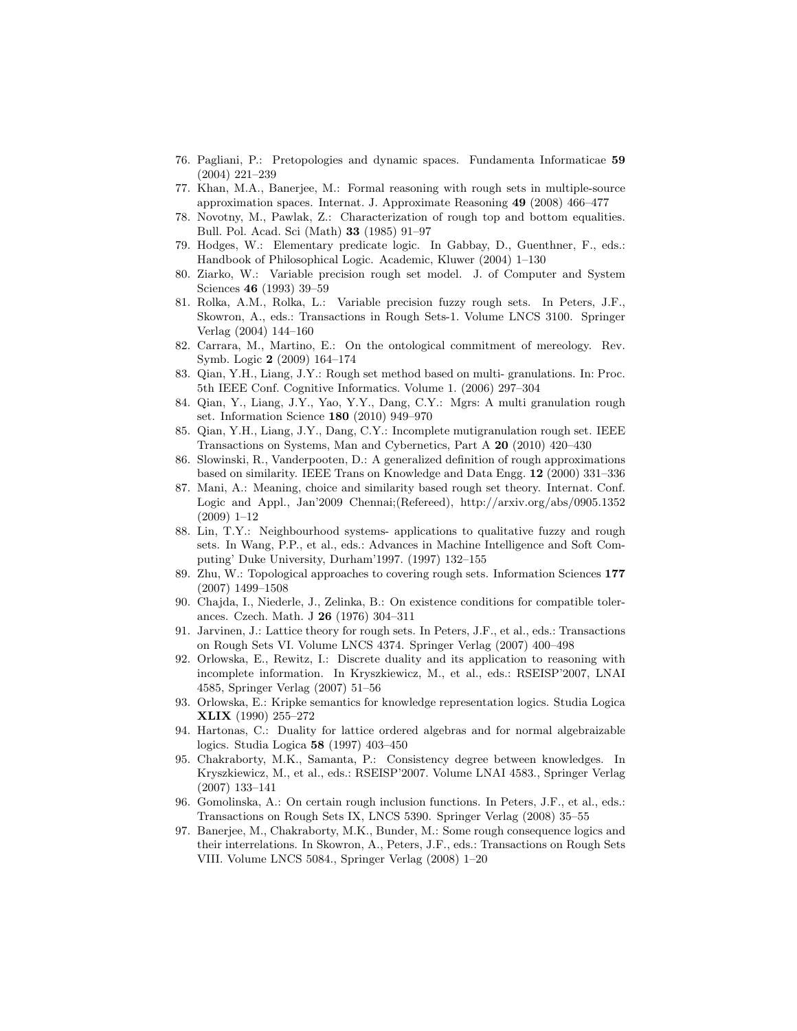- <span id="page-57-0"></span>76. Pagliani, P.: Pretopologies and dynamic spaces. Fundamenta Informaticae 59 (2004) 221–239
- <span id="page-57-1"></span>77. Khan, M.A., Banerjee, M.: Formal reasoning with rough sets in multiple-source approximation spaces. Internat. J. Approximate Reasoning 49 (2008) 466–477
- <span id="page-57-2"></span>78. Novotny, M., Pawlak, Z.: Characterization of rough top and bottom equalities. Bull. Pol. Acad. Sci (Math) 33 (1985) 91–97
- <span id="page-57-3"></span>79. Hodges, W.: Elementary predicate logic. In Gabbay, D., Guenthner, F., eds.: Handbook of Philosophical Logic. Academic, Kluwer (2004) 1–130
- <span id="page-57-4"></span>80. Ziarko, W.: Variable precision rough set model. J. of Computer and System Sciences 46 (1993) 39–59
- <span id="page-57-5"></span>81. Rolka, A.M., Rolka, L.: Variable precision fuzzy rough sets. In Peters, J.F., Skowron, A., eds.: Transactions in Rough Sets-1. Volume LNCS 3100. Springer Verlag (2004) 144–160
- <span id="page-57-6"></span>82. Carrara, M., Martino, E.: On the ontological commitment of mereology. Rev. Symb. Logic 2 (2009) 164–174
- <span id="page-57-7"></span>83. Qian, Y.H., Liang, J.Y.: Rough set method based on multi- granulations. In: Proc. 5th IEEE Conf. Cognitive Informatics. Volume 1. (2006) 297–304
- <span id="page-57-8"></span>84. Qian, Y., Liang, J.Y., Yao, Y.Y., Dang, C.Y.: Mgrs: A multi granulation rough set. Information Science 180 (2010) 949–970
- <span id="page-57-9"></span>85. Qian, Y.H., Liang, J.Y., Dang, C.Y.: Incomplete mutigranulation rough set. IEEE Transactions on Systems, Man and Cybernetics, Part A 20 (2010) 420–430
- <span id="page-57-10"></span>86. Slowinski, R., Vanderpooten, D.: A generalized definition of rough approximations based on similarity. IEEE Trans on Knowledge and Data Engg. 12 (2000) 331–336
- <span id="page-57-11"></span>87. Mani, A.: Meaning, choice and similarity based rough set theory. Internat. Conf. Logic and Appl., Jan'2009 Chennai;(Refereed), http://arxiv.org/abs/0905.1352 (2009) 1–12
- <span id="page-57-12"></span>88. Lin, T.Y.: Neighbourhood systems- applications to qualitative fuzzy and rough sets. In Wang, P.P., et al., eds.: Advances in Machine Intelligence and Soft Computing' Duke University, Durham'1997. (1997) 132–155
- <span id="page-57-13"></span>89. Zhu, W.: Topological approaches to covering rough sets. Information Sciences 177 (2007) 1499–1508
- <span id="page-57-14"></span>90. Chajda, I., Niederle, J., Zelinka, B.: On existence conditions for compatible tolerances. Czech. Math. J 26 (1976) 304–311
- <span id="page-57-15"></span>91. Jarvinen, J.: Lattice theory for rough sets. In Peters, J.F., et al., eds.: Transactions on Rough Sets VI. Volume LNCS 4374. Springer Verlag (2007) 400–498
- <span id="page-57-16"></span>92. Orlowska, E., Rewitz, I.: Discrete duality and its application to reasoning with incomplete information. In Kryszkiewicz, M., et al., eds.: RSEISP'2007, LNAI 4585, Springer Verlag (2007) 51–56
- <span id="page-57-17"></span>93. Orlowska, E.: Kripke semantics for knowledge representation logics. Studia Logica XLIX (1990) 255–272
- <span id="page-57-18"></span>94. Hartonas, C.: Duality for lattice ordered algebras and for normal algebraizable logics. Studia Logica 58 (1997) 403–450
- <span id="page-57-19"></span>95. Chakraborty, M.K., Samanta, P.: Consistency degree between knowledges. In Kryszkiewicz, M., et al., eds.: RSEISP'2007. Volume LNAI 4583., Springer Verlag (2007) 133–141
- <span id="page-57-20"></span>96. Gomolinska, A.: On certain rough inclusion functions. In Peters, J.F., et al., eds.: Transactions on Rough Sets IX, LNCS 5390. Springer Verlag (2008) 35–55
- <span id="page-57-21"></span>97. Banerjee, M., Chakraborty, M.K., Bunder, M.: Some rough consequence logics and their interrelations. In Skowron, A., Peters, J.F., eds.: Transactions on Rough Sets VIII. Volume LNCS 5084., Springer Verlag (2008) 1–20